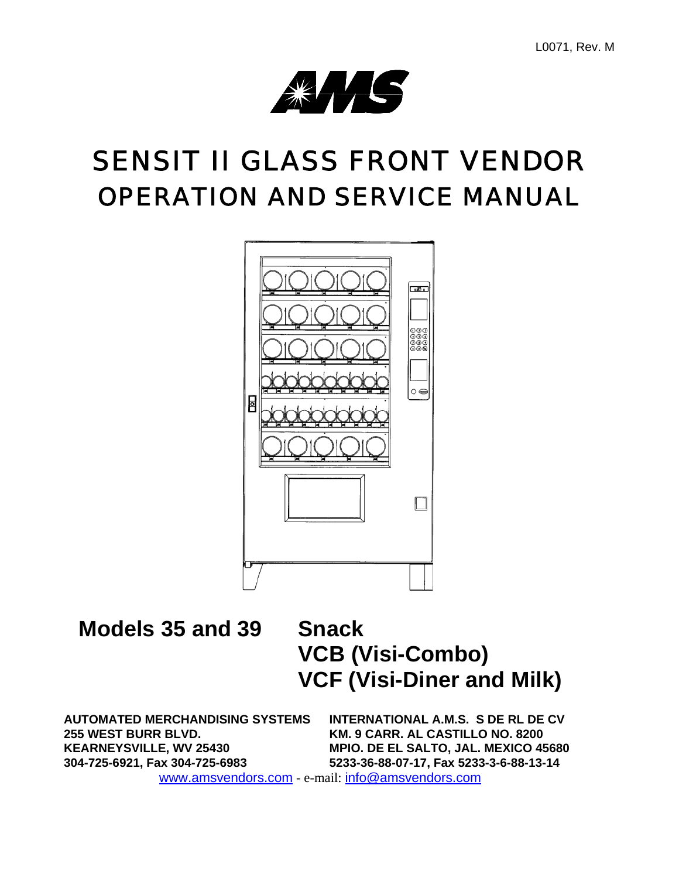

# SENSIT II GLASS FRONT VENDOR OPERATION AND SERVICE MANUAL



# **Models 35 and 39 Snack**

 **VCB (Visi-Combo) VCF (Visi-Diner and Milk)** 

**AUTOMATED MERCHANDISING SYSTEMS 255 WEST BURR BLVD. KEARNEYSVILLE, WV 25430 304-725-6921, Fax 304-725-6983**

**INTERNATIONAL A.M.S. S DE RL DE CV KM. 9 CARR. AL CASTILLO NO. 8200 MPIO. DE EL SALTO, JAL. MEXICO 45680 5233-36-88-07-17, Fax 5233-3-6-88-13-14**

[www.amsvendors.com](http://www.amsvendors.com/) - e-mail: [info@amsvendors.com](mailto:info@amsvendors.com)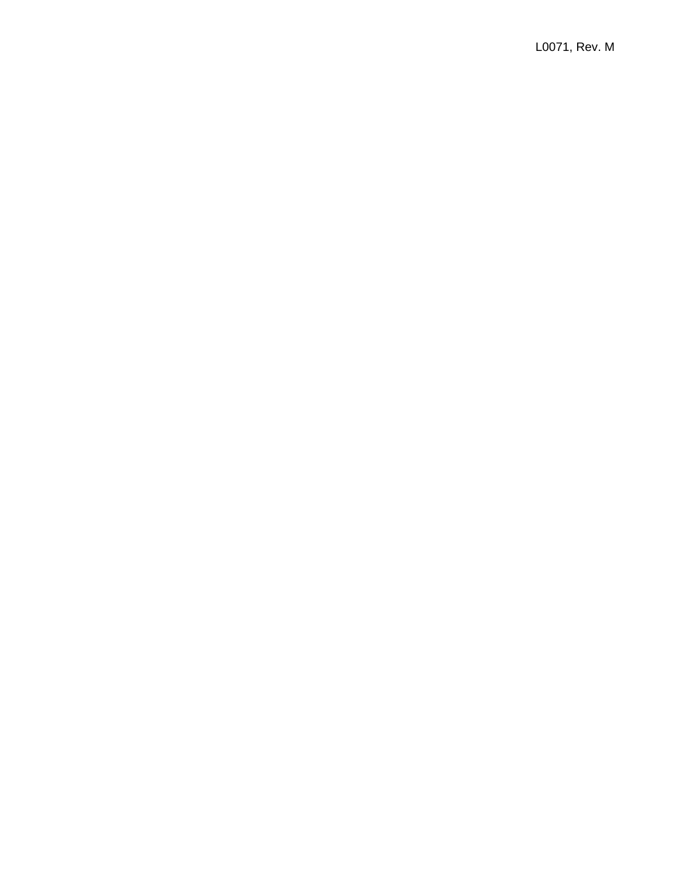L0071, Rev. M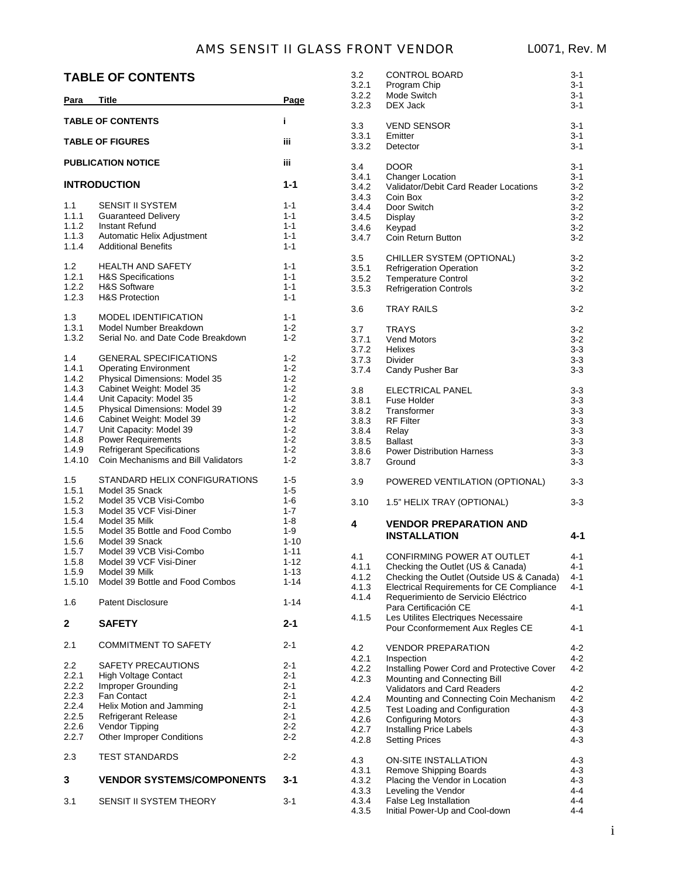# AMS SENSIT II GLASS FRONT VENDOR L0071, Rev. M

## **TABLE OF CONTENTS**

| Para                                                                                           | Title                                                                                                                                                                                                                                                                                                                                                  | Page                                                                                                              |
|------------------------------------------------------------------------------------------------|--------------------------------------------------------------------------------------------------------------------------------------------------------------------------------------------------------------------------------------------------------------------------------------------------------------------------------------------------------|-------------------------------------------------------------------------------------------------------------------|
|                                                                                                | <b>TABLE OF CONTENTS</b>                                                                                                                                                                                                                                                                                                                               | i                                                                                                                 |
|                                                                                                | <b>TABLE OF FIGURES</b>                                                                                                                                                                                                                                                                                                                                | iii                                                                                                               |
|                                                                                                | <b>PUBLICATION NOTICE</b>                                                                                                                                                                                                                                                                                                                              | iii                                                                                                               |
|                                                                                                | <b>INTRODUCTION</b>                                                                                                                                                                                                                                                                                                                                    | 1-1                                                                                                               |
| 1.1<br>1.1.1<br>1.1.2<br>1.1.3<br>1.1.4                                                        | <b>SENSIT II SYSTEM</b><br><b>Guaranteed Delivery</b><br>Instant Refund<br>Automatic Helix Adjustment<br><b>Additional Benefits</b>                                                                                                                                                                                                                    | 1-1<br>$1 - 1$<br>$1 - 1$<br>$1 - 1$<br>1-1                                                                       |
| 1.2<br>1.2.1<br>1.2.2<br>1.2.3                                                                 | <b>HEALTH AND SAFETY</b><br><b>H&amp;S Specifications</b><br><b>H&amp;S Software</b><br><b>H&amp;S Protection</b>                                                                                                                                                                                                                                      | 1-1<br>$1 - 1$<br>$1 - 1$<br>1-1                                                                                  |
| 1.3<br>1.3.1<br>1.3.2                                                                          | <b>MODEL IDENTIFICATION</b><br>Model Number Breakdown<br>Serial No. and Date Code Breakdown                                                                                                                                                                                                                                                            | $1 - 1$<br>$1 - 2$<br>$1 - 2$                                                                                     |
| 1.4<br>1.4.1<br>1.4.2<br>1.4.3<br>1.4.4<br>1.4.5<br>1.4.6<br>1.4.7<br>1.4.8<br>1.4.9<br>1.4.10 | <b>GENERAL SPECIFICATIONS</b><br><b>Operating Environment</b><br>Physical Dimensions: Model 35<br>Cabinet Weight: Model 35<br>Unit Capacity: Model 35<br>Physical Dimensions: Model 39<br>Cabinet Weight: Model 39<br>Unit Capacity: Model 39<br><b>Power Requirements</b><br><b>Refrigerant Specifications</b><br>Coin Mechanisms and Bill Validators | 1-2<br>$1 - 2$<br>$1 - 2$<br>$1 - 2$<br>$1 - 2$<br>$1 - 2$<br>$1 - 2$<br>$1 - 2$<br>$1 - 2$<br>$1 - 2$<br>$1 - 2$ |
| 1.5<br>1.5.1<br>1.5.2<br>1.5.3<br>1.5.4<br>1.5.5<br>1.5.6<br>1.5.7<br>1.5.8<br>1.5.9<br>1.5.10 | STANDARD HELIX CONFIGURATIONS<br>Model 35 Snack<br>Model 35 VCB Visi-Combo<br>Model 35 VCF Visi-Diner<br>Model 35 Milk<br>Model 35 Bottle and Food Combo<br>Model 39 Snack<br>Model 39 VCB Visi-Combo<br>Model 39 VCF Visi-Diner<br>Model 39 Milk<br>Model 39 Bottle and Food Combos                                                                   | 1-5<br>1-5<br>1-6<br>$1 - 7$<br>1-8<br>1-9<br>$1 - 10$<br>$1 - 11$<br>$1 - 12$<br>1-13<br>$1 - 14$                |
| 1.6                                                                                            | <b>Patent Disclosure</b>                                                                                                                                                                                                                                                                                                                               | $1 - 14$                                                                                                          |
| 2                                                                                              | <b>SAFETY</b>                                                                                                                                                                                                                                                                                                                                          | 2-1                                                                                                               |
| 2.1                                                                                            | <b>COMMITMENT TO SAFETY</b>                                                                                                                                                                                                                                                                                                                            | $2 - 1$                                                                                                           |
| $2.2\phantom{0}$<br>2.2.1<br>2.2.2<br>2.2.3<br>2.2.4<br>2.2.5<br>2.2.6<br>2.2.7                | SAFETY PRECAUTIONS<br><b>High Voltage Contact</b><br>Improper Grounding<br>Fan Contact<br>Helix Motion and Jamming<br><b>Refrigerant Release</b><br>Vendor Tipping<br><b>Other Improper Conditions</b>                                                                                                                                                 | $2 - 1$<br>$2 - 1$<br>$2 - 1$<br>$2 - 1$<br>$2 - 1$<br>$2 - 1$<br>$2 - 2$<br>2-2                                  |
| 2.3                                                                                            | <b>TEST STANDARDS</b>                                                                                                                                                                                                                                                                                                                                  | $2 - 2$                                                                                                           |
| 3                                                                                              | <b>VENDOR SYSTEMS/COMPONENTS</b>                                                                                                                                                                                                                                                                                                                       | 3-1                                                                                                               |
| 3.1                                                                                            | SENSIT II SYSTEM THEORY                                                                                                                                                                                                                                                                                                                                | 3-1                                                                                                               |

| 3.2<br>3.2.1<br>3.2.2<br>3.2.3                                     | <b>CONTROL BOARD</b><br>Program Chip<br>Mode Switch<br><b>DEX Jack</b>                                                                                                                           | $3 - 1$<br>$3 - 1$<br>3-1<br>$3 - 1$                                           |
|--------------------------------------------------------------------|--------------------------------------------------------------------------------------------------------------------------------------------------------------------------------------------------|--------------------------------------------------------------------------------|
| 3.3<br>3.3.1<br>3.3.2                                              | <b>VEND SENSOR</b><br>Emitter<br>Detector                                                                                                                                                        | $3 - 1$<br>3-1<br>3-1                                                          |
| 3.4<br>3.4.1<br>3.4.2<br>3.4.3<br>3.4.4<br>3.4.5<br>3.4.6<br>3.4.7 | <b>DOOR</b><br><b>Changer Location</b><br>Validator/Debit Card Reader Locations<br>Coin Box<br>Door Switch<br>Display<br>Keypad<br>Coin Return Button                                            | $3 - 1$<br>$3 - 1$<br>$3-2$<br>$3-2$<br>$3 - 2$<br>$3-2$<br>$3-2$<br>$3-2$     |
| 3.5<br>3.5.1<br>3.5.2<br>3.5.3                                     | CHILLER SYSTEM (OPTIONAL)<br><b>Refrigeration Operation</b><br><b>Temperature Control</b><br><b>Refrigeration Controls</b>                                                                       | $3-2$<br>$3 - 2$<br>$3-2$<br>$3-2$                                             |
| 3.6                                                                | <b>TRAY RAILS</b>                                                                                                                                                                                | 3-2                                                                            |
| 3.7<br>3.7.1<br>3.7.2<br>3.7.3<br>3.7.4                            | <b>TRAYS</b><br><b>Vend Motors</b><br><b>Helixes</b><br>Divider<br>Candy Pusher Bar                                                                                                              | $3 - 2$<br>3-2<br>$3-3$<br>$3-3$<br>$3 - 3$                                    |
| 3.8<br>3.8.1<br>3.8.2<br>3.8.3<br>3.8.4<br>3.8.5<br>3.8.6<br>3.8.7 | ELECTRICAL PANEL<br>Fuse Holder<br>Transformer<br><b>RF Filter</b><br>Relay<br><b>Ballast</b><br><b>Power Distribution Harness</b><br>Ground                                                     | $3 - 3$<br>$3-3$<br>$3 - 3$<br>$3 - 3$<br>$3 - 3$<br>$3-3$<br>$3-3$<br>$3 - 3$ |
| 3.9                                                                | POWERED VENTILATION (OPTIONAL)                                                                                                                                                                   | 3-3                                                                            |
| 3.10                                                               | 1.5" HELIX TRAY (OPTIONAL)                                                                                                                                                                       | $3-3$                                                                          |
| 4                                                                  | <b>VENDOR PREPARATION AND</b><br><b>INSTALLATION</b>                                                                                                                                             | 4-1                                                                            |
| 4.1<br>4.1.1<br>4.1.2<br>4.1.3<br>4.1.4                            | CONFIRMING POWER AT OUTLET<br>Checking the Outlet (US & Canada)<br>Checking the Outlet (Outside US & Canada)<br>Electrical Requirements for CE Compliance<br>Requerimiento de Servicio Eléctrico | 4-1<br>$4 - 1$<br>4-1<br>$4 - 1$                                               |
| 4.1.5                                                              | Para Certificación CE<br>Les Utilites Electriques Necessaire<br>Pour Cconformement Aux Regles CE                                                                                                 | 4-1<br>4-1                                                                     |
| 4.2<br>4.2.1<br>4.2.2<br>4.2.3                                     | <b>VENDOR PREPARATION</b><br>Inspection<br>Installing Power Cord and Protective Cover<br>Mounting and Connecting Bill                                                                            | 4-2<br>$4-2$<br>$4-2$                                                          |
| 4.2.4<br>4.2.5<br>4.2.6<br>4.2.7<br>4.2.8                          | <b>Validators and Card Readers</b><br>Mounting and Connecting Coin Mechanism<br>Test Loading and Configuration<br><b>Configuring Motors</b><br>Installing Price Labels<br>Setting Prices         | 4-2<br>4-2<br>$4 - 3$<br>4-3<br>4-3<br>4-3                                     |
| 4.3<br>4.3.1<br>4.3.2<br>4.3.3<br>4.3.4<br>4.3.5                   | ON-SITE INSTALLATION<br>Remove Shipping Boards<br>Placing the Vendor in Location<br>Leveling the Vendor<br>False Leg Installation<br>Initial Power-Up and Cool-down                              | 4-3<br>4-3<br>$4 - 3$<br>4-4<br>4-4<br>4-4                                     |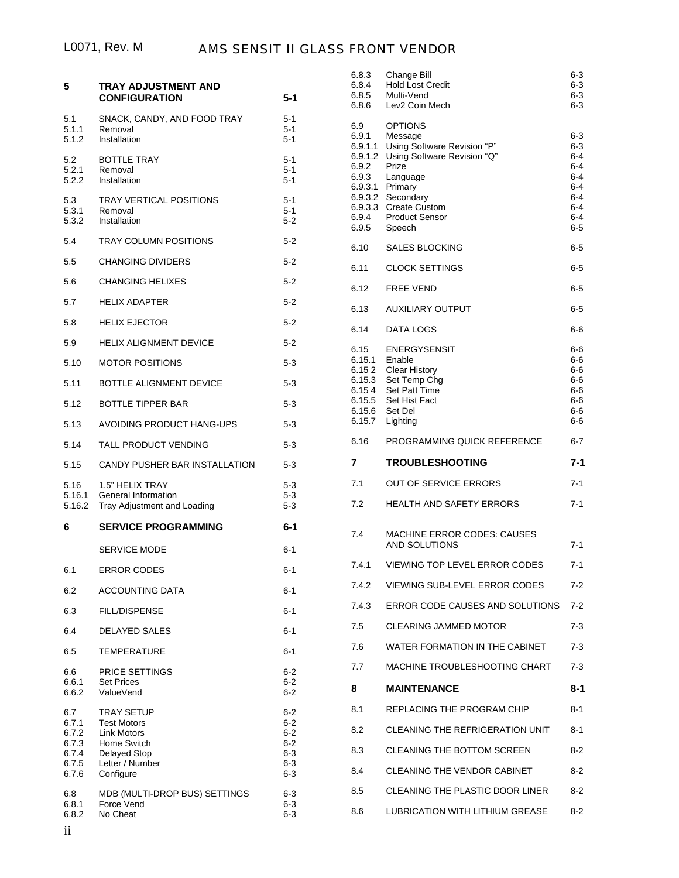## L0071, Rev. M **AMS SENSIT II GLASS FRONT VENDOR**

| 5                                                         | TRAY ADJUSTMENT AND<br><b>CONFIGURATION</b>                                                                           | 5-1                                                       |
|-----------------------------------------------------------|-----------------------------------------------------------------------------------------------------------------------|-----------------------------------------------------------|
| 5.1<br>5.1.1<br>5.1.2                                     | SNACK, CANDY, AND FOOD TRAY<br>Removal<br>Installation                                                                | 5-1<br>$5-1$<br>$5 - 1$                                   |
| 5.2<br>5.2.1<br>5.2.2                                     | <b>BOTTLE TRAY</b><br>Removal<br>Installation                                                                         | $5 - 1$<br>$5-1$<br>$5 - 1$                               |
| 5.3<br>5.3.1<br>5.3.2                                     | <b>TRAY VERTICAL POSITIONS</b><br>Removal<br>Installation                                                             | $5 - 1$<br>$5 - 1$<br>$5 - 2$                             |
| 5.4                                                       | <b>TRAY COLUMN POSITIONS</b>                                                                                          | $5 - 2$                                                   |
| 5.5                                                       | <b>CHANGING DIVIDERS</b>                                                                                              | $5-2$                                                     |
| 5.6                                                       | <b>CHANGING HELIXES</b>                                                                                               | $5 - 2$                                                   |
| 5.7                                                       | <b>HELIX ADAPTER</b>                                                                                                  | $5-2$                                                     |
| 5.8                                                       | <b>HELIX EJECTOR</b>                                                                                                  | $5 - 2$                                                   |
| 5.9                                                       | <b>HELIX ALIGNMENT DEVICE</b>                                                                                         | $5 - 2$                                                   |
| 5.10                                                      | <b>MOTOR POSITIONS</b>                                                                                                | $5-3$                                                     |
| 5.11                                                      | <b>BOTTLE ALIGNMENT DEVICE</b>                                                                                        | $5 - 3$                                                   |
| 5.12                                                      | <b>BOTTLE TIPPER BAR</b>                                                                                              | $5 - 3$                                                   |
| 5.13                                                      | AVOIDING PRODUCT HANG-UPS                                                                                             | 5-3                                                       |
| 5.14                                                      | <b>TALL PRODUCT VENDING</b>                                                                                           | 5-3                                                       |
| 5.15                                                      | CANDY PUSHER BAR INSTALLATION                                                                                         | $5 - 3$                                                   |
| 5.16<br>5.16.1<br>5.16.2                                  | 1.5" HELIX TRAY<br>General Information<br>Tray Adjustment and Loading                                                 | 5-3<br>5-3<br>5-3                                         |
| 6                                                         | <b>SERVICE PROGRAMMING</b>                                                                                            | 6-1                                                       |
|                                                           | <b>SERVICE MODE</b>                                                                                                   | 6-1                                                       |
| 6.1                                                       | <b>ERROR CODES</b>                                                                                                    | 6-1                                                       |
| 6.2                                                       | <b>ACCOUNTING DATA</b>                                                                                                | 6-1                                                       |
| 6.3                                                       | <b>FILL/DISPENSE</b>                                                                                                  | 6-1                                                       |
| 6.4                                                       | <b>DELAYED SALES</b>                                                                                                  | 6-1                                                       |
| 6.5                                                       | TEMPERATURE                                                                                                           | 6-1                                                       |
| 6.6<br>6.6.1<br>6.6.2                                     | <b>PRICE SETTINGS</b><br><b>Set Prices</b><br>ValueVend                                                               | 6-2<br>6-2<br>6-2                                         |
| 6.7<br>6.7.1<br>6.7.2<br>6.7.3<br>6.7.4<br>6.7.5<br>6.7.6 | TRAY SETUP<br><b>Test Motors</b><br>Link Motors<br>Home Switch<br><b>Delayed Stop</b><br>Letter / Number<br>Configure | 6-2<br>6-2<br>6-2<br>$6 - 2$<br>$6 - 3$<br>$6 - 3$<br>6-3 |
| 6.8<br>6.8.1<br>6.8.2                                     | MDB (MULTI-DROP BUS) SETTINGS<br>Force Vend<br>No Cheat                                                               | 6-3<br>$6 - 3$<br>$6 - 3$                                 |

| 6.8.3<br>6.8.4<br>6.8.5<br>6.8.6                                                                        | Change Bill<br><b>Hold Lost Credit</b><br>Multi-Vend<br>Lev2 Coin Mech                                                                                                                          | 6-3<br>$6-3$<br>$6-3$<br>$6-3$                                                               |
|---------------------------------------------------------------------------------------------------------|-------------------------------------------------------------------------------------------------------------------------------------------------------------------------------------------------|----------------------------------------------------------------------------------------------|
| 6.9<br>6.9.1<br>6.9.1.1<br>6.9.1.2<br>6.9.2<br>6.9.3<br>6.9.3.1<br>6.9.3.2<br>6.9.3.3<br>6.9.4<br>6.9.5 | <b>OPTIONS</b><br>Message<br>Using Software Revision "P"<br>Using Software Revision "Q"<br>Prize<br>Language<br>Primary<br>Secondary<br><b>Create Custom</b><br><b>Product Sensor</b><br>Speech | 6-3<br>6-3<br>6-4<br>$6 - 4$<br>$6 - 4$<br>$6 - 4$<br>$6 - 4$<br>$6 - 4$<br>$6 - 4$<br>$6-5$ |
| 6.10                                                                                                    | <b>SALES BLOCKING</b>                                                                                                                                                                           | 6-5                                                                                          |
| 6.11                                                                                                    | <b>CLOCK SETTINGS</b>                                                                                                                                                                           | $6-5$                                                                                        |
| 6.12                                                                                                    | <b>FREE VEND</b>                                                                                                                                                                                | 6-5                                                                                          |
| 6.13                                                                                                    | <b>AUXILIARY OUTPUT</b>                                                                                                                                                                         | $6-5$                                                                                        |
| 6.14                                                                                                    | DATA LOGS                                                                                                                                                                                       | 6-6                                                                                          |
| 6.15<br>6.15.1 Enable<br>6.152<br>6.15.3<br>6.154<br>6.15.5<br>6.15.6<br>6.15.7                         | <b>ENERGYSENSIT</b><br><b>Clear History</b><br>Set Temp Chg<br><b>Set Patt Time</b><br>Set Hist Fact<br>Set Del<br>Lighting                                                                     | 6-6<br>6-6<br>6-6<br>6-6<br>6-6<br>6-6<br>6-6<br>6-6                                         |
| 6.16                                                                                                    | PROGRAMMING QUICK REFERENCE                                                                                                                                                                     | $6 - 7$                                                                                      |
| 7                                                                                                       | <b>TROUBLESHOOTING</b>                                                                                                                                                                          | 7-1                                                                                          |
| 7.1                                                                                                     | <b>OUT OF SERVICE ERRORS</b>                                                                                                                                                                    | $7-1$                                                                                        |
| 7.2                                                                                                     | <b>HEALTH AND SAFETY ERRORS</b>                                                                                                                                                                 | $7 - 1$                                                                                      |
| 7.4                                                                                                     | <b>MACHINE ERROR CODES: CAUSES</b><br><b>AND SOLUTIONS</b>                                                                                                                                      | $7 - 1$                                                                                      |
| 7.4.1                                                                                                   | VIEWING TOP LEVEL ERROR CODES                                                                                                                                                                   | 7-1                                                                                          |
| 7.4.2                                                                                                   | VIEWING SUB-LEVEL ERROR CODES                                                                                                                                                                   | 7-2                                                                                          |
| 7.4.3                                                                                                   | ERROR CODE CAUSES AND SOLUTIONS                                                                                                                                                                 | 7-2                                                                                          |
| 7.5                                                                                                     | CLEARING JAMMED MOTOR                                                                                                                                                                           | 7-3                                                                                          |
| 7.6                                                                                                     | WATER FORMATION IN THE CABINET                                                                                                                                                                  | $7 - 3$                                                                                      |
| 7.7                                                                                                     | MACHINE TROUBLESHOOTING CHART                                                                                                                                                                   | 7-3                                                                                          |
| 8                                                                                                       | <b>MAINTENANCE</b>                                                                                                                                                                              | 8-1                                                                                          |
| 8.1                                                                                                     | REPLACING THE PROGRAM CHIP                                                                                                                                                                      | 8-1                                                                                          |
| 8.2                                                                                                     | CLEANING THE REFRIGERATION UNIT                                                                                                                                                                 | 8-1                                                                                          |
| 8.3                                                                                                     | CLEANING THE BOTTOM SCREEN                                                                                                                                                                      | 8-2                                                                                          |
| 8.4                                                                                                     | CLEANING THE VENDOR CABINET                                                                                                                                                                     | 8-2                                                                                          |
| 8.5                                                                                                     | CLEANING THE PLASTIC DOOR LINER                                                                                                                                                                 | 8-2                                                                                          |
| 8.6                                                                                                     | LUBRICATION WITH LITHIUM GREASE                                                                                                                                                                 | 8-2                                                                                          |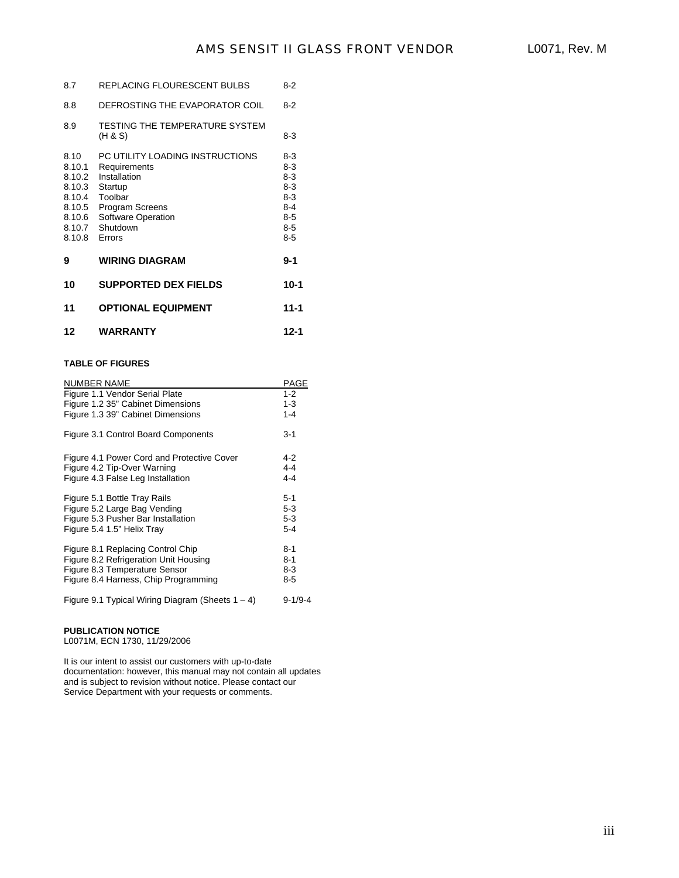## AMS SENSIT II GLASS FRONT VENDOR L0071, Rev. M

| 8.7                                                                                  | REPLACING FLOURESCENT BULBS                                                                                                                                 | $8-2$                                                                                       |
|--------------------------------------------------------------------------------------|-------------------------------------------------------------------------------------------------------------------------------------------------------------|---------------------------------------------------------------------------------------------|
| 8.8                                                                                  | DEFROSTING THE EVAPORATOR COIL                                                                                                                              | $8-2$                                                                                       |
| 8.9                                                                                  | TESTING THE TEMPERATURE SYSTEM<br>(H & S)                                                                                                                   | 8-3                                                                                         |
| 8.10<br>8.10.1<br>8.10.2<br>8.10.3<br>8.10.4<br>8.10.5<br>8.10.6<br>8.10.7<br>8.10.8 | PC UTILITY LOADING INSTRUCTIONS<br>Requirements<br>Installation<br>Startup<br>Toolbar<br><b>Program Screens</b><br>Software Operation<br>Shutdown<br>Errors | $8 - 3$<br>$8 - 3$<br>$8-3$<br>$8 - 3$<br>$8-3$<br>$8 - 4$<br>$8 - 5$<br>$8 - 5$<br>$8 - 5$ |
| 9                                                                                    | <b>WIRING DIAGRAM</b>                                                                                                                                       | 9-1                                                                                         |
| 10                                                                                   | <b>SUPPORTED DEX FIELDS</b>                                                                                                                                 | $10-1$                                                                                      |
| 11                                                                                   | <b>OPTIONAL EQUIPMENT</b>                                                                                                                                   | $11 - 1$                                                                                    |
| 12                                                                                   | <b>WARRANTY</b>                                                                                                                                             | 12-1                                                                                        |

#### **TABLE OF FIGURES**

| NUMBER NAME                                                                                                                                         | PAGE                                   |
|-----------------------------------------------------------------------------------------------------------------------------------------------------|----------------------------------------|
| Figure 1.1 Vendor Serial Plate                                                                                                                      | 1-2                                    |
| Figure 1.2 35" Cabinet Dimensions                                                                                                                   | $1 - 3$                                |
| Figure 1.3 39" Cabinet Dimensions                                                                                                                   | $1 - 4$                                |
| Figure 3.1 Control Board Components                                                                                                                 | $3 - 1$                                |
| Figure 4.1 Power Cord and Protective Cover                                                                                                          | $4 - 2$                                |
| Figure 4.2 Tip-Over Warning                                                                                                                         | $4 - 4$                                |
| Figure 4.3 False Leg Installation                                                                                                                   | $4 - 4$                                |
| Figure 5.1 Bottle Tray Rails<br>Figure 5.2 Large Bag Vending<br>Figure 5.3 Pusher Bar Installation<br>Figure 5.4 1.5" Helix Tray                    | $5 - 1$<br>$5-3$<br>$5 - 3$<br>$5 - 4$ |
| Figure 8.1 Replacing Control Chip<br>Figure 8.2 Refrigeration Unit Housing<br>Figure 8.3 Temperature Sensor<br>Figure 8.4 Harness, Chip Programming | $8 - 1$<br>$8 - 1$<br>$8-3$<br>8-5     |
| Figure 9.1 Typical Wiring Diagram (Sheets $1 - 4$ )                                                                                                 | $9 - 1/9 - 4$                          |
|                                                                                                                                                     |                                        |

#### **PUBLICATION NOTICE**

L0071M, ECN 1730, 11/29/2006

It is our intent to assist our customers with up-to-date documentation: however, this manual may not contain all updates and is subject to revision without notice. Please contact our Service Department with your requests or comments.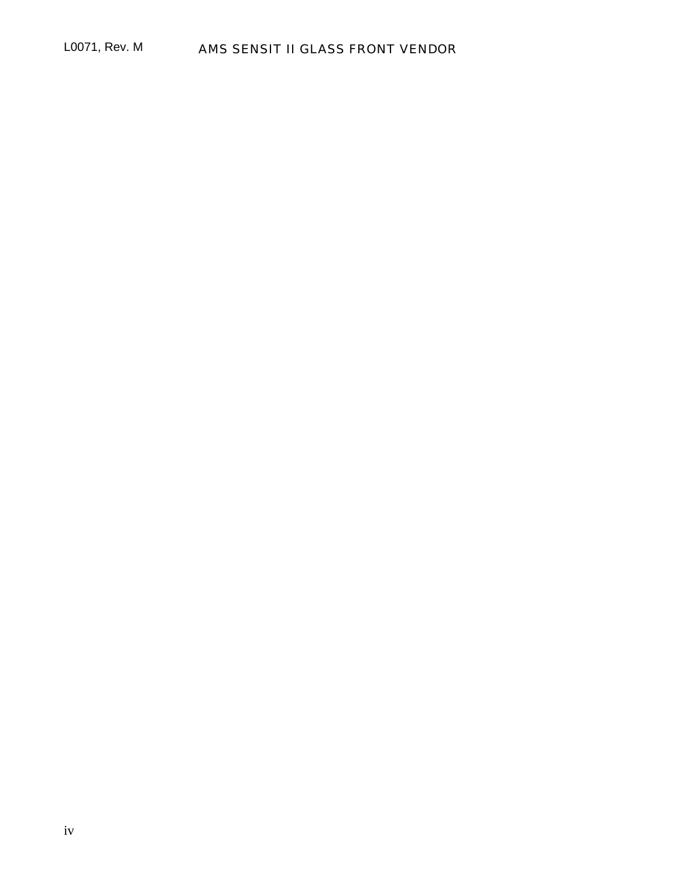## L0071, Rev. M **AMS SENSIT II GLASS FRONT VENDOR**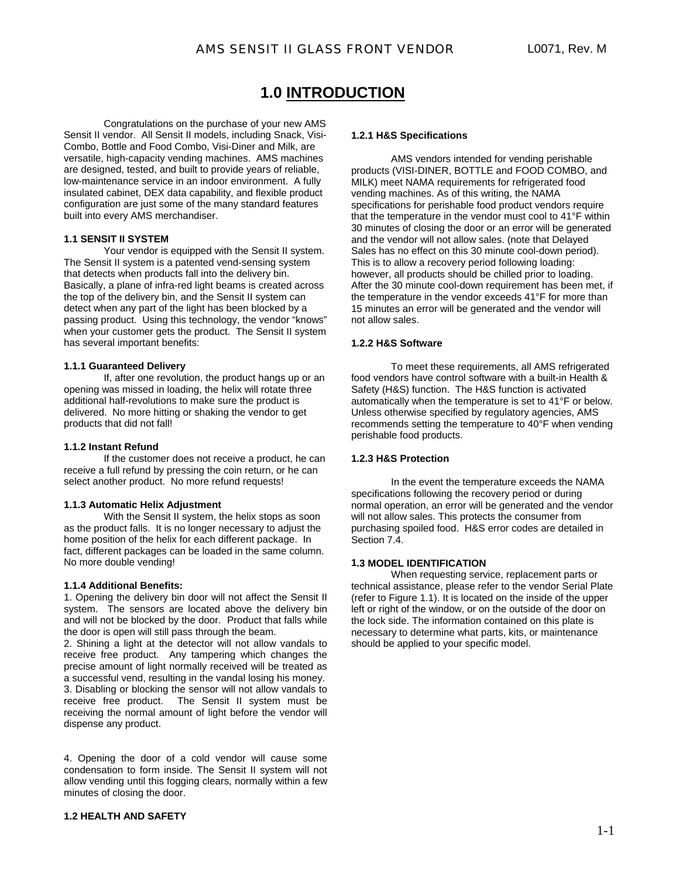## **1.0 INTRODUCTION**

Congratulations on the purchase of your new AMS Sensit II vendor. All Sensit II models, including Snack, Visi-Combo, Bottle and Food Combo, Visi-Diner and Milk, are versatile, high-capacity vending machines. AMS machines are designed, tested, and built to provide years of reliable, low-maintenance service in an indoor environment. A fully insulated cabinet, DEX data capability, and flexible product configuration are just some of the many standard features built into every AMS merchandiser.

#### **1.1 SENSIT II SYSTEM**

Your vendor is equipped with the Sensit II system. The Sensit II system is a patented vend-sensing system that detects when products fall into the delivery bin. Basically, a plane of infra-red light beams is created across the top of the delivery bin, and the Sensit II system can detect when any part of the light has been blocked by a passing product. Using this technology, the vendor "knows" when your customer gets the product. The Sensit II system has several important benefits:

#### **1.1.1 Guaranteed Delivery**

If, after one revolution, the product hangs up or an opening was missed in loading, the helix will rotate three additional half-revolutions to make sure the product is delivered. No more hitting or shaking the vendor to get products that did not fall!

#### **1.1.2 Instant Refund**

If the customer does not receive a product, he can receive a full refund by pressing the coin return, or he can select another product. No more refund requests!

#### **1.1.3 Automatic Helix Adjustment**

With the Sensit II system, the helix stops as soon as the product falls. It is no longer necessary to adjust the home position of the helix for each different package. In fact, different packages can be loaded in the same column. No more double vending!

#### **1.1.4 Additional Benefits:**

1. Opening the delivery bin door will not affect the Sensit II system. The sensors are located above the delivery bin and will not be blocked by the door. Product that falls while the door is open will still pass through the beam.

2. Shining a light at the detector will not allow vandals to receive free product. Any tampering which changes the precise amount of light normally received will be treated as a successful vend, resulting in the vandal losing his money. 3. Disabling or blocking the sensor will not allow vandals to receive free product. The Sensit II system must be receiving the normal amount of light before the vendor will dispense any product.

4. Opening the door of a cold vendor will cause some condensation to form inside. The Sensit II system will not allow vending until this fogging clears, normally within a few minutes of closing the door.

#### **1.2 HEALTH AND SAFETY**

#### **1.2.1 H&S Specifications**

AMS vendors intended for vending perishable products (VISI-DINER, BOTTLE and FOOD COMBO, and MILK) meet NAMA requirements for refrigerated food vending machines. As of this writing, the NAMA specifications for perishable food product vendors require that the temperature in the vendor must cool to 41°F within 30 minutes of closing the door or an error will be generated and the vendor will not allow sales. (note that Delayed Sales has no effect on this 30 minute cool-down period). This is to allow a recovery period following loading: however, all products should be chilled prior to loading. After the 30 minute cool-down requirement has been met, if the temperature in the vendor exceeds 41°F for more than 15 minutes an error will be generated and the vendor will not allow sales.

#### **1.2.2 H&S Software**

To meet these requirements, all AMS refrigerated food vendors have control software with a built-in Health & Safety (H&S) function. The H&S function is activated automatically when the temperature is set to 41°F or below. Unless otherwise specified by regulatory agencies, AMS recommends setting the temperature to 40°F when vending perishable food products.

#### **1.2.3 H&S Protection**

In the event the temperature exceeds the NAMA specifications following the recovery period or during normal operation, an error will be generated and the vendor will not allow sales. This protects the consumer from purchasing spoiled food. H&S error codes are detailed in Section 7.4.

#### **1.3 MODEL IDENTIFICATION**

When requesting service, replacement parts or technical assistance, please refer to the vendor Serial Plate (refer to Figure 1.1). It is located on the inside of the upper left or right of the window, or on the outside of the door on the lock side. The information contained on this plate is necessary to determine what parts, kits, or maintenance should be applied to your specific model.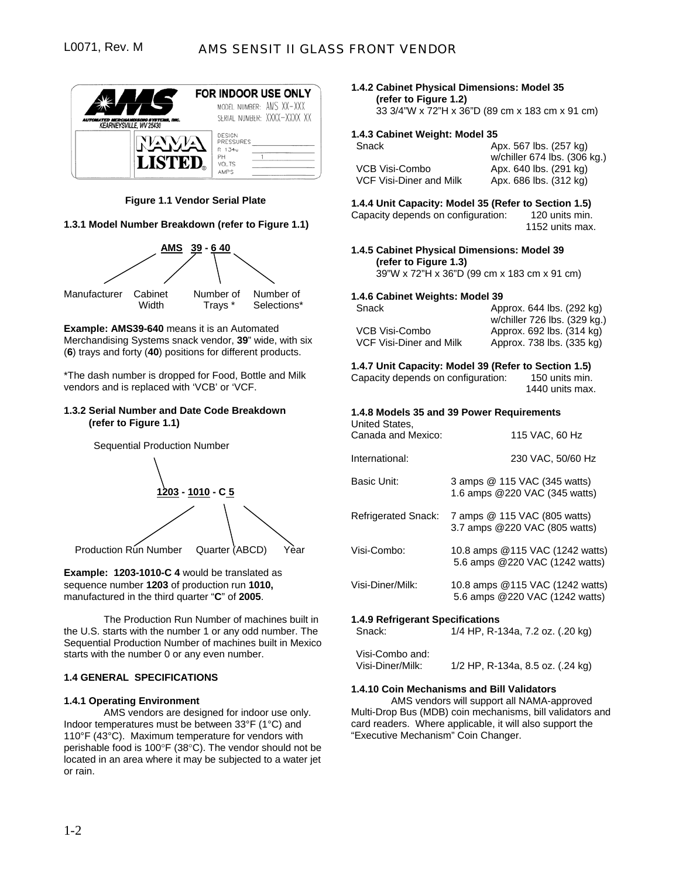## L0071, Rev. M **AMS SENSIT II GLASS FRONT VENDOR**



**Figure 1.1 Vendor Serial Plate** 

#### **1.3.1 Model Number Breakdown (refer to Figure 1.1)**



**Example: AMS39-640** means it is an Automated Merchandising Systems snack vendor, **39**" wide, with six (**6**) trays and forty (**40**) positions for different products.

\*The dash number is dropped for Food, Bottle and Milk vendors and is replaced with 'VCB' or 'VCF.

#### **1.3.2 Serial Number and Date Code Breakdown (refer to Figure 1.1)**

Sequential Production Number



**Example: 1203-1010-C 4** would be translated as sequence number **1203** of production run **1010,** manufactured in the third quarter "**C**" of **2005**.

The Production Run Number of machines built in the U.S. starts with the number 1 or any odd number. The Sequential Production Number of machines built in Mexico starts with the number 0 or any even number.

#### **1.4 GENERAL SPECIFICATIONS**

#### **1.4.1 Operating Environment**

AMS vendors are designed for indoor use only. Indoor temperatures must be between 33°F (1°C) and 110°F (43°C). Maximum temperature for vendors with perishable food is 100°F (38°C). The vendor should not be located in an area where it may be subjected to a water jet or rain.

#### **1.4.2 Cabinet Physical Dimensions: Model 35 (refer to Figure 1.2)**  33 3/4"W x 72"H x 36"D (89 cm x 183 cm x 91 cm)

**1.4.3 Cabinet Weight: Model 35** 

| Apx. 567 lbs. (257 kg)       |
|------------------------------|
| w/chiller 674 lbs. (306 kg.) |
| Apx. 640 lbs. (291 kg)       |
| Apx. 686 lbs. (312 kg)       |
|                              |

**1.4.4 Unit Capacity: Model 35 (Refer to Section 1.5)** 

```
Capacity depends on configuration:
                            1152 units max.
```

| 1.4.5 Cabinet Physical Dimensions: Model 39 |                                             |
|---------------------------------------------|---------------------------------------------|
| (refer to Figure 1.3)                       |                                             |
|                                             | 39"W x 72"H x 36"D (99 cm x 183 cm x 91 cm) |

#### **1.4.6 Cabinet Weights: Model 39**

| Approx. 644 lbs. (292 kg)    |
|------------------------------|
| w/chiller 726 lbs. (329 kg.) |
| Approx. 692 lbs. (314 kg)    |
| Approx. 738 lbs. (335 kg)    |
|                              |

**1.4.7 Unit Capacity: Model 39 (Refer to Section 1.5)**  Capacity depends on configuration: 150 units min. 1440 units max.

| United States,                                    | 1.4.8 Models 35 and 39 Power Requirements                         |
|---------------------------------------------------|-------------------------------------------------------------------|
| Canada and Mexico:                                | 115 VAC, 60 Hz                                                    |
| International:                                    | 230 VAC, 50/60 Hz                                                 |
| Basic Unit:                                       | 3 amps @ 115 VAC (345 watts)<br>1.6 amps @220 VAC (345 watts)     |
| Refrigerated Snack:                               | 7 amps @ 115 VAC (805 watts)<br>3.7 amps @220 VAC (805 watts)     |
| Visi-Combo:                                       | 10.8 amps @115 VAC (1242 watts)<br>5.6 amps @220 VAC (1242 watts) |
| Visi-Diner/Milk:                                  | 10.8 amps @115 VAC (1242 watts)<br>5.6 amps @220 VAC (1242 watts) |
| <b>1.4.9 Refrigerant Specifications</b><br>Snack: | 1/4 HP, R-134a, 7.2 oz. (.20 kg)                                  |

Visi-Combo and:<br>Visi-Diner/Milk: 1/2 HP, R-134a, 8.5 oz. (.24 kg)

#### **1.4.10 Coin Mechanisms and Bill Validators**

AMS vendors will support all NAMA-approved Multi-Drop Bus (MDB) coin mechanisms, bill validators and card readers. Where applicable, it will also support the "Executive Mechanism" Coin Changer.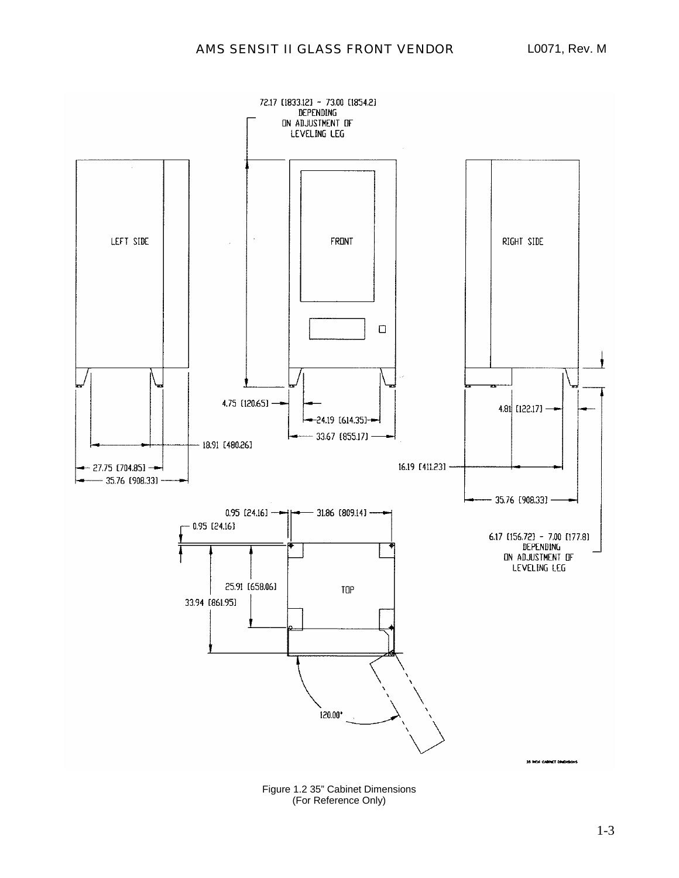

Figure 1.2 35" Cabinet Dimensions (For Reference Only)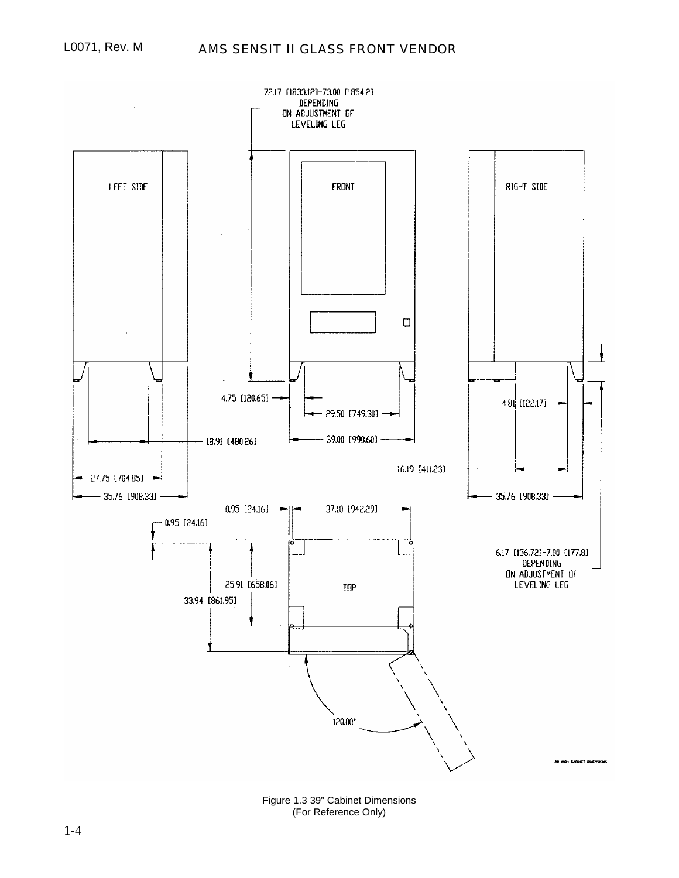

Figure 1.3 39" Cabinet Dimensions (For Reference Only)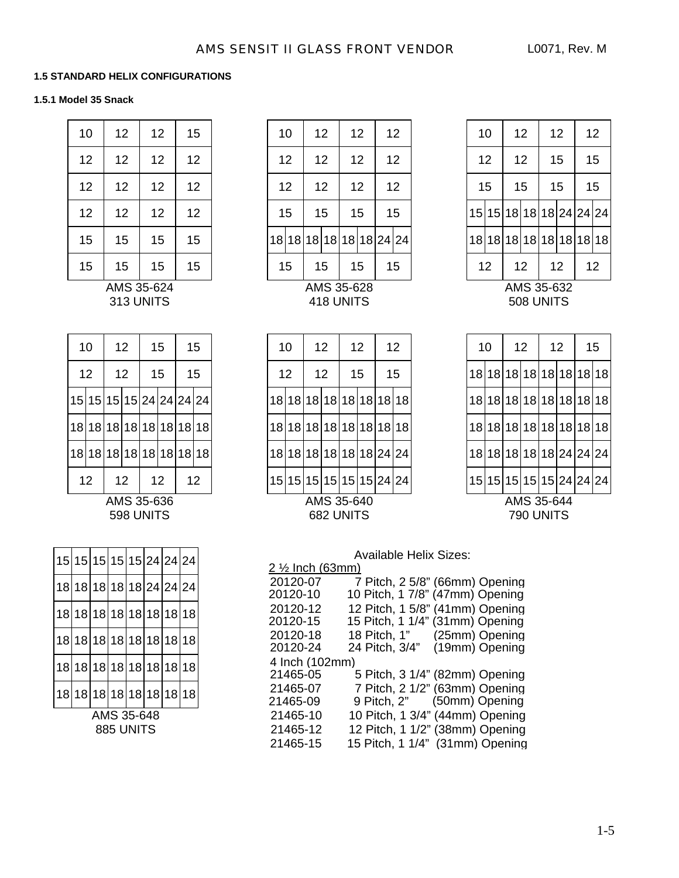### **1.5 STANDARD HELIX CONFIGURATIONS**

### **1.5.1 Model 35 Snack**

| 10 | 12       | 12 | 15 |
|----|----------|----|----|
| 12 | 12<br>12 |    | 12 |
| 12 | 12       | 12 | 12 |
| 12 | 12       | 12 | 12 |
| 15 | 15       | 15 | 15 |
| 15 | 15       | 15 | 15 |

AMS 35-624 313 UNITS

| 10         |                            | 12 |    | 15 |  | 15 |  |
|------------|----------------------------|----|----|----|--|----|--|
| 12         |                            | 12 |    | 15 |  | 15 |  |
|            | 15 15 15 15 24 24 24 24    |    |    |    |  |    |  |
|            | 18 18 18 18 18 18 18 18 18 |    |    |    |  |    |  |
|            | 18 18 18 18 18 18 18 18 18 |    |    |    |  |    |  |
| 12         |                            |    | 12 | 12 |  | 12 |  |
| AMS 35-636 |                            |    |    |    |  |    |  |

|                         | 15 15 15 15 15 24 24 24    |  |  |  |  |  |  |  |
|-------------------------|----------------------------|--|--|--|--|--|--|--|
|                         | 18 18 18 18 18 24 24 24    |  |  |  |  |  |  |  |
|                         | 18 18 18 18 18 18 18 18 18 |  |  |  |  |  |  |  |
|                         | 18 18 18 18 18 18 18 18    |  |  |  |  |  |  |  |
|                         | 18 18 18 18 18 18 18 18    |  |  |  |  |  |  |  |
|                         | 18 18 18 18 18 18 18 18 18 |  |  |  |  |  |  |  |
| AMS 35-648<br>885 UNITS |                            |  |  |  |  |  |  |  |

| 10 | 12        | 12         | 15 | 10                      |  | 12                      | 12 |  |  | 12 |  |                         |  | 10 | 12 |                            | 12 |  | 12 |    |  |
|----|-----------|------------|----|-------------------------|--|-------------------------|----|--|--|----|--|-------------------------|--|----|----|----------------------------|----|--|----|----|--|
| 12 | 12        | 12         | 12 | 12                      |  | 12                      | 12 |  |  | 12 |  |                         |  | 12 | 12 |                            | 15 |  |    | 15 |  |
| 12 | 12        | 12         | 12 | 12                      |  | 12                      | 12 |  |  | 12 |  |                         |  | 15 | 15 |                            | 15 |  | 15 |    |  |
| 12 | 12        | 12         | 12 | 15                      |  | 15                      | 15 |  |  | 15 |  |                         |  |    |    | 15 15 18 18 18 24 24 24    |    |  |    |    |  |
| 15 | 15        | 15         | 15 |                         |  | 18 18 18 18 18 18 24 24 |    |  |  |    |  |                         |  |    |    | 18 18 18 18 18 18 18 18 18 |    |  |    |    |  |
| 15 | 15        | 15         | 15 | 15                      |  | 15                      | 15 |  |  | 15 |  | 12                      |  |    | 12 |                            | 12 |  | 12 |    |  |
|    | 313 UNITS | AMS 35-624 |    | AMS 35-628<br>418 UNITS |  |                         |    |  |  |    |  | AMS 35-632<br>508 UNITS |  |    |    |                            |    |  |    |    |  |

|                         | 10 |  | 12 |  | 15 |                              | 15 |
|-------------------------|----|--|----|--|----|------------------------------|----|
|                         | 12 |  | 12 |  | 15 |                              | 15 |
|                         |    |  |    |  |    | 15 15 15 15 24 24 24 24 24   |    |
|                         |    |  |    |  |    | 18 18 18 18 18 18 18 18 18 1 |    |
|                         |    |  |    |  |    | 18 18 18 18 18 18 18 18 18 1 |    |
|                         | 12 |  | 12 |  | 12 |                              | 12 |
| AMS 35-636<br>598 UNITS |    |  |    |  |    |                              |    |

| 10                         | 12 | 12 | 12 |    |  |  |
|----------------------------|----|----|----|----|--|--|
| 12                         | 12 |    | 15 | 15 |  |  |
| 15                         | 15 |    | 15 | 15 |  |  |
| 15 15 18 18 18 24 24 24    |    |    |    |    |  |  |
| 18 18 18 18 18 18 18 18 18 |    |    |    |    |  |  |
| 12                         | 12 |    | 12 | 12 |  |  |

 AMS 35-632 508 UNITS

|            | 10                         |  | 12 <sup>2</sup> | 12 |  | 15 |  |  |
|------------|----------------------------|--|-----------------|----|--|----|--|--|
|            | 18 18 18 18 18 18 18 18 18 |  |                 |    |  |    |  |  |
|            | 18 18 18 18 18 18 18 18 18 |  |                 |    |  |    |  |  |
|            | 18 18 18 18 18 18 18 18 18 |  |                 |    |  |    |  |  |
|            | 18 18 18 18 18 24 24 24    |  |                 |    |  |    |  |  |
|            | 15 15 15 15 15 24 24 24    |  |                 |    |  |    |  |  |
| AMS 35-644 |                            |  |                 |    |  |    |  |  |

Available Helix Sizes:

|            |  | 19 19 19 19 19 19 <del>21 21 21</del> |  |           |  |  | $2\frac{1}{2}$ Inch (63mm)                  |
|------------|--|---------------------------------------|--|-----------|--|--|---------------------------------------------|
|            |  | 18 18 18 18 18 24 24 24               |  |           |  |  | 20120-07<br>7 Pitch, 2 5/8" (66mm) Opening  |
|            |  |                                       |  |           |  |  | 20120-10<br>10 Pitch, 1 7/8" (47mm) Opening |
|            |  | 18 18 18 18 18 18 18 18               |  |           |  |  | 12 Pitch, 1 5/8" (41mm) Opening<br>20120-12 |
|            |  |                                       |  |           |  |  | 20120-15<br>15 Pitch, 1 1/4" (31mm) Opening |
|            |  | 18 18 18 18 18 18 18 18 18            |  |           |  |  | 20120-18<br>18 Pitch, 1" (25mm) Opening     |
|            |  |                                       |  |           |  |  | 24 Pitch, 3/4" (19mm) Opening<br>20120-24   |
|            |  | 18 18 18 18 18 18 18 18 18            |  |           |  |  | 4 Inch (102mm)                              |
|            |  |                                       |  |           |  |  | 5 Pitch, 3 1/4" (82mm) Opening<br>21465-05  |
|            |  | 18 18 18 18 18 18 18 18 18            |  |           |  |  | 7 Pitch, 2 1/2" (63mm) Opening<br>21465-07  |
|            |  |                                       |  |           |  |  | 21465-09<br>9 Pitch, 2" (50mm) Opening      |
| AMS 35-648 |  |                                       |  |           |  |  | 10 Pitch, 1 3/4" (44mm) Opening<br>21465-10 |
|            |  |                                       |  | 885 UNITS |  |  | 12 Pitch, 1 1/2" (38mm) Opening<br>21465-12 |
|            |  |                                       |  |           |  |  | 15 Pitch, 1 1/4" (31mm) Opening<br>21465-15 |
|            |  |                                       |  |           |  |  |                                             |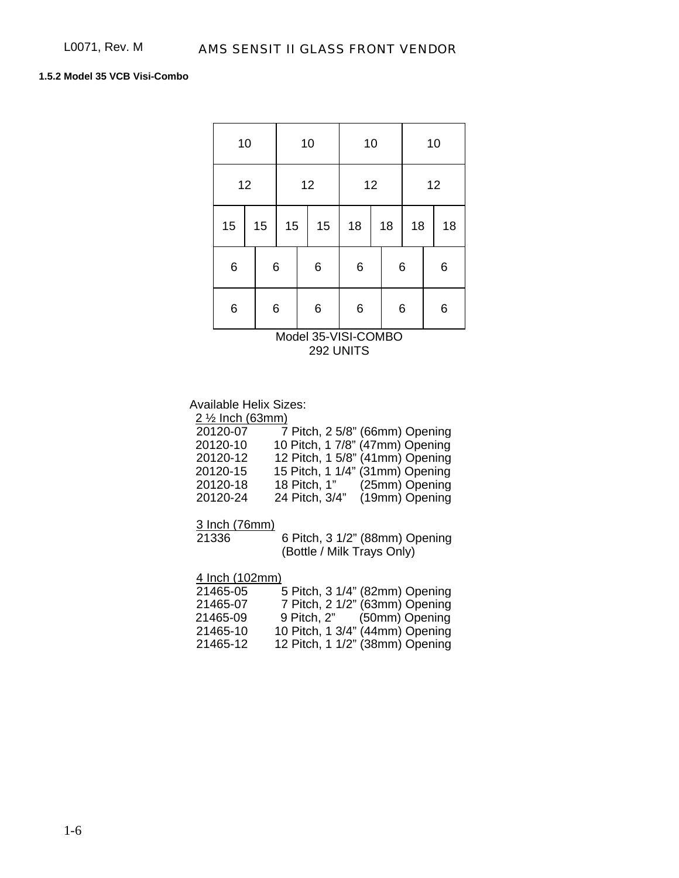#### **1.5.2 Model 35 VCB Visi-Combo**

|                                  | 10 |    | 10 |   |                | 10 |    | 10 |   |    |   |
|----------------------------------|----|----|----|---|----------------|----|----|----|---|----|---|
| 12                               |    |    | 12 |   |                | 12 |    | 12 |   |    |   |
| 15                               |    | 15 |    |   | 15<br>15<br>18 |    | 18 | 18 |   | 18 |   |
| 6                                |    | 6  | 6  |   |                | 6  |    |    | 6 |    | 6 |
| 6<br>6                           |    |    |    | 6 |                | 6  |    | 6  |   |    | 6 |
| Model 35-VISI-COMBO<br>292 UNITS |    |    |    |   |                |    |    |    |   |    |   |

## Available Helix Sizes:

| $2\frac{1}{2}$ Inch (63mm) |                                  |
|----------------------------|----------------------------------|
| 20120-07                   | 7 Pitch, 2 5/8" (66mm) Opening   |
| 20120-10                   | 10 Pitch, 1 7/8" (47mm) Opening  |
| 20120-12                   | 12 Pitch, 1 5/8" (41mm) Opening  |
| 20120-15                   | 15 Pitch, 1 1/4" (31mm) Opening  |
| 20120-18                   | (25mm) Opening<br>18 Pitch, 1"   |
| 20120-24                   | (19mm) Opening<br>24 Pitch, 3/4" |
|                            |                                  |

## 3 Inch (76mm)

| 21336 | 6 Pitch, 3 1/2" (88mm) Opening |
|-------|--------------------------------|
|       | (Bottle / Milk Trays Only)     |

## 4 Inch (102mm)

| 21465-05 | 5 Pitch, 3 1/4" (82mm) Opening  |
|----------|---------------------------------|
| 21465-07 | 7 Pitch, 2 1/2" (63mm) Opening  |
| 21465-09 | 9 Pitch, 2" (50mm) Opening      |
| 21465-10 | 10 Pitch, 1 3/4" (44mm) Opening |
| 21465-12 | 12 Pitch, 1 1/2" (38mm) Opening |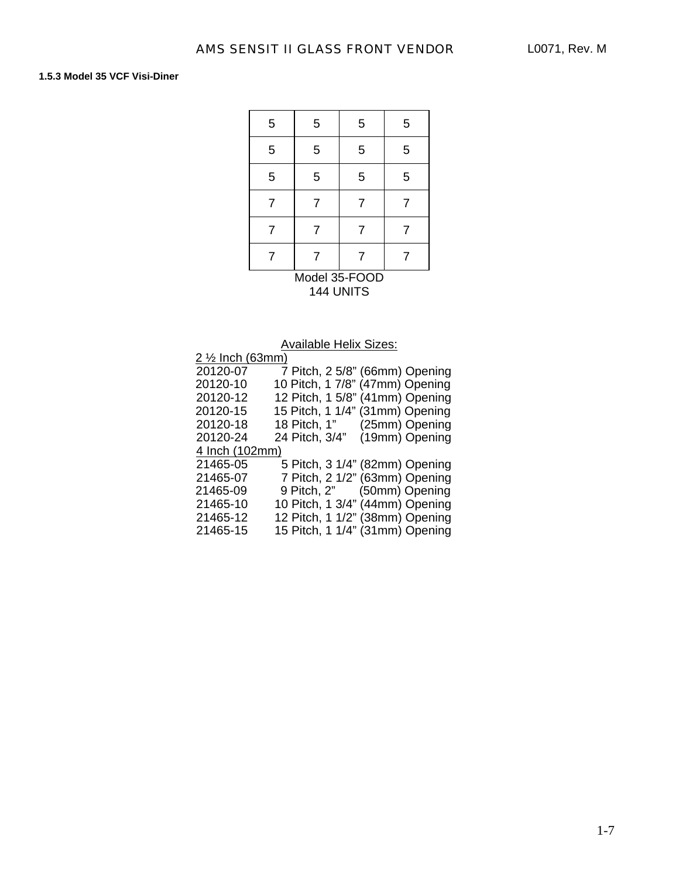### **1.5.3 Model 35 VCF Visi-Diner**

| 5                          | 5 | 5 | 5 |  |  |  |
|----------------------------|---|---|---|--|--|--|
| 5                          | 5 | 5 | 5 |  |  |  |
| 5                          | 5 | 5 | 5 |  |  |  |
| 7                          | 7 | 7 | 7 |  |  |  |
| 7                          | 7 | 7 | 7 |  |  |  |
| 7<br>7<br>7<br>7           |   |   |   |  |  |  |
| Model 35-FOOD<br>144 UNITS |   |   |   |  |  |  |

## Available Helix Sizes:

| Available Hellx Sizes:          |
|---------------------------------|
| 2 1/ <sub>2</sub> Inch (63mm)   |
| 7 Pitch, 2 5/8" (66mm) Opening  |
| 10 Pitch, 1 7/8" (47mm) Opening |
| 12 Pitch, 1 5/8" (41mm) Opening |
| 15 Pitch, 1 1/4" (31mm) Opening |
| 18 Pitch, 1" (25mm) Opening     |
| 24 Pitch, 3/4" (19mm) Opening   |
| 4 Inch (102mm)                  |
| 5 Pitch, 3 1/4" (82mm) Opening  |
| 7 Pitch, 2 1/2" (63mm) Opening  |
| 9 Pitch, 2" (50mm) Opening      |
| 10 Pitch, 1 3/4" (44mm) Opening |
| 12 Pitch, 1 1/2" (38mm) Opening |
| 15 Pitch, 1 1/4" (31mm) Opening |
|                                 |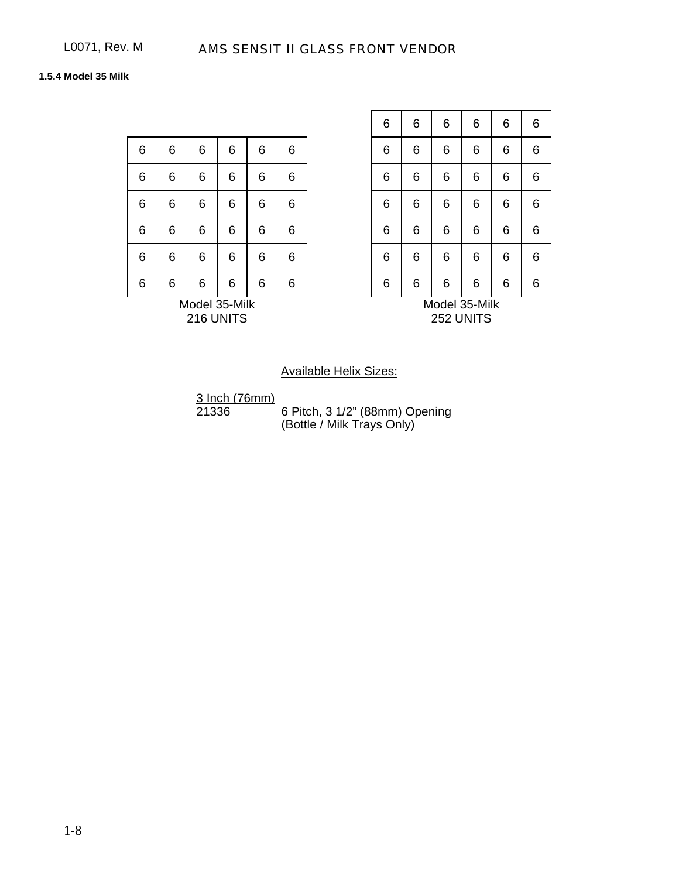**1.5.4 Model 35 Milk** 

| 6 | 6 | 6 | 6                          | 6 | 6 |
|---|---|---|----------------------------|---|---|
| 6 | 6 | 6 | 6                          | 6 | 6 |
| 6 | 6 | 6 | 6                          | 6 | 6 |
| 6 | 6 | 6 | 6                          | 6 | 6 |
| 6 | 6 | 6 | 6                          | 6 | 6 |
| 6 | 6 | 6 | 6                          | 6 | 6 |
|   |   |   | Model 35-Milk<br>216 UNITS |   |   |

|   |   |   |                            |   |   | 6 | 6 | 6                          | 6 | 6 | 6 |
|---|---|---|----------------------------|---|---|---|---|----------------------------|---|---|---|
| 6 | 6 | 6 | 6                          | 6 | 6 | 6 | 6 | 6                          | 6 | 6 | 6 |
| 6 | 6 | 6 | 6                          | 6 | 6 | 6 | 6 | 6                          | 6 | 6 | 6 |
| 6 | 6 | 6 | 6                          | 6 | 6 | 6 | 6 | 6                          | 6 | 6 | 6 |
| 6 | 6 | 6 | 6                          | 6 | 6 | 6 | 6 | 6                          | 6 | 6 | 6 |
| 6 | 6 | 6 | 6                          | 6 | 6 | 6 | 6 | 6                          | 6 | 6 | 6 |
| 6 | 6 | 6 | 6                          | 6 | 6 | 6 | 6 | 6                          | 6 | 6 | 6 |
|   |   |   | Model 35-Milk<br>216 UNITS |   |   |   |   | Model 35-Milk<br>252 UNITS |   |   |   |

Available Helix Sizes:

3 Inch (76mm)

 21336 6 Pitch, 3 1/2" (88mm) Opening (Bottle / Milk Trays Only)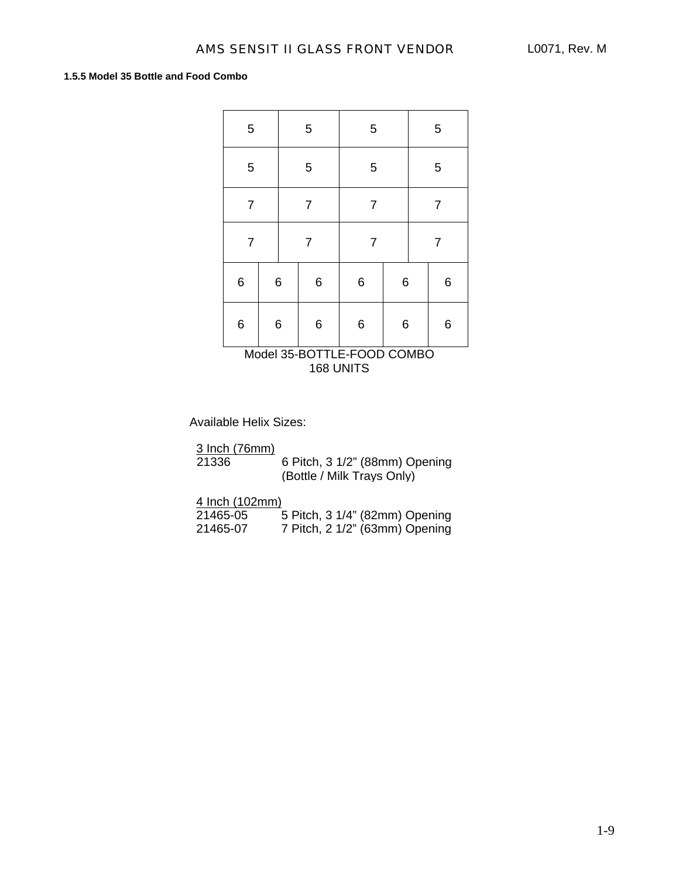### **1.5.5 Model 35 Bottle and Food Combo**

| 5 |   | 5 | 5                                       |   | 5 |   |  |  |  |
|---|---|---|-----------------------------------------|---|---|---|--|--|--|
| 5 |   | 5 | 5                                       |   |   | 5 |  |  |  |
| 7 |   | 7 | $\overline{7}$                          |   |   | 7 |  |  |  |
| 7 |   | 7 | $\overline{7}$                          |   |   | 7 |  |  |  |
| 6 | 6 | 6 | 6                                       | 6 |   | 6 |  |  |  |
| 6 | 6 | 6 | 6                                       | 6 |   | 6 |  |  |  |
|   |   |   | Model 35-BOTTLE-FOOD COMBO<br>168 UNITS |   |   |   |  |  |  |

Available Helix Sizes:

| 3 Inch (76mm) |                                                              |
|---------------|--------------------------------------------------------------|
| 21336         | 6 Pitch, 3 1/2" (88mm) Opening<br>(Bottle / Milk Trays Only) |

| 4 Inch (102mm) |
|----------------|
|                |

| 21465-05 | 5 Pitch, 3 1/4" (82mm) Opening |
|----------|--------------------------------|
| 21465-07 | 7 Pitch, 2 1/2" (63mm) Opening |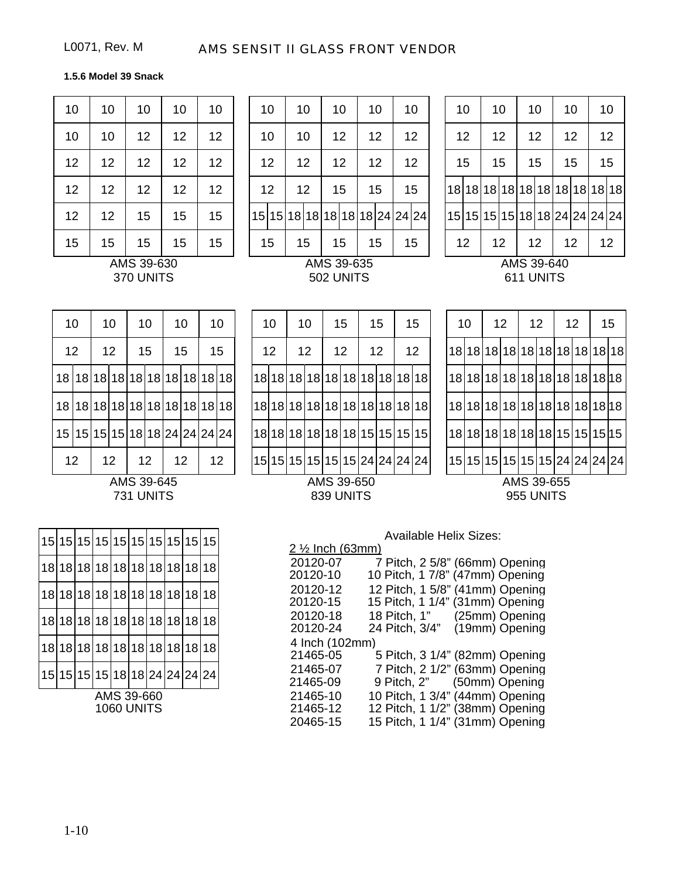**1.5.6 Model 39 Snack** 

| 10         | 10 | 10 | 10 | 10 |  |  |  |  |  |
|------------|----|----|----|----|--|--|--|--|--|
| 10         | 10 | 12 | 12 | 12 |  |  |  |  |  |
| 12         | 12 | 12 | 12 | 12 |  |  |  |  |  |
| 12         | 12 | 12 | 12 | 12 |  |  |  |  |  |
| 12         | 12 | 15 | 15 | 15 |  |  |  |  |  |
| 15         | 15 | 15 | 15 | 15 |  |  |  |  |  |
| AMS 39-630 |    |    |    |    |  |  |  |  |  |

| 10 | 10 | 10                      | 10 | 10 | 10 | 10<br>10                |    | 10                            | 10 |  | 10              |                         | 10 |    | 10 |    | 10 |                                    | 10 |
|----|----|-------------------------|----|----|----|-------------------------|----|-------------------------------|----|--|-----------------|-------------------------|----|----|----|----|----|------------------------------------|----|
| 10 | 10 | 12                      | 12 | 12 | 10 | 10                      | 12 | 12<br>12                      |    |  |                 | 12                      |    | 12 |    | 12 |    | 12                                 | 12 |
| 12 | 12 | 12                      | 12 | 12 | 12 | 12                      | 12 | 12                            | 12 |  |                 | 15                      | 15 |    |    | 15 |    | 15                                 | 15 |
| 12 | 12 | 12                      | 12 | 12 | 12 | 12                      |    | 15                            | 15 |  |                 |                         |    |    |    |    |    | 18 18 18 18 18 18 18 18 18 18 18 1 |    |
| 12 | 12 | 15                      | 15 | 15 |    |                         |    | 15 15 18 18 18 18 18 24 24 24 |    |  | 15 <sup>1</sup> |                         |    |    |    |    |    | 15 15 15 18 18 24 24 24 24         |    |
| 15 | 15 | 15                      | 15 | 15 | 15 | 15                      | 15 | 15                            | 15 |  |                 | 12                      |    | 12 |    | 12 |    | 12                                 | 12 |
|    |    | AMS 39-630<br>370 UNITS |    |    |    | AMS 39-635<br>502 UNITS |    |                               |    |  |                 | AMS 39-640<br>611 UNITS |    |    |    |    |    |                                    |    |

| 10 | 10 | 10         | 10 | 10 |  | 10    | 10    | 10         | 10 | 10                |  |                 | 10       | 10 |          | 10         |       | 10 |  | 10                |
|----|----|------------|----|----|--|-------|-------|------------|----|-------------------|--|-----------------|----------|----|----------|------------|-------|----|--|-------------------|
| 10 | 10 | 12         | 12 | 12 |  | 10    | 10    | 12         |    | 12                |  |                 | 12       | 12 |          | 12         |       | 12 |  | 12                |
| 12 | 12 | 12         | 12 | 12 |  | 12    | 12    | 12         | 12 | 12                |  |                 | 15       | 15 |          | 15         |       | 15 |  | 15                |
| 12 | 12 | 12         | 12 | 12 |  | 12    | 12    | 15         | 15 | 15                |  | 18              | 18 18 18 |    |          |            | 18 18 |    |  | 18 18 18 18       |
| 12 | 12 | 15         | 15 | 15 |  | 15 15 | 18 18 |            |    | 18 18 18 24 24 24 |  | 15 <sup>1</sup> |          |    | 15 15 15 |            |       |    |  | 18 18 24 24 24 24 |
| 15 | 15 | 15         | 15 | 15 |  | 15    | 15    | 15         | 15 | 15                |  |                 | 12       | 12 |          | 12         |       | 12 |  | 12                |
|    |    | AMS 39-630 |    |    |  |       |       | AMS 39-635 |    |                   |  |                 |          |    |          | AMS 39-640 |       |    |  |                   |

611 UNITS

| 10         |                                  |  | 10 |  | 10 |    | 10 | 10 |  |  |  |  |
|------------|----------------------------------|--|----|--|----|----|----|----|--|--|--|--|
| 12         |                                  |  | 12 |  | 15 | 15 |    | 15 |  |  |  |  |
|            | 18 18 18 18 18 18 18 18 18 18 18 |  |    |  |    |    |    |    |  |  |  |  |
|            | 18 18 18 18 18 18 18 18 18 18 18 |  |    |  |    |    |    |    |  |  |  |  |
|            | 15 15 15 15 18 18 24 24 24 24    |  |    |  |    |    |    |    |  |  |  |  |
| 12         |                                  |  | 12 |  | 12 |    | 12 | 12 |  |  |  |  |
| AMS 39-645 |                                  |  |    |  |    |    |    |    |  |  |  |  |

| AMS 39-645 |
|------------|
| 731 UNITS  |

| 10              |  | 10 | 10 | 10<br>10   |    | 10                         |            | 10 |  |    | 15 |    | 15 |    | 15 | 10                            |  | 12 |            | 12 |                                  | 12 |  | 15 |  |  |
|-----------------|--|----|----|------------|----|----------------------------|------------|----|--|----|----|----|----|----|----|-------------------------------|--|----|------------|----|----------------------------------|----|--|----|--|--|
| 12              |  | 12 | 15 |            | 15 | 15                         |            | 12 |  | 12 |    | 12 |    | 12 |    | 12                            |  |    |            |    | 18 18 18 18 18 18 18 18 18 18    |    |  |    |  |  |
|                 |  |    |    |            |    |                            |            |    |  |    |    |    |    |    |    | 18 18 18 18 18 18 18 18 18 18 |  |    |            |    | 18 18 18 18 18 18 18 18 18 18    |    |  |    |  |  |
|                 |  |    |    |            |    |                            |            |    |  |    |    |    |    |    |    | 18 18 18 18 18 18 18 18 18 18 |  |    |            |    | 18 18 18 18 18 18 18 18 18 18    |    |  |    |  |  |
| 15 <sup>1</sup> |  |    |    |            |    | 15 15 15 18 18 24 24 24 24 |            |    |  |    |    |    |    |    |    | 18 18 18 18 18 18 15 15 15 15 |  |    |            |    | 18 18 18 18 18 18 15 15 15 15    |    |  |    |  |  |
| 12              |  | 12 | 12 |            | 12 | 12                         | 15I        |    |  |    |    |    |    |    |    | 15 15 15 15 15 15 24 24 24 24 |  |    |            |    | 15 15 15 15 15 15 15 24 24 24 24 |    |  |    |  |  |
|                 |  |    |    | AMS 39-645 |    |                            | AMS 39-650 |    |  |    |    |    |    |    |    |                               |  |    | AMS 39-655 |    |                                  |    |  |    |  |  |

| 10                            |  | 12                               | 12 <sup>7</sup> |                   | 12 | - 15 |  |  |
|-------------------------------|--|----------------------------------|-----------------|-------------------|----|------|--|--|
|                               |  | 18 18 18 18 18 18 18 18 18 18 18 |                 |                   |    |      |  |  |
|                               |  | 18 18 18 18 18 18 18 18 18 18 18 |                 |                   |    |      |  |  |
|                               |  | 18 18 18 18 18 18 18 18 18 18    |                 |                   |    |      |  |  |
|                               |  | 18 18 18 18 18 18 18 15 15 15 15 |                 |                   |    |      |  |  |
| 15 15 15 15 15 15 24 24 24 24 |  |                                  |                 |                   |    |      |  |  |
|                               |  |                                  |                 | <b>AMS 20-655</b> |    |      |  |  |

839 UNITS

 AMS 39-655 955 UNITS

|            |  |  |  | 15 15 15 15 15 15 15 15 15 15 15 |  |  |  |  |  |  |  |  |
|------------|--|--|--|----------------------------------|--|--|--|--|--|--|--|--|
|            |  |  |  | 18 18 18 18 18 18 18 18 18 18 18 |  |  |  |  |  |  |  |  |
|            |  |  |  | 18 18 18 18 18 18 18 18 18 18 18 |  |  |  |  |  |  |  |  |
|            |  |  |  | 18 18 18 18 18 18 18 18 18 18 18 |  |  |  |  |  |  |  |  |
|            |  |  |  | 18 18 18 18 18 18 18 18 18 18 18 |  |  |  |  |  |  |  |  |
|            |  |  |  | 15 15 15 15 18 18 24 24 24 24    |  |  |  |  |  |  |  |  |
| AMS 39-660 |  |  |  |                                  |  |  |  |  |  |  |  |  |
|            |  |  |  | 1060 UNITS                       |  |  |  |  |  |  |  |  |

|                               |  |                                 |  |  | 15 15 15 15 15 15 15 15 15 15 15 15 | <b>Available Helix Sizes:</b>                                                                                                             |
|-------------------------------|--|---------------------------------|--|--|-------------------------------------|-------------------------------------------------------------------------------------------------------------------------------------------|
|                               |  |                                 |  |  |                                     | $2\frac{1}{2}$ Inch (63mm)                                                                                                                |
|                               |  |                                 |  |  | 18 18 18 18 18 18 18 18 18 18       | 20120-07<br>7 Pitch, 2 5/8" (66mm) Opening<br>20120-10<br>10 Pitch, 1 7/8" (47mm) Opening                                                 |
|                               |  |                                 |  |  | 18 18 18 18 18 18 18 18 18 18       | 20120-12<br>12 Pitch, 1 5/8" (41mm) Opening<br>15 Pitch, 1 1/4" (31mm) Opening<br>20120-15                                                |
|                               |  |                                 |  |  | 18 18 18 18 18 18 18 18 18 18       | 20120-18<br>18 Pitch, 1" (25mm) Opening<br>24 Pitch, 3/4" (19mm) Opening<br>20120-24                                                      |
|                               |  |                                 |  |  | 18 18 18 18 18 18 18 18 18 18 18 1  | 4 Inch (102mm)<br>5 Pitch, 3 1/4" (82mm) Opening<br>21465-05                                                                              |
| 15 15 15 15 18 18 24 24 24 24 |  |                                 |  |  |                                     | 7 Pitch, 2 1/2" (63mm) Opening<br>21465-07<br>21465-09<br>9 Pitch, 2" (50mm) Opening                                                      |
|                               |  | AMS 39-660<br><b>1060 UNITS</b> |  |  |                                     | 10 Pitch, 1 3/4" (44mm) Opening<br>21465-10<br>12 Pitch, 1 1/2" (38mm) Opening<br>21465-12<br>15 Pitch, 1 1/4" (31mm) Opening<br>20465-15 |

 $\overline{a}$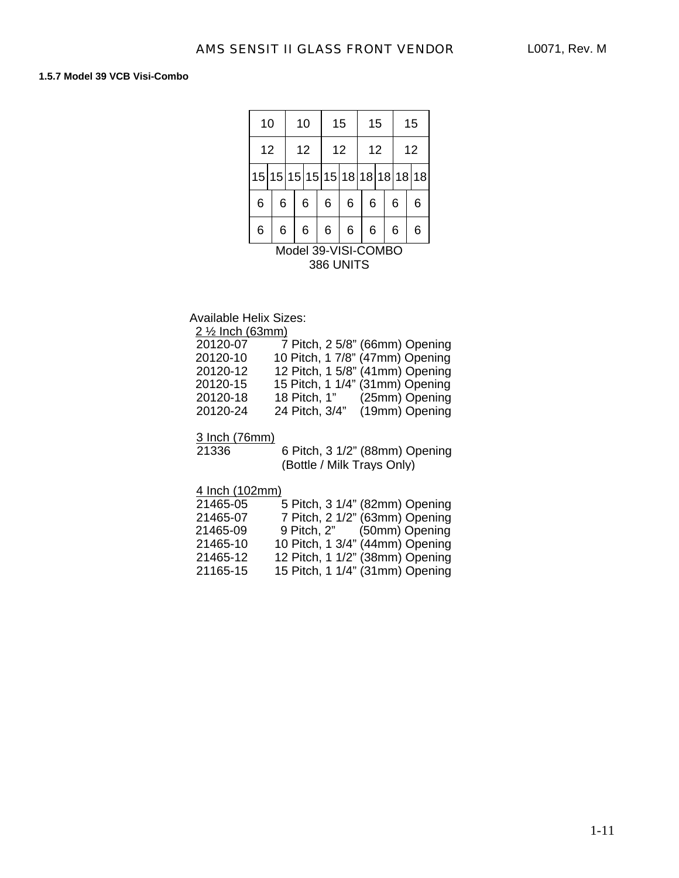#### **1.5.7 Model 39 VCB Visi-Combo**

| 10     |                     |  | 10 |    | 15 |   | 15                               |    | 15 |  |  |  |  |
|--------|---------------------|--|----|----|----|---|----------------------------------|----|----|--|--|--|--|
| 12     |                     |  | 12 | 12 |    |   | 12                               | 12 |    |  |  |  |  |
|        |                     |  |    |    |    |   | 15 15 15 15 15 16 18 18 18 18 18 |    |    |  |  |  |  |
| 6      | 6                   |  | 6  | 6  | 6  | 6 |                                  | 6  | 6  |  |  |  |  |
| 6<br>6 |                     |  | 6  | 6  | 6  | 6 |                                  | 6  | 6  |  |  |  |  |
|        | Model 39-VISI-COMBO |  |    |    |    |   |                                  |    |    |  |  |  |  |

386 UNITS

Available Helix Sizes:

| $2\frac{1}{2}$ Inch (63mm) |                |                                 |
|----------------------------|----------------|---------------------------------|
| 20120-07                   |                | 7 Pitch, 2 5/8" (66mm) Opening  |
| 20120-10                   |                | 10 Pitch, 1 7/8" (47mm) Opening |
| 20120-12                   |                | 12 Pitch, 1 5/8" (41mm) Opening |
| 20120-15                   |                | 15 Pitch, 1 1/4" (31mm) Opening |
| 20120-18                   | 18 Pitch, 1"   | (25mm) Opening                  |
| 20120-24                   | 24 Pitch, 3/4" | (19mm) Opening                  |

3 Inch (76mm)

| 21336 | 6 Pitch, 3 1/2" (88mm) Opening |
|-------|--------------------------------|
|       | (Bottle / Milk Trays Only)     |

4 Inch (102mm)

| 21465-05 | 5 Pitch, 3 1/4" (82mm) Opening  |
|----------|---------------------------------|
| 21465-07 | 7 Pitch, 2 1/2" (63mm) Opening  |
| 21465-09 | 9 Pitch, 2" (50mm) Opening      |
| 21465-10 | 10 Pitch, 1 3/4" (44mm) Opening |
| 21465-12 | 12 Pitch, 1 1/2" (38mm) Opening |
| 21165-15 | 15 Pitch, 1 1/4" (31mm) Opening |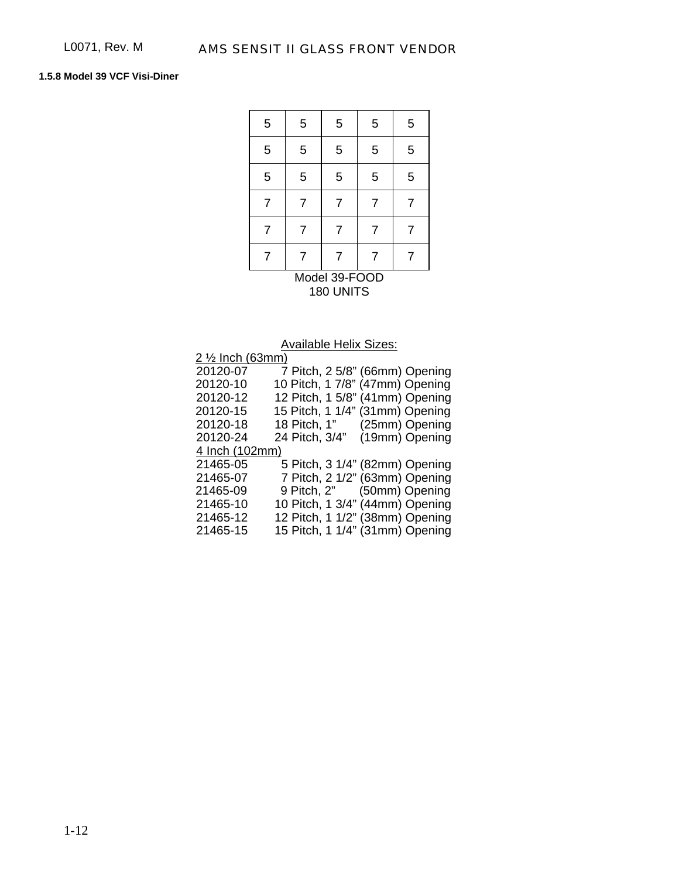#### **1.5.8 Model 39 VCF Visi-Diner**

| 5                          | 5                | 5 | 5 | 5              |  |  |  |  |  |
|----------------------------|------------------|---|---|----------------|--|--|--|--|--|
| 5                          | 5                | 5 | 5 | 5              |  |  |  |  |  |
| 5                          | 5                | 5 | 5 | 5              |  |  |  |  |  |
| $\overline{7}$             | $\overline{7}$   | 7 | 7 | $\overline{7}$ |  |  |  |  |  |
| 7                          | $\overline{7}$   | 7 | 7 | 7              |  |  |  |  |  |
| 7                          | 7<br>7<br>7<br>7 |   |   |                |  |  |  |  |  |
| Model 39-FOOD<br>180 UNITS |                  |   |   |                |  |  |  |  |  |

#### Available Helix Sizes:

| 2 1/ <sub>2</sub> Inch (63mm) |                                 |
|-------------------------------|---------------------------------|
| 20120-07                      | 7 Pitch, 2 5/8" (66mm) Opening  |
| 20120-10                      | 10 Pitch, 1 7/8" (47mm) Opening |
| 20120-12                      | 12 Pitch, 1 5/8" (41mm) Opening |
| 20120-15                      | 15 Pitch, 1 1/4" (31mm) Opening |
| 20120-18                      | 18 Pitch, 1" (25mm) Opening     |
| 20120-24                      | 24 Pitch, 3/4" (19mm) Opening   |
| 4 Inch (102mm)                |                                 |
| 21465-05                      | 5 Pitch, 3 1/4" (82mm) Opening  |
| 21465-07                      | 7 Pitch, 2 1/2" (63mm) Opening  |
| 21465-09                      | 9 Pitch, 2" (50mm) Opening      |
| 21465-10                      | 10 Pitch, 1 3/4" (44mm) Opening |
| 21465-12                      | 12 Pitch, 1 1/2" (38mm) Opening |
| 21465-15                      | 15 Pitch, 1 1/4" (31mm) Opening |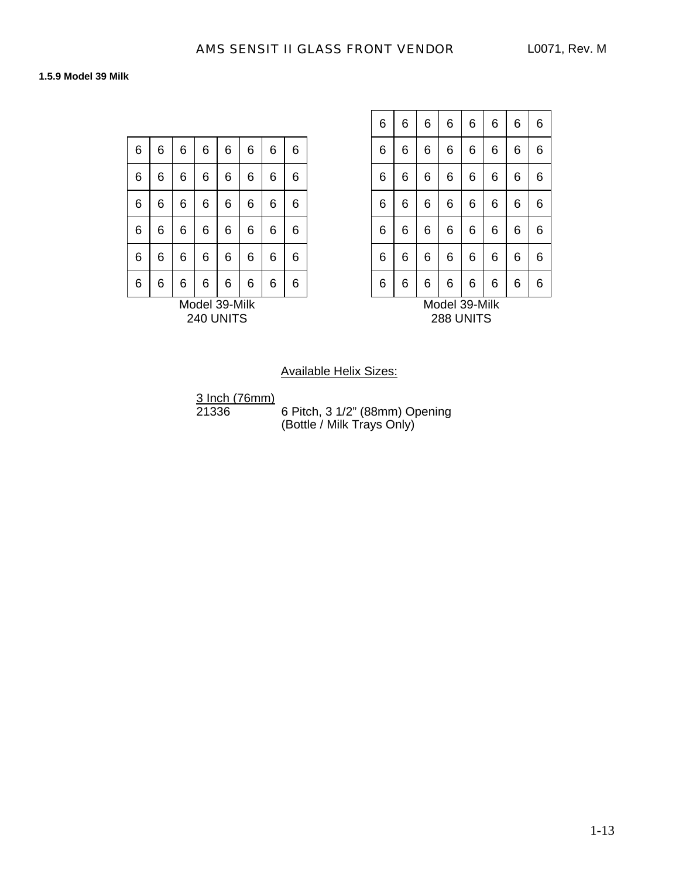**1.5.9 Model 39 Milk** 

|                            | 6 | 6 | 6 | 6 | 6 | 6 | 6 |  |
|----------------------------|---|---|---|---|---|---|---|--|
| 6                          | 6 | 6 | 6 | 6 | 6 | 6 | 6 |  |
| 6                          | 6 | 6 | 6 | 6 | 6 | 6 | 6 |  |
| 6                          | 6 | 6 | 6 | 6 | 6 | 6 | 6 |  |
| 6                          | 6 | 6 | 6 | 6 | 6 | 6 | 6 |  |
| 6                          | 6 | 6 | 6 | 6 | 6 | 6 | 6 |  |
| Model 39-Milk<br>240 UNITS |   |   |   |   |   |   |   |  |

|   |   |   |                            |   |   |   |   | 6 | 6 | 6 | 6 | 6                          | 6 | 6 | 6 |
|---|---|---|----------------------------|---|---|---|---|---|---|---|---|----------------------------|---|---|---|
|   | 6 | 6 | 6                          | 6 | 6 | 6 | 6 | 6 | 6 | 6 | 6 | 6                          | 6 | 6 | 6 |
|   | 6 | 6 | 6                          | 6 | 6 | 6 | 6 | 6 | 6 | 6 | 6 | 6                          | 6 | 6 | 6 |
| ì | 6 | 6 | 6                          | 6 | 6 | 6 | 6 | 6 | 6 | 6 | 6 | 6                          | 6 | 6 | 6 |
| ì | 6 | 6 | 6                          | 6 | 6 | 6 | 6 | 6 | 6 | 6 | 6 | 6                          | 6 | 6 | 6 |
| ì | 6 | 6 | 6                          | 6 | 6 | 6 | 6 | 6 | 6 | 6 | 6 | 6                          | 6 | 6 | 6 |
| ì | 6 | 6 | 6                          | 6 | 6 | 6 | 6 | 6 | 6 | 6 | 6 | 6                          | 6 | 6 | 6 |
|   |   |   | Model 39-Milk<br>240 UNITS |   |   |   |   |   |   |   |   | Model 39-Milk<br>288 UNITS |   |   |   |

Available Helix Sizes:

3 Inch (76mm)

 21336 6 Pitch, 3 1/2" (88mm) Opening (Bottle / Milk Trays Only)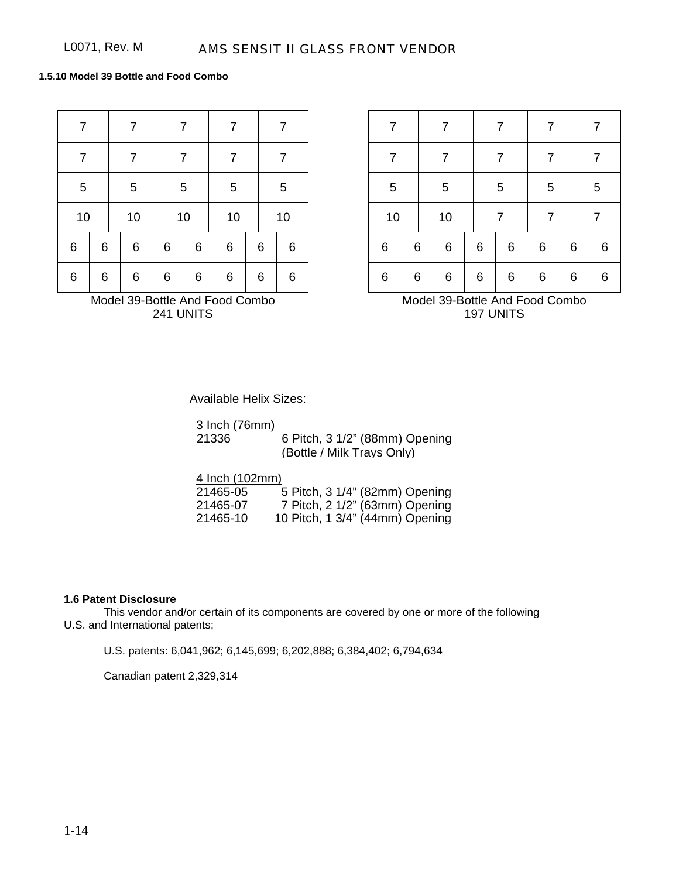### **1.5.10 Model 39 Bottle and Food Combo**

| 7  |   |  |    |   | 7  | 7                              |  | 7 |    |
|----|---|--|----|---|----|--------------------------------|--|---|----|
| 7  |   |  |    |   | 7  | 7                              |  | 7 |    |
| 5  |   |  | 5  |   | 5  | 5                              |  | 5 |    |
| 10 |   |  | 10 |   | 10 | 10                             |  |   | 10 |
| 6  | 6 |  | 6  | 6 | 6  | 6                              |  | 6 | 6  |
| 6  | 6 |  | 6  | 6 | 6  | 6                              |  | 6 | 6  |
|    |   |  |    |   |    | Model 39-Bottle And Food Combo |  |   |    |

241 UNITS

| 7               |                                                                  | 7  |   | 7  | 7  |   | 7  | 7  |   | 7               |   | 7               | 7               |                 | 7 |
|-----------------|------------------------------------------------------------------|----|---|----|----|---|----|----|---|-----------------|---|-----------------|-----------------|-----------------|---|
| 7               |                                                                  | 7  |   | 7  | 7  |   | 7  | 7  |   | 7               |   | 7               | 7               |                 | 7 |
| $5\phantom{.0}$ |                                                                  | 5  |   | 5  | 5  |   | 5  | 5  |   | 5               |   | 5               | 5               |                 | 5 |
| 10              |                                                                  | 10 |   | 10 | 10 |   | 10 | 10 |   | 10              |   | 7               | 7               |                 | 7 |
| 6               | 6                                                                | 6  | 6 | 6  | 6  | 6 | 6  | 6  | 6 | $6\phantom{1}6$ | 6 | $6\phantom{1}6$ | $6\phantom{1}6$ | $6\phantom{1}6$ | 6 |
| 6               | 6                                                                | 6  | 6 | 6  | 6  | 6 | 6  | 6  | 6 | 6               | 6 | $6\phantom{1}6$ | 6               | $6\phantom{1}6$ | 6 |
|                 | Model 39-Bottle And Food Combo<br>Model 39-Bottle And Food Combo |    |   |    |    |   |    |    |   |                 |   |                 |                 |                 |   |

197 UNITS

Available Helix Sizes:

| 3 Inch (76mm) |                                |
|---------------|--------------------------------|
| 21336         | 6 Pitch, 3 1/2" (88mm) Opening |
|               | (Bottle / Milk Trays Only)     |

4 Inch (102mm)

| 21465-05 | 5 Pitch, 3 1/4" (82mm) Opening  |
|----------|---------------------------------|
| 21465-07 | 7 Pitch, 2 1/2" (63mm) Opening  |
| 21465-10 | 10 Pitch, 1 3/4" (44mm) Opening |

### **1.6 Patent Disclosure**

This vendor and/or certain of its components are covered by one or more of the following U.S. and International patents;

U.S. patents: 6,041,962; 6,145,699; 6,202,888; 6,384,402; 6,794,634

Canadian patent 2,329,314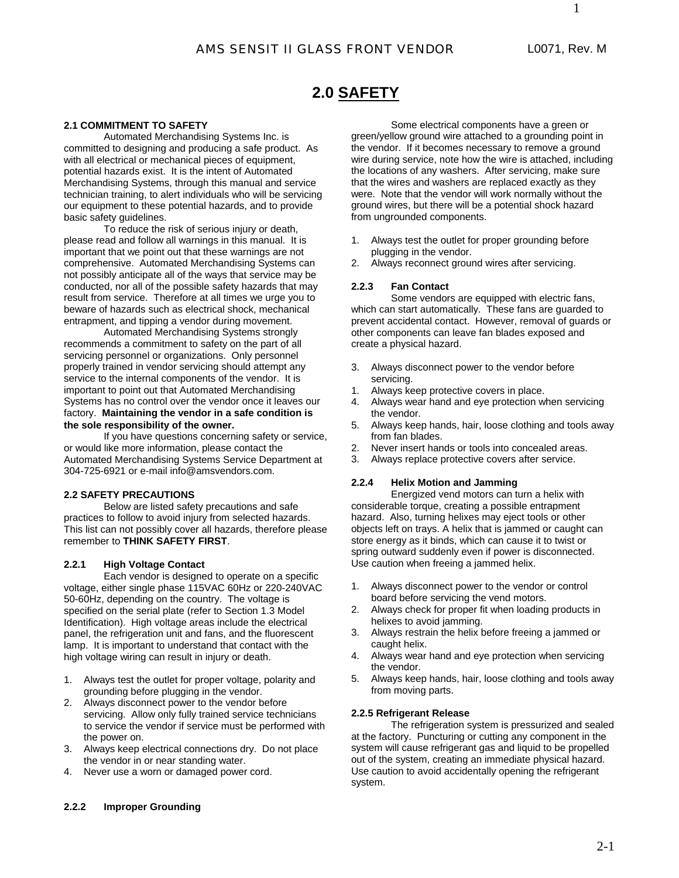1

## **2.0 SAFETY**

#### **2.1 COMMITMENT TO SAFETY**

Automated Merchandising Systems Inc. is committed to designing and producing a safe product. As with all electrical or mechanical pieces of equipment, potential hazards exist. It is the intent of Automated Merchandising Systems, through this manual and service technician training, to alert individuals who will be servicing our equipment to these potential hazards, and to provide basic safety guidelines.

To reduce the risk of serious injury or death, please read and follow all warnings in this manual. It is important that we point out that these warnings are not comprehensive. Automated Merchandising Systems can not possibly anticipate all of the ways that service may be conducted, nor all of the possible safety hazards that may result from service. Therefore at all times we urge you to beware of hazards such as electrical shock, mechanical entrapment, and tipping a vendor during movement.

Automated Merchandising Systems strongly recommends a commitment to safety on the part of all servicing personnel or organizations. Only personnel properly trained in vendor servicing should attempt any service to the internal components of the vendor. It is important to point out that Automated Merchandising Systems has no control over the vendor once it leaves our factory. **Maintaining the vendor in a safe condition is the sole responsibility of the owner.**

If you have questions concerning safety or service, or would like more information, please contact the Automated Merchandising Systems Service Department at 304-725-6921 or e-mail info@amsvendors.com.

#### **2.2 SAFETY PRECAUTIONS**

Below are listed safety precautions and safe practices to follow to avoid injury from selected hazards. This list can not possibly cover all hazards, therefore please remember to **THINK SAFETY FIRST**.

#### **2.2.1 High Voltage Contact**

Each vendor is designed to operate on a specific voltage, either single phase 115VAC 60Hz or 220-240VAC 50-60Hz, depending on the country. The voltage is specified on the serial plate (refer to Section 1.3 Model Identification). High voltage areas include the electrical panel, the refrigeration unit and fans, and the fluorescent lamp. It is important to understand that contact with the high voltage wiring can result in injury or death.

- 1. Always test the outlet for proper voltage, polarity and grounding before plugging in the vendor.
- 2. Always disconnect power to the vendor before servicing. Allow only fully trained service technicians to service the vendor if service must be performed with the power on.
- 3. Always keep electrical connections dry. Do not place the vendor in or near standing water.
- 4. Never use a worn or damaged power cord.

Some electrical components have a green or green/yellow ground wire attached to a grounding point in the vendor. If it becomes necessary to remove a ground wire during service, note how the wire is attached, including the locations of any washers. After servicing, make sure that the wires and washers are replaced exactly as they were. Note that the vendor will work normally without the ground wires, but there will be a potential shock hazard from ungrounded components.

- 1. Always test the outlet for proper grounding before plugging in the vendor.
- 2. Always reconnect ground wires after servicing.

#### **2.2.3 Fan Contact**

Some vendors are equipped with electric fans, which can start automatically. These fans are guarded to prevent accidental contact. However, removal of guards or other components can leave fan blades exposed and create a physical hazard.

- 3. Always disconnect power to the vendor before servicing.
- 1. Always keep protective covers in place.
- 4. Always wear hand and eye protection when servicing the vendor.
- 5. Always keep hands, hair, loose clothing and tools away from fan blades.
- 2. Never insert hands or tools into concealed areas.
- 3. Always replace protective covers after service.

#### **2.2.4 Helix Motion and Jamming**

Energized vend motors can turn a helix with considerable torque, creating a possible entrapment hazard. Also, turning helixes may eject tools or other objects left on trays. A helix that is jammed or caught can store energy as it binds, which can cause it to twist or spring outward suddenly even if power is disconnected. Use caution when freeing a jammed helix.

- 1. Always disconnect power to the vendor or control board before servicing the vend motors.
- 2. Always check for proper fit when loading products in helixes to avoid jamming.
- 3. Always restrain the helix before freeing a jammed or caught helix.
- 4. Always wear hand and eye protection when servicing the vendor.
- 5. Always keep hands, hair, loose clothing and tools away from moving parts.

#### **2.2.5 Refrigerant Release**

The refrigeration system is pressurized and sealed at the factory. Puncturing or cutting any component in the system will cause refrigerant gas and liquid to be propelled out of the system, creating an immediate physical hazard. Use caution to avoid accidentally opening the refrigerant system.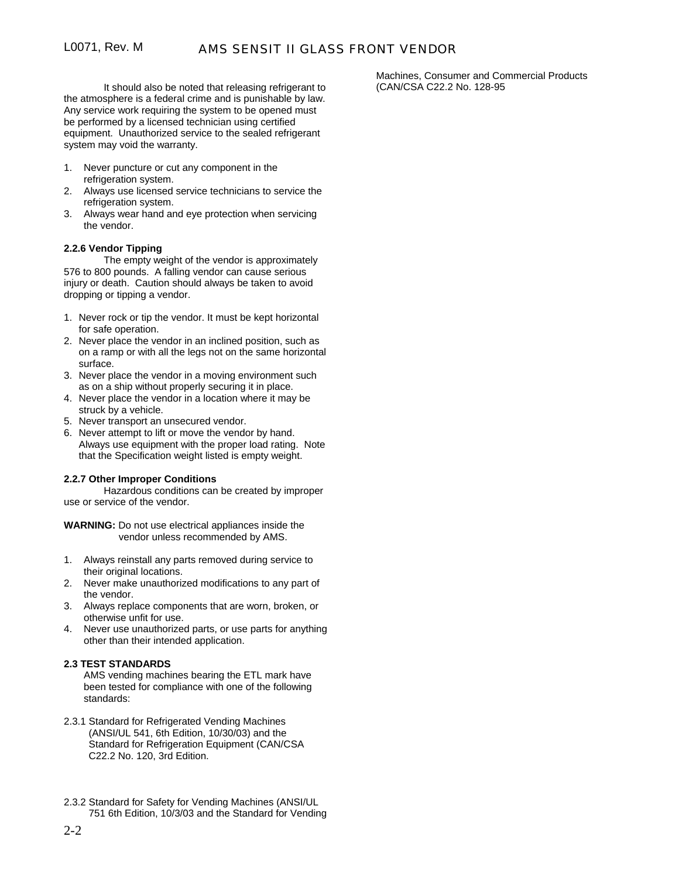It should also be noted that releasing refrigerant to the atmosphere is a federal crime and is punishable by law. Any service work requiring the system to be opened must be performed by a licensed technician using certified equipment. Unauthorized service to the sealed refrigerant system may void the warranty.

- 1. Never puncture or cut any component in the refrigeration system.
- 2. Always use licensed service technicians to service the refrigeration system.
- 3. Always wear hand and eye protection when servicing the vendor.

#### **2.2.6 Vendor Tipping**

The empty weight of the vendor is approximately 576 to 800 pounds. A falling vendor can cause serious injury or death. Caution should always be taken to avoid dropping or tipping a vendor.

- 1. Never rock or tip the vendor. It must be kept horizontal for safe operation.
- 2. Never place the vendor in an inclined position, such as on a ramp or with all the legs not on the same horizontal surface.
- 3. Never place the vendor in a moving environment such as on a ship without properly securing it in place.
- 4. Never place the vendor in a location where it may be struck by a vehicle.
- 5. Never transport an unsecured vendor.
- 6. Never attempt to lift or move the vendor by hand. Always use equipment with the proper load rating. Note that the Specification weight listed is empty weight.

#### **2.2.7 Other Improper Conditions**

Hazardous conditions can be created by improper use or service of the vendor.

**WARNING:** Do not use electrical appliances inside the vendor unless recommended by AMS.

- 1. Always reinstall any parts removed during service to their original locations.
- 2. Never make unauthorized modifications to any part of the vendor.
- 3. Always replace components that are worn, broken, or otherwise unfit for use.
- 4. Never use unauthorized parts, or use parts for anything other than their intended application.

#### **2.3 TEST STANDARDS**

AMS vending machines bearing the ETL mark have been tested for compliance with one of the following standards:

- 2.3.1 Standard for Refrigerated Vending Machines (ANSI/UL 541, 6th Edition, 10/30/03) and the Standard for Refrigeration Equipment (CAN/CSA C22.2 No. 120, 3rd Edition.
- 2.3.2 Standard for Safety for Vending Machines (ANSI/UL 751 6th Edition, 10/3/03 and the Standard for Vending

Machines, Consumer and Commercial Products (CAN/CSA C22.2 No. 128-95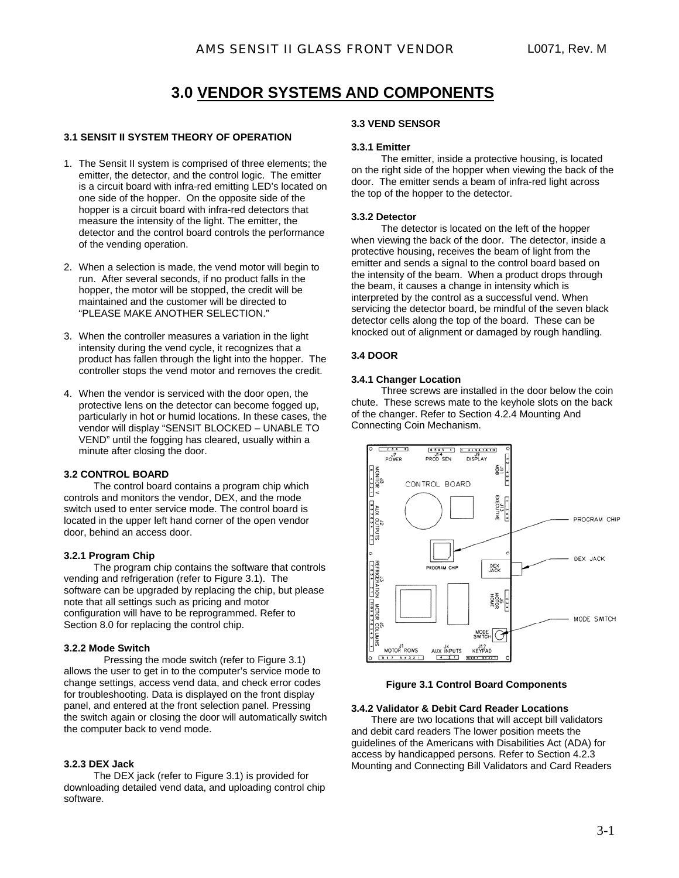## **3.0 VENDOR SYSTEMS AND COMPONENTS**

#### **3.1 SENSIT II SYSTEM THEORY OF OPERATION**

- 1. The Sensit II system is comprised of three elements; the emitter, the detector, and the control logic. The emitter is a circuit board with infra-red emitting LED's located on one side of the hopper. On the opposite side of the hopper is a circuit board with infra-red detectors that measure the intensity of the light. The emitter, the detector and the control board controls the performance of the vending operation.
- 2. When a selection is made, the vend motor will begin to run. After several seconds, if no product falls in the hopper, the motor will be stopped, the credit will be maintained and the customer will be directed to "PLEASE MAKE ANOTHER SELECTION."
- 3. When the controller measures a variation in the light intensity during the vend cycle, it recognizes that a product has fallen through the light into the hopper. The controller stops the vend motor and removes the credit.
- 4. When the vendor is serviced with the door open, the protective lens on the detector can become fogged up, particularly in hot or humid locations. In these cases, the vendor will display "SENSIT BLOCKED – UNABLE TO VEND" until the fogging has cleared, usually within a minute after closing the door.

#### **3.2 CONTROL BOARD**

The control board contains a program chip which controls and monitors the vendor, DEX, and the mode switch used to enter service mode. The control board is located in the upper left hand corner of the open vendor door, behind an access door.

#### **3.2.1 Program Chip**

The program chip contains the software that controls vending and refrigeration (refer to Figure 3.1). The software can be upgraded by replacing the chip, but please note that all settings such as pricing and motor configuration will have to be reprogrammed. Refer to Section 8.0 for replacing the control chip.

#### **3.2.2 Mode Switch**

 Pressing the mode switch (refer to Figure 3.1) allows the user to get in to the computer's service mode to change settings, access vend data, and check error codes for troubleshooting. Data is displayed on the front display panel, and entered at the front selection panel. Pressing the switch again or closing the door will automatically switch the computer back to vend mode.

#### **3.2.3 DEX Jack**

The DEX jack (refer to Figure 3.1) is provided for downloading detailed vend data, and uploading control chip software.

#### **3.3 VEND SENSOR**

#### **3.3.1 Emitter**

The emitter, inside a protective housing, is located on the right side of the hopper when viewing the back of the door. The emitter sends a beam of infra-red light across the top of the hopper to the detector.

#### **3.3.2 Detector**

The detector is located on the left of the hopper when viewing the back of the door. The detector, inside a protective housing, receives the beam of light from the emitter and sends a signal to the control board based on the intensity of the beam. When a product drops through the beam, it causes a change in intensity which is interpreted by the control as a successful vend. When servicing the detector board, be mindful of the seven black detector cells along the top of the board. These can be knocked out of alignment or damaged by rough handling.

#### **3.4 DOOR**

#### **3.4.1 Changer Location**

Three screws are installed in the door below the coin chute. These screws mate to the keyhole slots on the back of the changer. Refer to Section 4.2.4 Mounting And Connecting Coin Mechanism.



#### **Figure 3.1 Control Board Components**

#### **3.4.2 Validator & Debit Card Reader Locations**

There are two locations that will accept bill validators and debit card readers The lower position meets the guidelines of the Americans with Disabilities Act (ADA) for access by handicapped persons. Refer to Section 4.2.3 Mounting and Connecting Bill Validators and Card Readers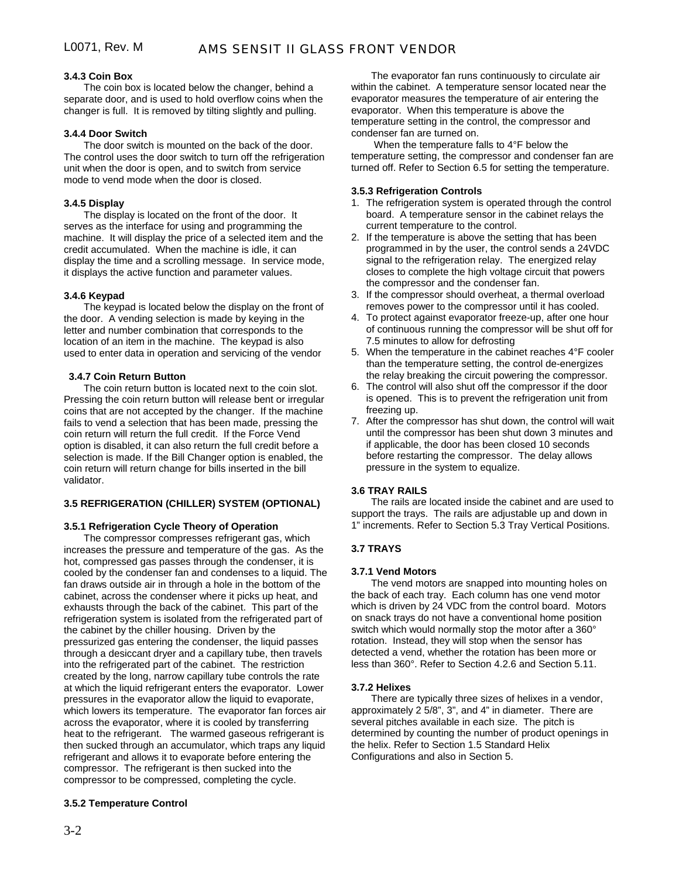#### **3.4.3 Coin Box**

The coin box is located below the changer, behind a separate door, and is used to hold overflow coins when the changer is full. It is removed by tilting slightly and pulling.

#### **3.4.4 Door Switch**

The door switch is mounted on the back of the door. The control uses the door switch to turn off the refrigeration unit when the door is open, and to switch from service mode to vend mode when the door is closed.

#### **3.4.5 Display**

The display is located on the front of the door. It serves as the interface for using and programming the machine. It will display the price of a selected item and the credit accumulated. When the machine is idle, it can display the time and a scrolling message. In service mode, it displays the active function and parameter values.

#### **3.4.6 Keypad**

The keypad is located below the display on the front of the door. A vending selection is made by keying in the letter and number combination that corresponds to the location of an item in the machine. The keypad is also used to enter data in operation and servicing of the vendor

#### **3.4.7 Coin Return Button**

The coin return button is located next to the coin slot. Pressing the coin return button will release bent or irregular coins that are not accepted by the changer. If the machine fails to vend a selection that has been made, pressing the coin return will return the full credit. If the Force Vend option is disabled, it can also return the full credit before a selection is made. If the Bill Changer option is enabled, the coin return will return change for bills inserted in the bill validator.

#### **3.5 REFRIGERATION (CHILLER) SYSTEM (OPTIONAL)**

#### **3.5.1 Refrigeration Cycle Theory of Operation**

The compressor compresses refrigerant gas, which increases the pressure and temperature of the gas. As the hot, compressed gas passes through the condenser, it is cooled by the condenser fan and condenses to a liquid. The fan draws outside air in through a hole in the bottom of the cabinet, across the condenser where it picks up heat, and exhausts through the back of the cabinet. This part of the refrigeration system is isolated from the refrigerated part of the cabinet by the chiller housing. Driven by the pressurized gas entering the condenser, the liquid passes through a desiccant dryer and a capillary tube, then travels into the refrigerated part of the cabinet. The restriction created by the long, narrow capillary tube controls the rate at which the liquid refrigerant enters the evaporator. Lower pressures in the evaporator allow the liquid to evaporate, which lowers its temperature. The evaporator fan forces air across the evaporator, where it is cooled by transferring heat to the refrigerant. The warmed gaseous refrigerant is then sucked through an accumulator, which traps any liquid refrigerant and allows it to evaporate before entering the compressor. The refrigerant is then sucked into the compressor to be compressed, completing the cycle.

#### **3.5.2 Temperature Control**

The evaporator fan runs continuously to circulate air within the cabinet. A temperature sensor located near the evaporator measures the temperature of air entering the evaporator. When this temperature is above the temperature setting in the control, the compressor and condenser fan are turned on.

 When the temperature falls to 4°F below the temperature setting, the compressor and condenser fan are turned off. Refer to Section 6.5 for setting the temperature.

#### **3.5.3 Refrigeration Controls**

- 1. The refrigeration system is operated through the control board. A temperature sensor in the cabinet relays the current temperature to the control.
- 2. If the temperature is above the setting that has been programmed in by the user, the control sends a 24VDC signal to the refrigeration relay. The energized relay closes to complete the high voltage circuit that powers the compressor and the condenser fan.
- 3. If the compressor should overheat, a thermal overload removes power to the compressor until it has cooled.
- 4. To protect against evaporator freeze-up, after one hour of continuous running the compressor will be shut off for 7.5 minutes to allow for defrosting
- 5. When the temperature in the cabinet reaches 4°F cooler than the temperature setting, the control de-energizes the relay breaking the circuit powering the compressor.
- 6. The control will also shut off the compressor if the door is opened. This is to prevent the refrigeration unit from freezing up.
- 7. After the compressor has shut down, the control will wait until the compressor has been shut down 3 minutes and if applicable, the door has been closed 10 seconds before restarting the compressor. The delay allows pressure in the system to equalize.

#### **3.6 TRAY RAILS**

The rails are located inside the cabinet and are used to support the trays. The rails are adjustable up and down in 1" increments. Refer to Section 5.3 Tray Vertical Positions.

#### **3.7 TRAYS**

#### **3.7.1 Vend Motors**

The vend motors are snapped into mounting holes on the back of each tray. Each column has one vend motor which is driven by 24 VDC from the control board. Motors on snack trays do not have a conventional home position switch which would normally stop the motor after a 360° rotation. Instead, they will stop when the sensor has detected a vend, whether the rotation has been more or less than 360°. Refer to Section 4.2.6 and Section 5.11.

#### **3.7.2 Helixes**

There are typically three sizes of helixes in a vendor, approximately 2 5/8", 3", and 4" in diameter. There are several pitches available in each size. The pitch is determined by counting the number of product openings in the helix. Refer to Section 1.5 Standard Helix Configurations and also in Section 5.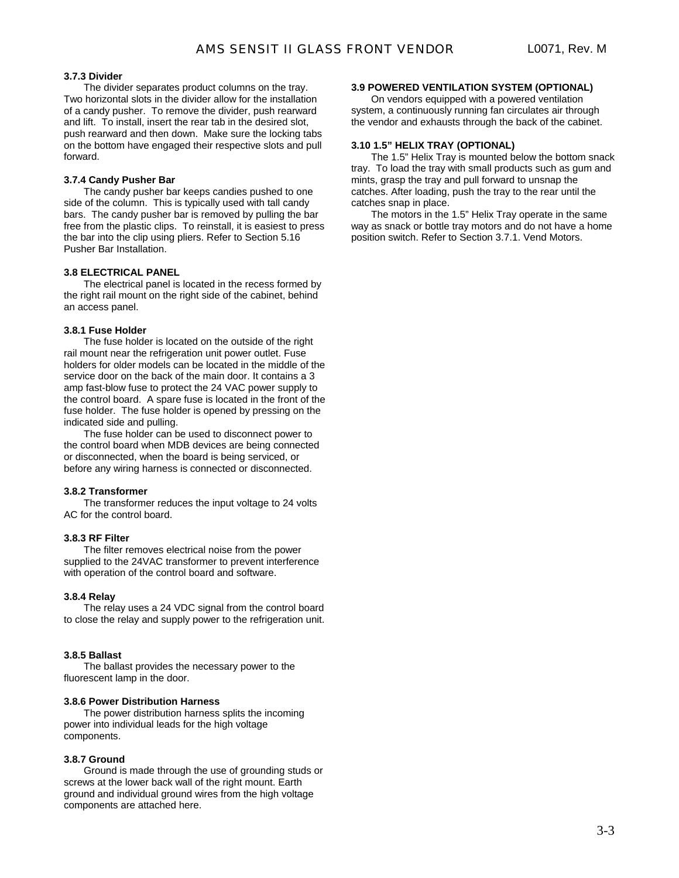#### **3.7.3 Divider**

The divider separates product columns on the tray. Two horizontal slots in the divider allow for the installation of a candy pusher. To remove the divider, push rearward and lift. To install, insert the rear tab in the desired slot, push rearward and then down. Make sure the locking tabs on the bottom have engaged their respective slots and pull forward.

#### **3.7.4 Candy Pusher Bar**

The candy pusher bar keeps candies pushed to one side of the column. This is typically used with tall candy bars. The candy pusher bar is removed by pulling the bar free from the plastic clips. To reinstall, it is easiest to press the bar into the clip using pliers. Refer to Section 5.16 Pusher Bar Installation.

#### **3.8 ELECTRICAL PANEL**

The electrical panel is located in the recess formed by the right rail mount on the right side of the cabinet, behind an access panel.

#### **3.8.1 Fuse Holder**

The fuse holder is located on the outside of the right rail mount near the refrigeration unit power outlet. Fuse holders for older models can be located in the middle of the service door on the back of the main door. It contains a 3 amp fast-blow fuse to protect the 24 VAC power supply to the control board. A spare fuse is located in the front of the fuse holder. The fuse holder is opened by pressing on the indicated side and pulling.

The fuse holder can be used to disconnect power to the control board when MDB devices are being connected or disconnected, when the board is being serviced, or before any wiring harness is connected or disconnected.

#### **3.8.2 Transformer**

The transformer reduces the input voltage to 24 volts AC for the control board.

#### **3.8.3 RF Filter**

The filter removes electrical noise from the power supplied to the 24VAC transformer to prevent interference with operation of the control board and software.

#### **3.8.4 Relay**

The relay uses a 24 VDC signal from the control board to close the relay and supply power to the refrigeration unit.

#### **3.8.5 Ballast**

The ballast provides the necessary power to the fluorescent lamp in the door.

#### **3.8.6 Power Distribution Harness**

The power distribution harness splits the incoming power into individual leads for the high voltage components.

#### **3.8.7 Ground**

Ground is made through the use of grounding studs or screws at the lower back wall of the right mount. Earth ground and individual ground wires from the high voltage components are attached here.

#### **3.9 POWERED VENTILATION SYSTEM (OPTIONAL)**

On vendors equipped with a powered ventilation system, a continuously running fan circulates air through the vendor and exhausts through the back of the cabinet.

#### **3.10 1.5" HELIX TRAY (OPTIONAL)**

The 1.5" Helix Tray is mounted below the bottom snack tray. To load the tray with small products such as gum and mints, grasp the tray and pull forward to unsnap the catches. After loading, push the tray to the rear until the catches snap in place.

The motors in the 1.5" Helix Tray operate in the same way as snack or bottle tray motors and do not have a home position switch. Refer to Section 3.7.1. Vend Motors.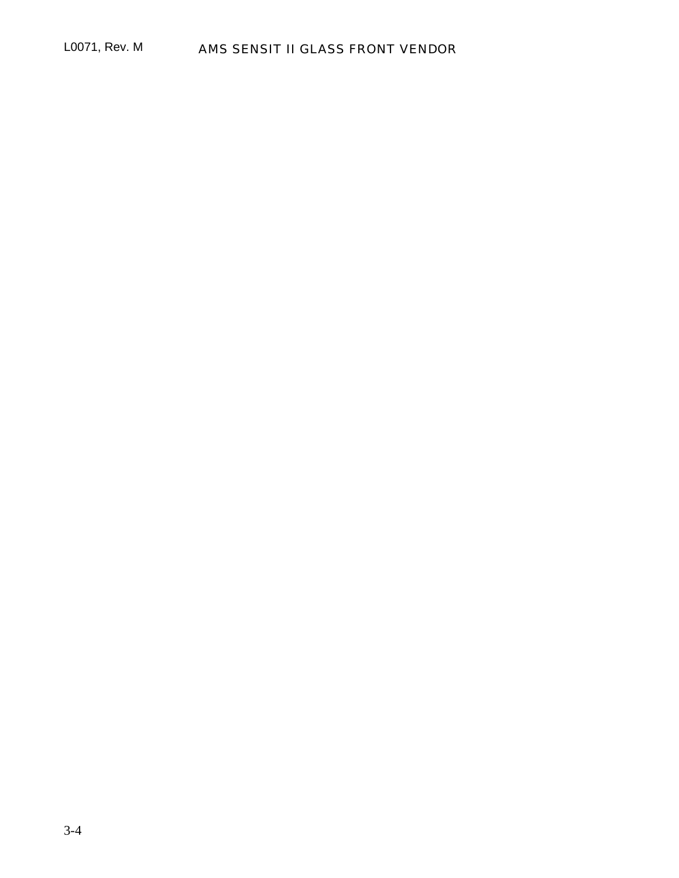## L0071, Rev. M **AMS SENSIT II GLASS FRONT VENDOR**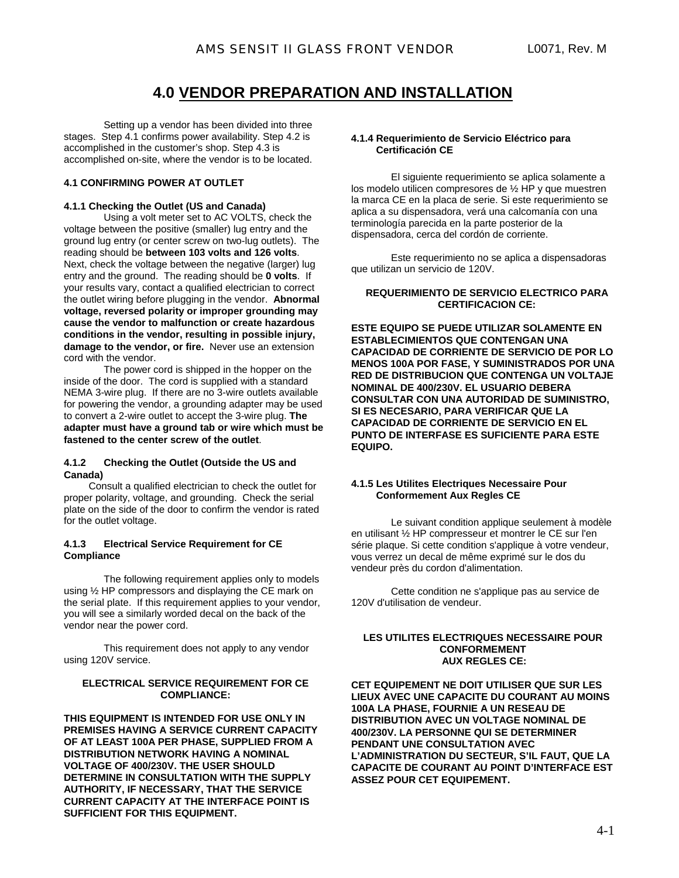## **4.0 VENDOR PREPARATION AND INSTALLATION**

Setting up a vendor has been divided into three stages. Step 4.1 confirms power availability. Step 4.2 is accomplished in the customer's shop. Step 4.3 is accomplished on-site, where the vendor is to be located.

#### **4.1 CONFIRMING POWER AT OUTLET**

#### **4.1.1 Checking the Outlet (US and Canada)**

Using a volt meter set to AC VOLTS, check the voltage between the positive (smaller) lug entry and the ground lug entry (or center screw on two-lug outlets). The reading should be **between 103 volts and 126 volts**. Next, check the voltage between the negative (larger) lug entry and the ground. The reading should be **0 volts**. If your results vary, contact a qualified electrician to correct the outlet wiring before plugging in the vendor. **Abnormal voltage, reversed polarity or improper grounding may cause the vendor to malfunction or create hazardous conditions in the vendor, resulting in possible injury, damage to the vendor, or fire.** Never use an extension cord with the vendor.

The power cord is shipped in the hopper on the inside of the door. The cord is supplied with a standard NEMA 3-wire plug. If there are no 3-wire outlets available for powering the vendor, a grounding adapter may be used to convert a 2-wire outlet to accept the 3-wire plug. **The adapter must have a ground tab or wire which must be fastened to the center screw of the outlet**.

#### **4.1.2 Checking the Outlet (Outside the US and Canada)**

Consult a qualified electrician to check the outlet for proper polarity, voltage, and grounding. Check the serial plate on the side of the door to confirm the vendor is rated for the outlet voltage.

#### **4.1.3 Electrical Service Requirement for CE Compliance**

The following requirement applies only to models using ½ HP compressors and displaying the CE mark on the serial plate. If this requirement applies to your vendor, you will see a similarly worded decal on the back of the vendor near the power cord.

This requirement does not apply to any vendor using 120V service.

#### **ELECTRICAL SERVICE REQUIREMENT FOR CE COMPLIANCE:**

**THIS EQUIPMENT IS INTENDED FOR USE ONLY IN PREMISES HAVING A SERVICE CURRENT CAPACITY OF AT LEAST 100A PER PHASE, SUPPLIED FROM A DISTRIBUTION NETWORK HAVING A NOMINAL VOLTAGE OF 400/230V. THE USER SHOULD DETERMINE IN CONSULTATION WITH THE SUPPLY AUTHORITY, IF NECESSARY, THAT THE SERVICE CURRENT CAPACITY AT THE INTERFACE POINT IS SUFFICIENT FOR THIS EQUIPMENT.** 

#### **4.1.4 Requerimiento de Servicio Eléctrico para Certificación CE**

El siguiente requerimiento se aplica solamente a los modelo utilicen compresores de ½ HP y que muestren la marca CE en la placa de serie. Si este requerimiento se aplica a su dispensadora, verá una calcomanía con una terminología parecida en la parte posterior de la dispensadora, cerca del cordón de corriente.

Este requerimiento no se aplica a dispensadoras que utilizan un servicio de 120V.

#### **REQUERIMIENTO DE SERVICIO ELECTRICO PARA CERTIFICACION CE:**

**ESTE EQUIPO SE PUEDE UTILIZAR SOLAMENTE EN ESTABLECIMIENTOS QUE CONTENGAN UNA CAPACIDAD DE CORRIENTE DE SERVICIO DE POR LO MENOS 100A POR FASE, Y SUMINISTRADOS POR UNA RED DE DISTRIBUCION QUE CONTENGA UN VOLTAJE NOMINAL DE 400/230V. EL USUARIO DEBERA CONSULTAR CON UNA AUTORIDAD DE SUMINISTRO, SI ES NECESARIO, PARA VERIFICAR QUE LA CAPACIDAD DE CORRIENTE DE SERVICIO EN EL PUNTO DE INTERFASE ES SUFICIENTE PARA ESTE EQUIPO.** 

#### **4.1.5 Les Utilites Electriques Necessaire Pour Conformement Aux Regles CE**

Le suivant condition applique seulement à modèle en utilisant ½ HP compresseur et montrer le CE sur l'en série plaque. Si cette condition s'applique à votre vendeur, vous verrez un decal de même exprimé sur le dos du vendeur près du cordon d'alimentation.

Cette condition ne s'applique pas au service de 120V d'utilisation de vendeur.

#### **LES UTILITES ELECTRIQUES NECESSAIRE POUR CONFORMEMENT AUX REGLES CE:**

**CET EQUIPEMENT NE DOIT UTILISER QUE SUR LES LIEUX AVEC UNE CAPACITE DU COURANT AU MOINS 100A LA PHASE, FOURNIE A UN RESEAU DE DISTRIBUTION AVEC UN VOLTAGE NOMINAL DE 400/230V. LA PERSONNE QUI SE DETERMINER PENDANT UNE CONSULTATION AVEC L'ADMINISTRATION DU SECTEUR, S'IL FAUT, QUE LA CAPACITE DE COURANT AU POINT D'INTERFACE EST ASSEZ POUR CET EQUIPEMENT.**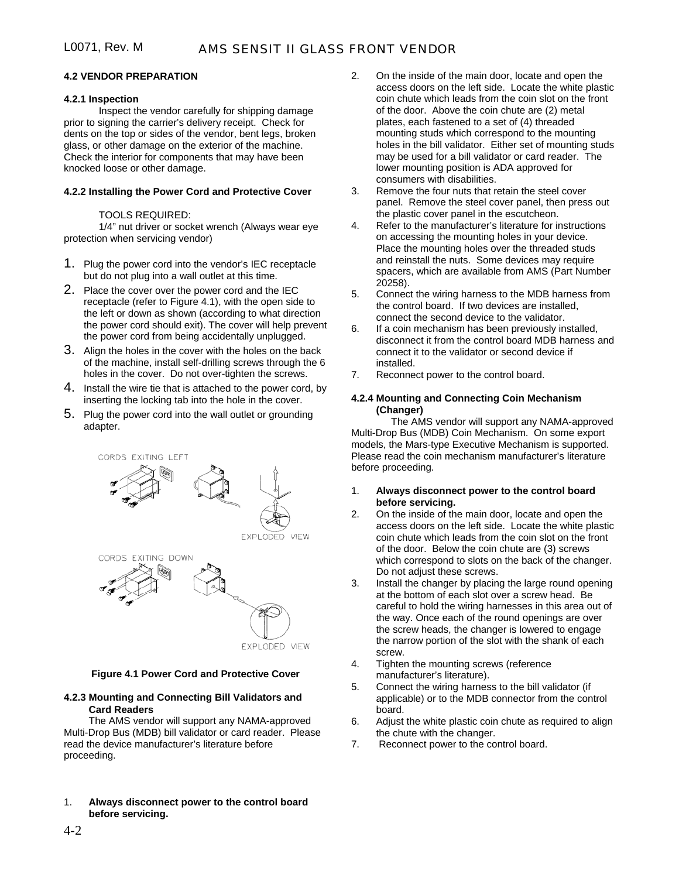#### **4.2 VENDOR PREPARATION**

#### **4.2.1 Inspection**

Inspect the vendor carefully for shipping damage prior to signing the carrier's delivery receipt. Check for dents on the top or sides of the vendor, bent legs, broken glass, or other damage on the exterior of the machine. Check the interior for components that may have been knocked loose or other damage.

#### **4.2.2 Installing the Power Cord and Protective Cover**

#### TOOLS REQUIRED:

1/4" nut driver or socket wrench (Always wear eye protection when servicing vendor)

- 1. Plug the power cord into the vendor's IEC receptacle but do not plug into a wall outlet at this time.
- 2. Place the cover over the power cord and the IEC receptacle (refer to Figure 4.1), with the open side to the left or down as shown (according to what direction the power cord should exit). The cover will help prevent the power cord from being accidentally unplugged.
- 3. Align the holes in the cover with the holes on the back of the machine, install self-drilling screws through the 6 holes in the cover. Do not over-tighten the screws.
- 4. Install the wire tie that is attached to the power cord, by inserting the locking tab into the hole in the cover.
- 5. Plug the power cord into the wall outlet or grounding adapter.



#### **Figure 4.1 Power Cord and Protective Cover**

#### **4.2.3 Mounting and Connecting Bill Validators and Card Readers**

The AMS vendor will support any NAMA-approved Multi-Drop Bus (MDB) bill validator or card reader. Please read the device manufacturer's literature before proceeding.

#### 1. **Always disconnect power to the control board before servicing.**

- 2. On the inside of the main door, locate and open the access doors on the left side. Locate the white plastic coin chute which leads from the coin slot on the front of the door. Above the coin chute are (2) metal plates, each fastened to a set of (4) threaded mounting studs which correspond to the mounting holes in the bill validator. Either set of mounting studs may be used for a bill validator or card reader. The lower mounting position is ADA approved for consumers with disabilities.
- 3. Remove the four nuts that retain the steel cover panel. Remove the steel cover panel, then press out the plastic cover panel in the escutcheon.
- 4. Refer to the manufacturer's literature for instructions on accessing the mounting holes in your device. Place the mounting holes over the threaded studs and reinstall the nuts. Some devices may require spacers, which are available from AMS (Part Number 20258).
- 5. Connect the wiring harness to the MDB harness from the control board. If two devices are installed, connect the second device to the validator.
- 6. If a coin mechanism has been previously installed, disconnect it from the control board MDB harness and connect it to the validator or second device if installed.
- 7. Reconnect power to the control board.

#### **4.2.4 Mounting and Connecting Coin Mechanism (Changer)**

The AMS vendor will support any NAMA-approved Multi-Drop Bus (MDB) Coin Mechanism. On some export models, the Mars-type Executive Mechanism is supported. Please read the coin mechanism manufacturer's literature before proceeding.

#### 1. **Always disconnect power to the control board before servicing.**

- 2. On the inside of the main door, locate and open the access doors on the left side. Locate the white plastic coin chute which leads from the coin slot on the front of the door. Below the coin chute are (3) screws which correspond to slots on the back of the changer. Do not adjust these screws.
- 3. Install the changer by placing the large round opening at the bottom of each slot over a screw head. Be careful to hold the wiring harnesses in this area out of the way. Once each of the round openings are over the screw heads, the changer is lowered to engage the narrow portion of the slot with the shank of each screw.
- 4. Tighten the mounting screws (reference manufacturer's literature).
- 5. Connect the wiring harness to the bill validator (if applicable) or to the MDB connector from the control board.
- 6. Adjust the white plastic coin chute as required to align the chute with the changer.
- 7. Reconnect power to the control board.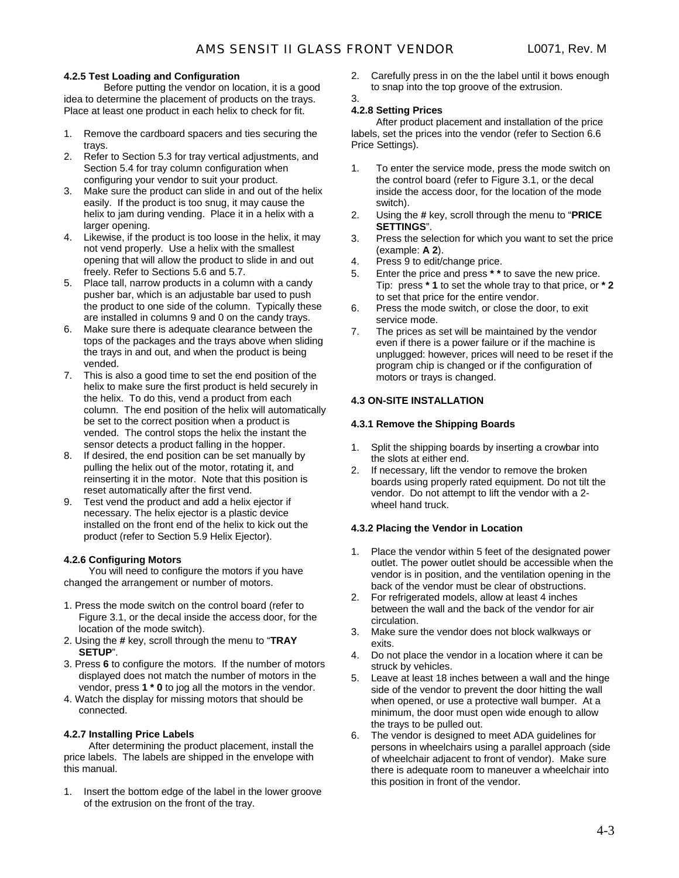#### **4.2.5 Test Loading and Configuration**

Before putting the vendor on location, it is a good idea to determine the placement of products on the trays. Place at least one product in each helix to check for fit.

- 1. Remove the cardboard spacers and ties securing the trays.
- 2. Refer to Section 5.3 for tray vertical adjustments, and Section 5.4 for tray column configuration when configuring your vendor to suit your product.
- 3. Make sure the product can slide in and out of the helix easily. If the product is too snug, it may cause the helix to jam during vending. Place it in a helix with a larger opening.
- 4. Likewise, if the product is too loose in the helix, it may not vend properly. Use a helix with the smallest opening that will allow the product to slide in and out freely. Refer to Sections 5.6 and 5.7.
- 5. Place tall, narrow products in a column with a candy pusher bar, which is an adjustable bar used to push the product to one side of the column. Typically these are installed in columns 9 and 0 on the candy trays.
- 6. Make sure there is adequate clearance between the tops of the packages and the trays above when sliding the trays in and out, and when the product is being vended.
- 7. This is also a good time to set the end position of the helix to make sure the first product is held securely in the helix. To do this, vend a product from each column. The end position of the helix will automatically be set to the correct position when a product is vended. The control stops the helix the instant the sensor detects a product falling in the hopper.
- 8. If desired, the end position can be set manually by pulling the helix out of the motor, rotating it, and reinserting it in the motor. Note that this position is reset automatically after the first vend.
- 9. Test vend the product and add a helix ejector if necessary. The helix ejector is a plastic device installed on the front end of the helix to kick out the product (refer to Section 5.9 Helix Ejector).

#### **4.2.6 Configuring Motors**

You will need to configure the motors if you have changed the arrangement or number of motors.

- 1. Press the mode switch on the control board (refer to Figure 3.1, or the decal inside the access door, for the location of the mode switch).
- 2. Using the **#** key, scroll through the menu to "**TRAY SETUP**".
- 3. Press **6** to configure the motors. If the number of motors displayed does not match the number of motors in the vendor, press **1 \* 0** to jog all the motors in the vendor.
- 4. Watch the display for missing motors that should be connected.

#### **4.2.7 Installing Price Labels**

After determining the product placement, install the price labels. The labels are shipped in the envelope with this manual.

1. Insert the bottom edge of the label in the lower groove of the extrusion on the front of the tray.

2. Carefully press in on the the label until it bows enough to snap into the top groove of the extrusion.

## 3.

#### **4.2.8 Setting Prices**

After product placement and installation of the price labels, set the prices into the vendor (refer to Section 6.6 Price Settings).

- 1. To enter the service mode, press the mode switch on the control board (refer to Figure 3.1, or the decal inside the access door, for the location of the mode switch).
- 2. Using the **#** key, scroll through the menu to "**PRICE SETTINGS**".
- 3. Press the selection for which you want to set the price (example: **A 2**).
- 4. Press 9 to edit/change price.
- 5. Enter the price and press **\* \*** to save the new price. Tip: press **\* 1** to set the whole tray to that price, or **\* 2** to set that price for the entire vendor.
- 6. Press the mode switch, or close the door, to exit service mode.
- 7. The prices as set will be maintained by the vendor even if there is a power failure or if the machine is unplugged: however, prices will need to be reset if the program chip is changed or if the configuration of motors or trays is changed.

#### **4.3 ON-SITE INSTALLATION**

#### **4.3.1 Remove the Shipping Boards**

- 1. Split the shipping boards by inserting a crowbar into the slots at either end.
- 2. If necessary, lift the vendor to remove the broken boards using properly rated equipment. Do not tilt the vendor. Do not attempt to lift the vendor with a 2 wheel hand truck.

#### **4.3.2 Placing the Vendor in Location**

- 1. Place the vendor within 5 feet of the designated power outlet. The power outlet should be accessible when the vendor is in position, and the ventilation opening in the back of the vendor must be clear of obstructions.
- 2. For refrigerated models, allow at least 4 inches between the wall and the back of the vendor for air circulation.
- 3. Make sure the vendor does not block walkways or exits.
- 4. Do not place the vendor in a location where it can be struck by vehicles.
- 5. Leave at least 18 inches between a wall and the hinge side of the vendor to prevent the door hitting the wall when opened, or use a protective wall bumper. At a minimum, the door must open wide enough to allow the trays to be pulled out.
- 6. The vendor is designed to meet ADA guidelines for persons in wheelchairs using a parallel approach (side of wheelchair adjacent to front of vendor). Make sure there is adequate room to maneuver a wheelchair into this position in front of the vendor.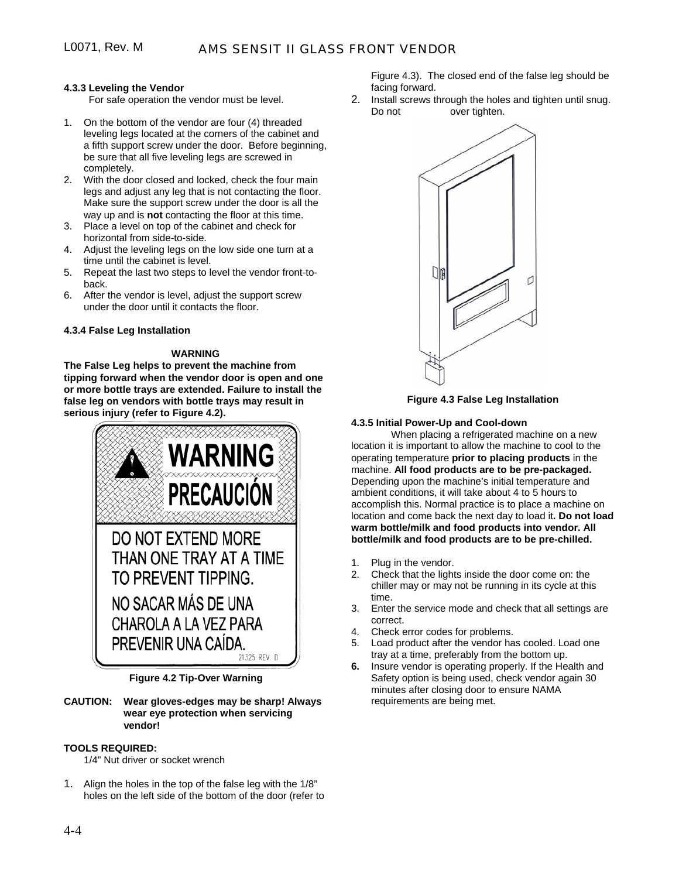#### **4.3.3 Leveling the Vendor**

For safe operation the vendor must be level.

- 1. On the bottom of the vendor are four (4) threaded leveling legs located at the corners of the cabinet and a fifth support screw under the door. Before beginning, be sure that all five leveling legs are screwed in completely.
- 2. With the door closed and locked, check the four main legs and adjust any leg that is not contacting the floor. Make sure the support screw under the door is all the way up and is **not** contacting the floor at this time.
- 3. Place a level on top of the cabinet and check for horizontal from side-to-side.
- 4. Adjust the leveling legs on the low side one turn at a time until the cabinet is level.
- 5. Repeat the last two steps to level the vendor front-toback.
- 6. After the vendor is level, adjust the support screw under the door until it contacts the floor.

#### **4.3.4 False Leg Installation**

#### **WARNING**

**The False Leg helps to prevent the machine from tipping forward when the vendor door is open and one or more bottle trays are extended. Failure to install the false leg on vendors with bottle trays may result in serious injury (refer to Figure 4.2).**



**Figure 4.2 Tip-Over Warning** 

#### **CAUTION: Wear gloves-edges may be sharp! Always wear eye protection when servicing vendor!**

#### **TOOLS REQUIRED:**

1/4" Nut driver or socket wrench

1. Align the holes in the top of the false leg with the 1/8" holes on the left side of the bottom of the door (refer to Figure 4.3). The closed end of the false leg should be facing forward.

2. Install screws through the holes and tighten until snug. Do not over tighten.



**Figure 4.3 False Leg Installation**

#### **4.3.5 Initial Power-Up and Cool-down**

When placing a refrigerated machine on a new location it is important to allow the machine to cool to the operating temperature **prior to placing products** in the machine. **All food products are to be pre-packaged.** Depending upon the machine's initial temperature and ambient conditions, it will take about 4 to 5 hours to accomplish this. Normal practice is to place a machine on location and come back the next day to load it**. Do not load warm bottle/milk and food products into vendor. All bottle/milk and food products are to be pre-chilled.**

- 1. Plug in the vendor.
- 2. Check that the lights inside the door come on: the chiller may or may not be running in its cycle at this time.
- 3. Enter the service mode and check that all settings are correct.
- 4. Check error codes for problems.
- 5. Load product after the vendor has cooled. Load one tray at a time, preferably from the bottom up.
- **6.** Insure vendor is operating properly. If the Health and Safety option is being used, check vendor again 30 minutes after closing door to ensure NAMA requirements are being met.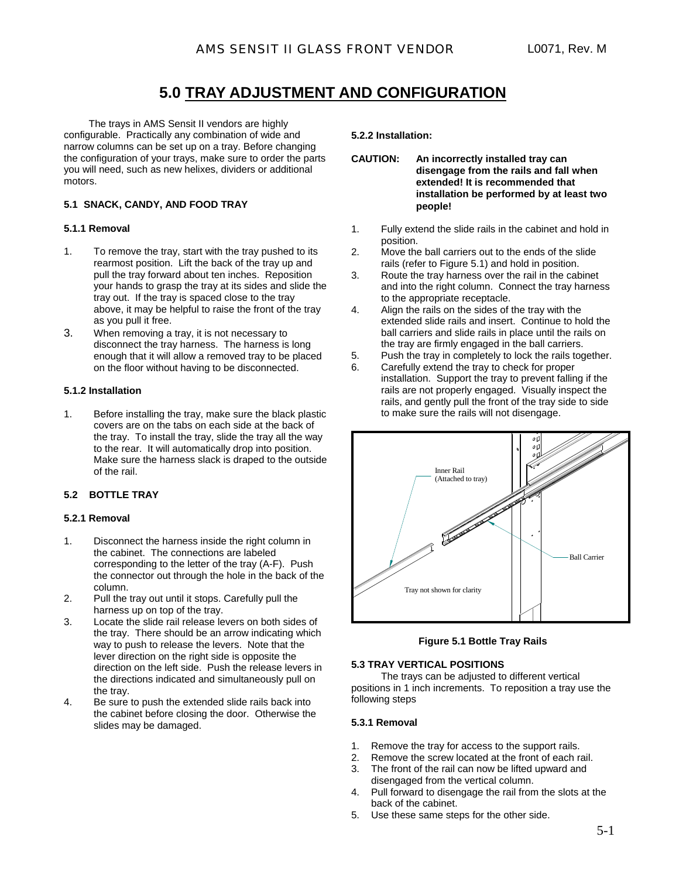## **5.0 TRAY ADJUSTMENT AND CONFIGURATION**

The trays in AMS Sensit II vendors are highly configurable. Practically any combination of wide and narrow columns can be set up on a tray. Before changing the configuration of your trays, make sure to order the parts you will need, such as new helixes, dividers or additional motors.

#### **5.1 SNACK, CANDY, AND FOOD TRAY**

#### **5.1.1 Removal**

- 1. To remove the tray, start with the tray pushed to its rearmost position. Lift the back of the tray up and pull the tray forward about ten inches. Reposition your hands to grasp the tray at its sides and slide the tray out. If the tray is spaced close to the tray above, it may be helpful to raise the front of the tray as you pull it free.
- 3. When removing a tray, it is not necessary to disconnect the tray harness. The harness is long enough that it will allow a removed tray to be placed on the floor without having to be disconnected.

#### **5.1.2 Installation**

1. Before installing the tray, make sure the black plastic covers are on the tabs on each side at the back of the tray. To install the tray, slide the tray all the way to the rear. It will automatically drop into position. Make sure the harness slack is draped to the outside of the rail.

#### **5.2 BOTTLE TRAY**

#### **5.2.1 Removal**

- 1. Disconnect the harness inside the right column in the cabinet. The connections are labeled corresponding to the letter of the tray (A-F). Push the connector out through the hole in the back of the column.
- 2. Pull the tray out until it stops. Carefully pull the harness up on top of the tray.
- 3. Locate the slide rail release levers on both sides of the tray. There should be an arrow indicating which way to push to release the levers. Note that the lever direction on the right side is opposite the direction on the left side. Push the release levers in the directions indicated and simultaneously pull on the tray.
- 4. Be sure to push the extended slide rails back into the cabinet before closing the door. Otherwise the slides may be damaged.

#### **5.2.2 Installation:**

- **CAUTION: An incorrectly installed tray can disengage from the rails and fall when extended! It is recommended that installation be performed by at least two people!**
- 1. Fully extend the slide rails in the cabinet and hold in position.
- 2. Move the ball carriers out to the ends of the slide rails (refer to Figure 5.1) and hold in position.
- 3. Route the tray harness over the rail in the cabinet and into the right column. Connect the tray harness to the appropriate receptacle.
- 4. Align the rails on the sides of the tray with the extended slide rails and insert. Continue to hold the ball carriers and slide rails in place until the rails on the tray are firmly engaged in the ball carriers.
- 5. Push the tray in completely to lock the rails together.
- 6. Carefully extend the tray to check for proper installation. Support the tray to prevent falling if the rails are not properly engaged. Visually inspect the rails, and gently pull the front of the tray side to side to make sure the rails will not disengage.



**Figure 5.1 Bottle Tray Rails** 

#### **5.3 TRAY VERTICAL POSITIONS**

The trays can be adjusted to different vertical positions in 1 inch increments. To reposition a tray use the following steps

#### **5.3.1 Removal**

- 1. Remove the tray for access to the support rails.
- 2. Remove the screw located at the front of each rail.
- 3. The front of the rail can now be lifted upward and disengaged from the vertical column.
- 4. Pull forward to disengage the rail from the slots at the back of the cabinet.
- 5. Use these same steps for the other side.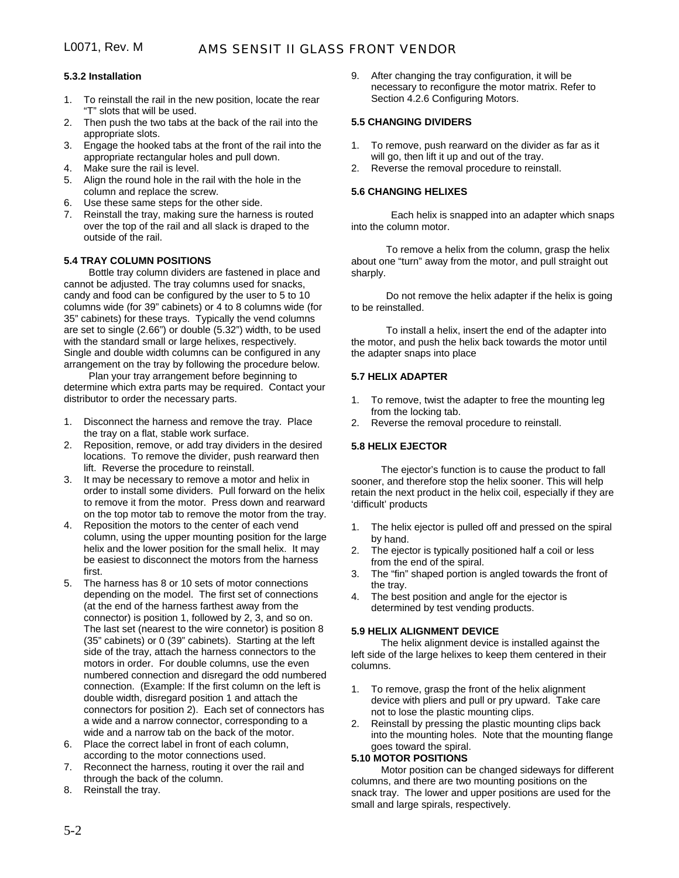## L0071, Rev. M **AMS SENSIT II GLASS FRONT VENDOR**

#### **5.3.2 Installation**

- 1. To reinstall the rail in the new position, locate the rear "T" slots that will be used.
- 2. Then push the two tabs at the back of the rail into the appropriate slots.
- 3. Engage the hooked tabs at the front of the rail into the appropriate rectangular holes and pull down.
- 4. Make sure the rail is level.
- 5. Align the round hole in the rail with the hole in the column and replace the screw.
- 6. Use these same steps for the other side.
- 7. Reinstall the tray, making sure the harness is routed over the top of the rail and all slack is draped to the outside of the rail.

#### **5.4 TRAY COLUMN POSITIONS**

Bottle tray column dividers are fastened in place and cannot be adjusted. The tray columns used for snacks, candy and food can be configured by the user to 5 to 10 columns wide (for 39" cabinets) or 4 to 8 columns wide (for 35" cabinets) for these trays. Typically the vend columns are set to single (2.66") or double (5.32") width, to be used with the standard small or large helixes, respectively. Single and double width columns can be configured in any arrangement on the tray by following the procedure below.

Plan your tray arrangement before beginning to determine which extra parts may be required. Contact your distributor to order the necessary parts.

- 1. Disconnect the harness and remove the tray. Place the tray on a flat, stable work surface.
- 2. Reposition, remove, or add tray dividers in the desired locations. To remove the divider, push rearward then lift. Reverse the procedure to reinstall.
- 3. It may be necessary to remove a motor and helix in order to install some dividers. Pull forward on the helix to remove it from the motor. Press down and rearward on the top motor tab to remove the motor from the tray.
- 4. Reposition the motors to the center of each vend column, using the upper mounting position for the large helix and the lower position for the small helix. It may be easiest to disconnect the motors from the harness first.
- 5. The harness has 8 or 10 sets of motor connections depending on the model. The first set of connections (at the end of the harness farthest away from the connector) is position 1, followed by 2, 3, and so on. The last set (nearest to the wire connetor) is position 8 (35" cabinets) or 0 (39" cabinets). Starting at the left side of the tray, attach the harness connectors to the motors in order. For double columns, use the even numbered connection and disregard the odd numbered connection. (Example: If the first column on the left is double width, disregard position 1 and attach the connectors for position 2). Each set of connectors has a wide and a narrow connector, corresponding to a wide and a narrow tab on the back of the motor.
- 6. Place the correct label in front of each column, according to the motor connections used.
- 7. Reconnect the harness, routing it over the rail and through the back of the column.
- 8. Reinstall the tray.

9. After changing the tray configuration, it will be necessary to reconfigure the motor matrix. Refer to Section 4.2.6 Configuring Motors.

#### **5.5 CHANGING DIVIDERS**

- 1. To remove, push rearward on the divider as far as it will go, then lift it up and out of the tray.
- 2. Reverse the removal procedure to reinstall.

#### **5.6 CHANGING HELIXES**

Each helix is snapped into an adapter which snaps into the column motor.

To remove a helix from the column, grasp the helix about one "turn" away from the motor, and pull straight out sharply.

Do not remove the helix adapter if the helix is going to be reinstalled.

To install a helix, insert the end of the adapter into the motor, and push the helix back towards the motor until the adapter snaps into place

#### **5.7 HELIX ADAPTER**

- 1. To remove, twist the adapter to free the mounting leg from the locking tab.
- 2. Reverse the removal procedure to reinstall.

#### **5.8 HELIX EJECTOR**

The ejector's function is to cause the product to fall sooner, and therefore stop the helix sooner. This will help retain the next product in the helix coil, especially if they are 'difficult' products

- 1. The helix ejector is pulled off and pressed on the spiral by hand.
- 2. The ejector is typically positioned half a coil or less from the end of the spiral.
- 3. The "fin" shaped portion is angled towards the front of the tray.
- 4. The best position and angle for the ejector is determined by test vending products.

#### **5.9 HELIX ALIGNMENT DEVICE**

The helix alignment device is installed against the left side of the large helixes to keep them centered in their columns.

- 1. To remove, grasp the front of the helix alignment device with pliers and pull or pry upward. Take care not to lose the plastic mounting clips.
- 2. Reinstall by pressing the plastic mounting clips back into the mounting holes. Note that the mounting flange goes toward the spiral.

#### **5.10 MOTOR POSITIONS**

Motor position can be changed sideways for different columns, and there are two mounting positions on the snack tray. The lower and upper positions are used for the small and large spirals, respectively.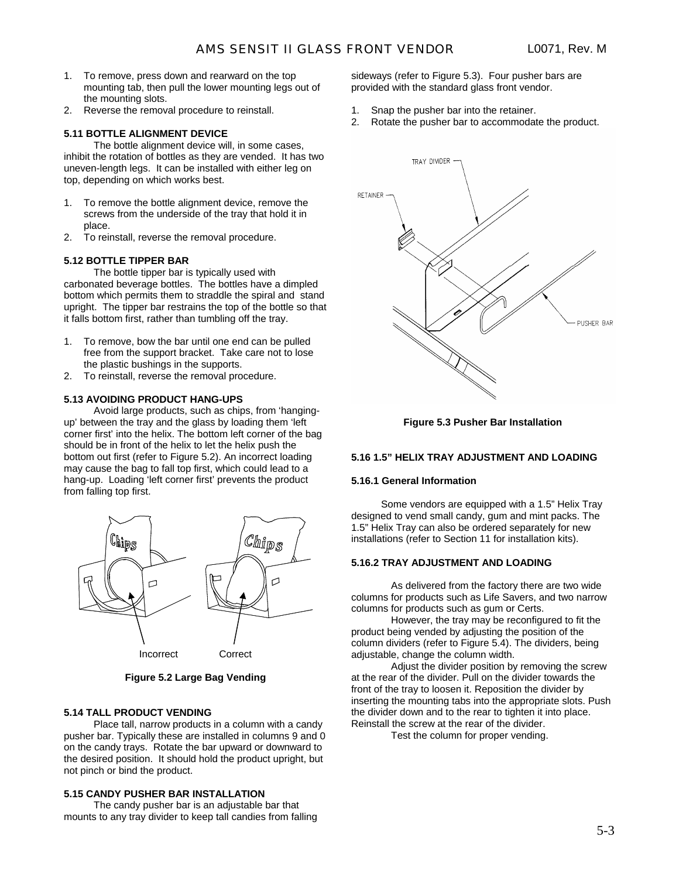- 1. To remove, press down and rearward on the top mounting tab, then pull the lower mounting legs out of the mounting slots.
- 2. Reverse the removal procedure to reinstall.

#### **5.11 BOTTLE ALIGNMENT DEVICE**

The bottle alignment device will, in some cases, inhibit the rotation of bottles as they are vended. It has two uneven-length legs. It can be installed with either leg on top, depending on which works best.

- 1. To remove the bottle alignment device, remove the screws from the underside of the tray that hold it in place.
- 2. To reinstall, reverse the removal procedure.

#### **5.12 BOTTLE TIPPER BAR**

The bottle tipper bar is typically used with carbonated beverage bottles. The bottles have a dimpled bottom which permits them to straddle the spiral and stand upright. The tipper bar restrains the top of the bottle so that it falls bottom first, rather than tumbling off the tray.

- 1. To remove, bow the bar until one end can be pulled free from the support bracket. Take care not to lose the plastic bushings in the supports.
- 2. To reinstall, reverse the removal procedure.

#### **5.13 AVOIDING PRODUCT HANG-UPS**

Avoid large products, such as chips, from 'hangingup' between the tray and the glass by loading them 'left corner first' into the helix. The bottom left corner of the bag should be in front of the helix to let the helix push the bottom out first (refer to Figure 5.2). An incorrect loading may cause the bag to fall top first, which could lead to a hang-up. Loading 'left corner first' prevents the product from falling top first.



**Figure 5.2 Large Bag Vending** 

#### **5.14 TALL PRODUCT VENDING**

Place tall, narrow products in a column with a candy pusher bar. Typically these are installed in columns 9 and 0 on the candy trays. Rotate the bar upward or downward to the desired position. It should hold the product upright, but not pinch or bind the product.

#### **5.15 CANDY PUSHER BAR INSTALLATION**

The candy pusher bar is an adjustable bar that mounts to any tray divider to keep tall candies from falling sideways (refer to Figure 5.3). Four pusher bars are provided with the standard glass front vendor.

- 1. Snap the pusher bar into the retainer.
- 2. Rotate the pusher bar to accommodate the product.



**Figure 5.3 Pusher Bar Installation** 

#### **5.16 1.5" HELIX TRAY ADJUSTMENT AND LOADING**

#### **5.16.1 General Information**

Some vendors are equipped with a 1.5" Helix Tray designed to vend small candy, gum and mint packs. The 1.5" Helix Tray can also be ordered separately for new installations (refer to Section 11 for installation kits).

#### **5.16.2 TRAY ADJUSTMENT AND LOADING**

As delivered from the factory there are two wide columns for products such as Life Savers, and two narrow columns for products such as gum or Certs.

However, the tray may be reconfigured to fit the product being vended by adjusting the position of the column dividers (refer to Figure 5.4). The dividers, being adjustable, change the column width.

Adjust the divider position by removing the screw at the rear of the divider. Pull on the divider towards the front of the tray to loosen it. Reposition the divider by inserting the mounting tabs into the appropriate slots. Push the divider down and to the rear to tighten it into place. Reinstall the screw at the rear of the divider.

Test the column for proper vending.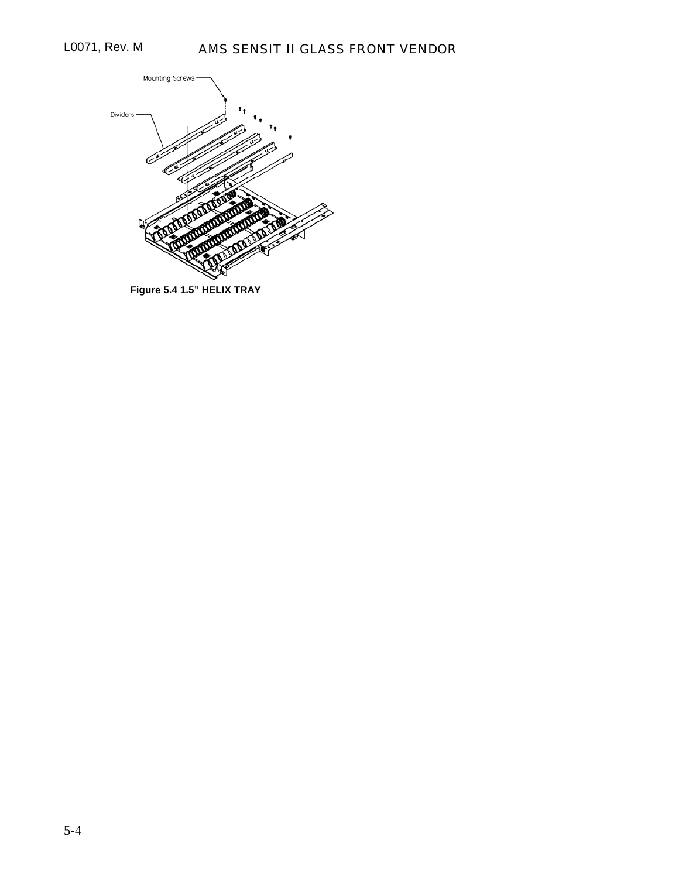

**Figure 5.4 1.5" HELIX TRAY**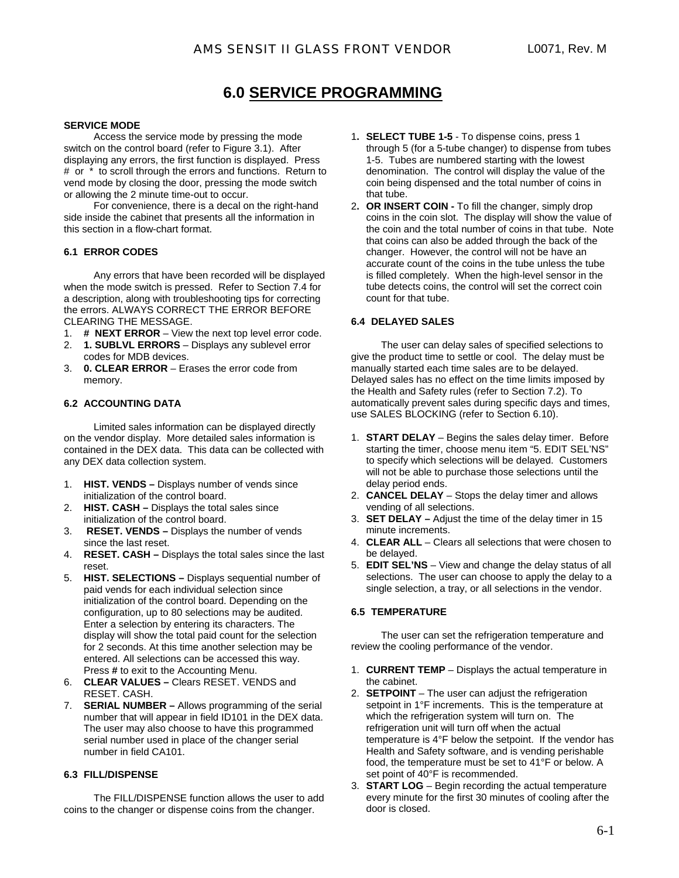## **6.0 SERVICE PROGRAMMING**

#### **SERVICE MODE**

Access the service mode by pressing the mode switch on the control board (refer to Figure 3.1). After displaying any errors, the first function is displayed. Press # or \* to scroll through the errors and functions. Return to vend mode by closing the door, pressing the mode switch or allowing the 2 minute time-out to occur.

For convenience, there is a decal on the right-hand side inside the cabinet that presents all the information in this section in a flow-chart format.

#### **6.1 ERROR CODES**

Any errors that have been recorded will be displayed when the mode switch is pressed. Refer to Section 7.4 for a description, along with troubleshooting tips for correcting the errors. ALWAYS CORRECT THE ERROR BEFORE CLEARING THE MESSAGE.

- 1. **# NEXT ERROR** View the next top level error code.
- 2. **1. SUBLVL ERRORS** Displays any sublevel error codes for MDB devices.
- 3. **0. CLEAR ERROR** Erases the error code from memory.

#### **6.2 ACCOUNTING DATA**

Limited sales information can be displayed directly on the vendor display. More detailed sales information is contained in the DEX data. This data can be collected with any DEX data collection system.

- 1. **HIST. VENDS** Displays number of vends since initialization of the control board.
- 2. **HIST. CASH** Displays the total sales since initialization of the control board.
- 3. **RESET. VENDS** Displays the number of vends since the last reset.
- 4. **RESET. CASH** Displays the total sales since the last reset.
- 5. **HIST. SELECTIONS** Displays sequential number of paid vends for each individual selection since initialization of the control board. Depending on the configuration, up to 80 selections may be audited. Enter a selection by entering its characters. The display will show the total paid count for the selection for 2 seconds. At this time another selection may be entered. All selections can be accessed this way. Press **#** to exit to the Accounting Menu.
- 6. **CLEAR VALUES** Clears RESET. VENDS and RESET. CASH.
- 7. **SERIAL NUMBER** Allows programming of the serial number that will appear in field ID101 in the DEX data. The user may also choose to have this programmed serial number used in place of the changer serial number in field CA101.

#### **6.3 FILL/DISPENSE**

The FILL/DISPENSE function allows the user to add coins to the changer or dispense coins from the changer.

- 1**. SELECT TUBE 1-5** To dispense coins, press 1 through 5 (for a 5-tube changer) to dispense from tubes 1-5. Tubes are numbered starting with the lowest denomination. The control will display the value of the coin being dispensed and the total number of coins in that tube.
- 2**. OR INSERT COIN** To fill the changer, simply drop coins in the coin slot. The display will show the value of the coin and the total number of coins in that tube. Note that coins can also be added through the back of the changer. However, the control will not be have an accurate count of the coins in the tube unless the tube is filled completely. When the high-level sensor in the tube detects coins, the control will set the correct coin count for that tube.

#### **6.4 DELAYED SALES**

The user can delay sales of specified selections to give the product time to settle or cool. The delay must be manually started each time sales are to be delayed. Delayed sales has no effect on the time limits imposed by the Health and Safety rules (refer to Section 7.2). To automatically prevent sales during specific days and times, use SALES BLOCKING (refer to Section 6.10).

- 1. **START DELAY** Begins the sales delay timer. Before starting the timer, choose menu item "5. EDIT SEL'NS" to specify which selections will be delayed. Customers will not be able to purchase those selections until the delay period ends.
- 2. **CANCEL DELAY** Stops the delay timer and allows vending of all selections.
- 3. **SET DELAY –** Adjust the time of the delay timer in 15 minute increments.
- 4. **CLEAR ALL**  Clears all selections that were chosen to be delayed.
- 5. **EDIT SEL'NS**  View and change the delay status of all selections. The user can choose to apply the delay to a single selection, a tray, or all selections in the vendor.

#### **6.5 TEMPERATURE**

The user can set the refrigeration temperature and review the cooling performance of the vendor.

- 1. **CURRENT TEMP**  Displays the actual temperature in the cabinet.
- 2. **SETPOINT** The user can adjust the refrigeration setpoint in 1°F increments. This is the temperature at which the refrigeration system will turn on. The refrigeration unit will turn off when the actual temperature is 4°F below the setpoint. If the vendor has Health and Safety software, and is vending perishable food, the temperature must be set to 41°F or below. A set point of 40°F is recommended.
- 3. **START LOG** Begin recording the actual temperature every minute for the first 30 minutes of cooling after the door is closed.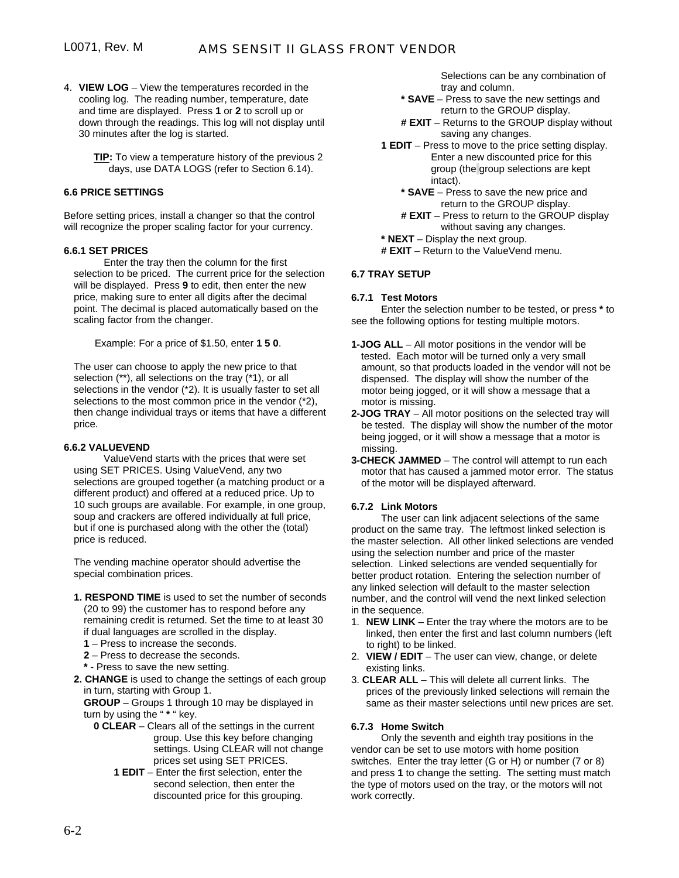4. **VIEW LOG** – View the temperatures recorded in the cooling log. The reading number, temperature, date and time are displayed. Press **1** or **2** to scroll up or down through the readings. This log will not display until 30 minutes after the log is started.

> **TIP:** To view a temperature history of the previous 2 days, use DATA LOGS (refer to Section 6.14).

#### **6.6 PRICE SETTINGS**

Before setting prices, install a changer so that the control will recognize the proper scaling factor for your currency.

#### **6.6.1 SET PRICES**

Enter the tray then the column for the first selection to be priced. The current price for the selection will be displayed. Press **9** to edit, then enter the new price, making sure to enter all digits after the decimal point. The decimal is placed automatically based on the scaling factor from the changer.

Example: For a price of \$1.50, enter **1 5 0**.

The user can choose to apply the new price to that selection (\*\*), all selections on the tray (\*1), or all selections in the vendor (\*2). It is usually faster to set all selections to the most common price in the vendor (\*2), then change individual trays or items that have a different price.

#### **6.6.2 VALUEVEND**

ValueVend starts with the prices that were set using SET PRICES. Using ValueVend, any two selections are grouped together (a matching product or a different product) and offered at a reduced price. Up to 10 such groups are available. For example, in one group, soup and crackers are offered individually at full price, but if one is purchased along with the other the (total) price is reduced.

The vending machine operator should advertise the special combination prices.

- **1. RESPOND TIME** is used to set the number of seconds (20 to 99) the customer has to respond before any remaining credit is returned. Set the time to at least 30 if dual languages are scrolled in the display.
	- **1** Press to increase the seconds.
	- **2** Press to decrease the seconds.
	- **\*** Press to save the new setting.
- **2. CHANGE** is used to change the settings of each group in turn, starting with Group 1.

**GROUP** – Groups 1 through 10 may be displayed in turn by using the " **\*** " key.

- **0 CLEAR**  Clears all of the settings in the current group. Use this key before changing settings. Using CLEAR will not change prices set using SET PRICES.
	- **1 EDIT**  Enter the first selection, enter the second selection, then enter the discounted price for this grouping.

Selections can be any combination of tray and column.

- **\* SAVE**  Press to save the new settings and return to the GROUP display.
- **# EXIT**  Returns to the GROUP display without saving any changes.
- **1 EDIT**  Press to move to the price setting display. Enter a new discounted price for this group (the group selections are kept intact).
	- **\* SAVE**  Press to save the new price and return to the GROUP display.
	- **# EXIT**  Press to return to the GROUP display without saving any changes.
- **\* NEXT**  Display the next group.
- **# EXIT**  Return to the ValueVend menu.

#### **6.7 TRAY SETUP**

#### **6.7.1 Test Motors**

Enter the selection number to be tested, or press **\*** to see the following options for testing multiple motors.

- **1-JOG ALL** All motor positions in the vendor will be tested. Each motor will be turned only a very small amount, so that products loaded in the vendor will not be dispensed. The display will show the number of the motor being jogged, or it will show a message that a motor is missing.
- **2-JOG TRAY** All motor positions on the selected tray will be tested. The display will show the number of the motor being jogged, or it will show a message that a motor is missing.
- **3-CHECK JAMMED**  The control will attempt to run each motor that has caused a jammed motor error. The status of the motor will be displayed afterward.

#### **6.7.2 Link Motors**

The user can link adjacent selections of the same product on the same tray. The leftmost linked selection is the master selection. All other linked selections are vended using the selection number and price of the master selection. Linked selections are vended sequentially for better product rotation. Entering the selection number of any linked selection will default to the master selection number, and the control will vend the next linked selection in the sequence.

- 1. **NEW LINK** Enter the tray where the motors are to be linked, then enter the first and last column numbers (left to right) to be linked.
- 2. **VIEW / EDIT** The user can view, change, or delete existing links.
- 3. **CLEAR ALL** This will delete all current links. The prices of the previously linked selections will remain the same as their master selections until new prices are set.

#### **6.7.3 Home Switch**

Only the seventh and eighth tray positions in the vendor can be set to use motors with home position switches. Enter the tray letter (G or H) or number (7 or 8) and press **1** to change the setting. The setting must match the type of motors used on the tray, or the motors will not work correctly.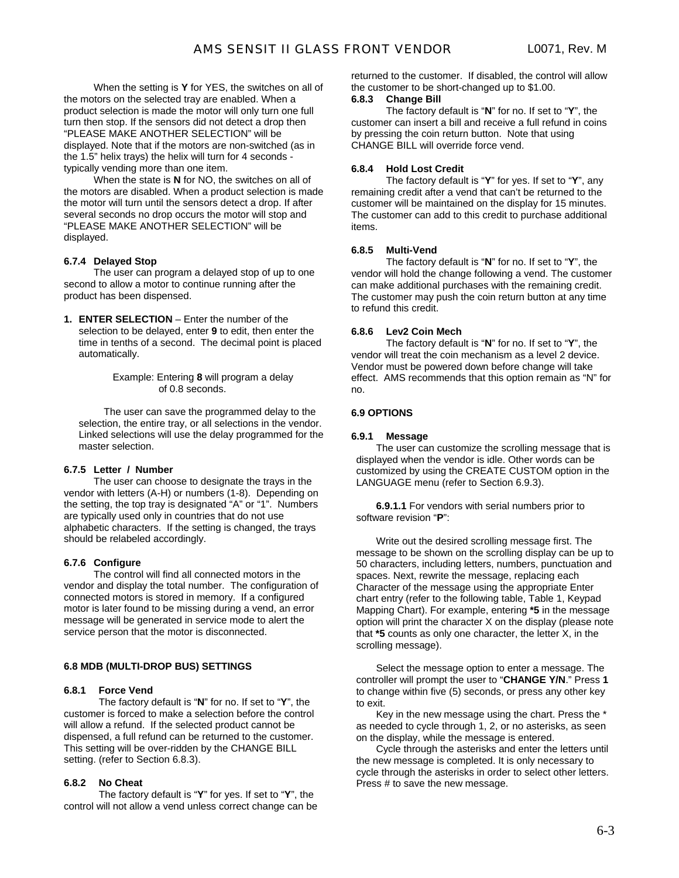When the setting is **Y** for YES, the switches on all of the motors on the selected tray are enabled. When a product selection is made the motor will only turn one full turn then stop. If the sensors did not detect a drop then "PLEASE MAKE ANOTHER SELECTION" will be displayed. Note that if the motors are non-switched (as in the 1.5" helix trays) the helix will turn for 4 seconds typically vending more than one item.

When the state is **N** for NO, the switches on all of the motors are disabled. When a product selection is made the motor will turn until the sensors detect a drop. If after several seconds no drop occurs the motor will stop and "PLEASE MAKE ANOTHER SELECTION" will be displayed.

#### **6.7.4 Delayed Stop**

The user can program a delayed stop of up to one second to allow a motor to continue running after the product has been dispensed.

**1. ENTER SELECTION** – Enter the number of the selection to be delayed, enter **9** to edit, then enter the time in tenths of a second. The decimal point is placed automatically.

> Example: Entering **8** will program a delay of 0.8 seconds.

The user can save the programmed delay to the selection, the entire tray, or all selections in the vendor. Linked selections will use the delay programmed for the master selection.

#### **6.7.5 Letter / Number**

The user can choose to designate the trays in the vendor with letters (A-H) or numbers (1-8). Depending on the setting, the top tray is designated "A" or "1". Numbers are typically used only in countries that do not use alphabetic characters. If the setting is changed, the trays should be relabeled accordingly.

#### **6.7.6 Configure**

The control will find all connected motors in the vendor and display the total number. The configuration of connected motors is stored in memory. If a configured motor is later found to be missing during a vend, an error message will be generated in service mode to alert the service person that the motor is disconnected.

#### **6.8 MDB (MULTI-DROP BUS) SETTINGS**

#### **6.8.1 Force Vend**

The factory default is "**N**" for no. If set to "**Y**", the customer is forced to make a selection before the control will allow a refund. If the selected product cannot be dispensed, a full refund can be returned to the customer. This setting will be over-ridden by the CHANGE BILL setting. (refer to Section 6.8.3).

#### **6.8.2 No Cheat**

The factory default is "**Y**" for yes. If set to "**Y**", the control will not allow a vend unless correct change can be returned to the customer. If disabled, the control will allow the customer to be short-changed up to \$1.00.

#### **6.8.3 Change Bill**

The factory default is "**N**" for no. If set to "**Y**", the customer can insert a bill and receive a full refund in coins by pressing the coin return button. Note that using CHANGE BILL will override force vend.

#### **6.8.4 Hold Lost Credit**

The factory default is "**Y**" for yes. If set to "**Y**", any remaining credit after a vend that can't be returned to the customer will be maintained on the display for 15 minutes. The customer can add to this credit to purchase additional items.

#### **6.8.5 Multi-Vend**

The factory default is "**N**" for no. If set to "**Y**", the vendor will hold the change following a vend. The customer can make additional purchases with the remaining credit. The customer may push the coin return button at any time to refund this credit.

#### **6.8.6 Lev2 Coin Mech**

The factory default is "**N**" for no. If set to "**Y**", the vendor will treat the coin mechanism as a level 2 device. Vendor must be powered down before change will take effect. AMS recommends that this option remain as "N" for no.

#### **6.9 OPTIONS**

#### **6.9.1 Message**

The user can customize the scrolling message that is displayed when the vendor is idle. Other words can be customized by using the CREATE CUSTOM option in the LANGUAGE menu (refer to Section 6.9.3).

**6.9.1.1** For vendors with serial numbers prior to software revision "**P**":

Write out the desired scrolling message first. The message to be shown on the scrolling display can be up to 50 characters, including letters, numbers, punctuation and spaces. Next, rewrite the message, replacing each Character of the message using the appropriate Enter chart entry (refer to the following table, Table 1, Keypad Mapping Chart). For example, entering **\*5** in the message option will print the character X on the display (please note that **\*5** counts as only one character, the letter X, in the scrolling message).

Select the message option to enter a message. The controller will prompt the user to "**CHANGE Y/N**." Press **1** to change within five (5) seconds, or press any other key to exit.

Key in the new message using the chart. Press the \* as needed to cycle through 1, 2, or no asterisks, as seen on the display, while the message is entered.

Cycle through the asterisks and enter the letters until the new message is completed. It is only necessary to cycle through the asterisks in order to select other letters. Press # to save the new message.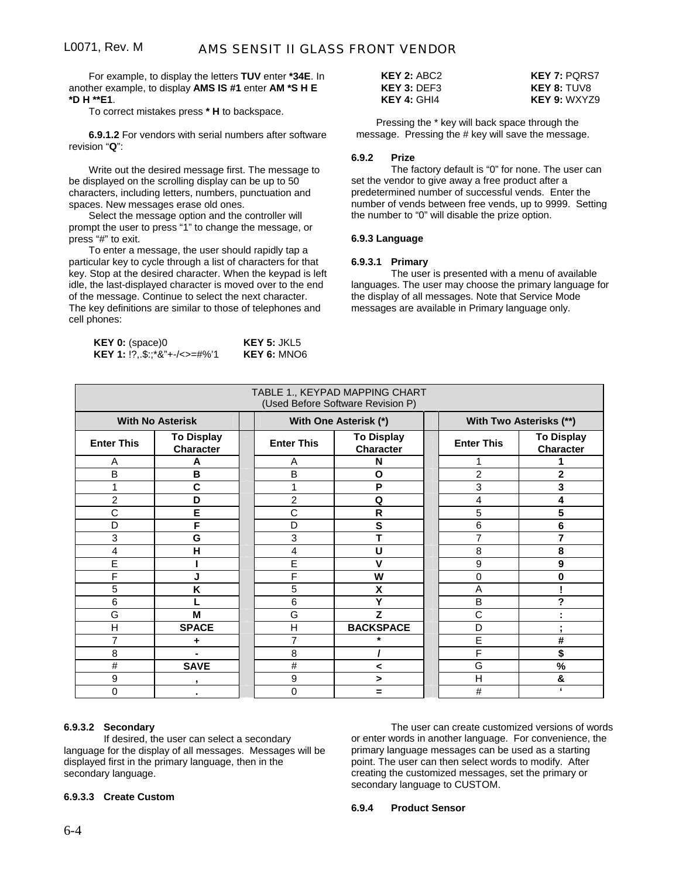For example, to display the letters **TUV** enter **\*34E**. In another example, to display **AMS IS #1** enter **AM \*S H E \*D H \*\*E1**.

To correct mistakes press **\* H** to backspace.

**6.9.1.2** For vendors with serial numbers after software revision "**Q**":

Write out the desired message first. The message to be displayed on the scrolling display can be up to 50 characters, including letters, numbers, punctuation and spaces. New messages erase old ones.

Select the message option and the controller will prompt the user to press "1" to change the message, or press "#" to exit.

To enter a message, the user should rapidly tap a particular key to cycle through a list of characters for that key. Stop at the desired character. When the keypad is left idle, the last-displayed character is moved over to the end of the message. Continue to select the next character. The key definitions are similar to those of telephones and cell phones:

| KEY 0: (space)0                          | <b>KEY 5: JKL5</b> |
|------------------------------------------|--------------------|
| <b>KEY 1:</b> $\cdot$ ?\$::*&"+-/<>=#%'1 | KEY 6: MNO6        |

| KEY 2: ABC2 | <b>KEY 7: PORS7</b> |
|-------------|---------------------|
| KEY 3: DEF3 | <b>KEY 8: TUV8</b>  |
| KEY 4: GHI4 | KEY 9: WXYZ9        |

Pressing the \* key will back space through the message. Pressing the # key will save the message.

#### **6.9.2 Prize**

The factory default is "0" for none. The user can set the vendor to give away a free product after a predetermined number of successful vends. Enter the number of vends between free vends, up to 9999. Setting the number to "0" will disable the prize option.

#### **6.9.3 Language**

#### **6.9.3.1 Primary**

The user is presented with a menu of available languages. The user may choose the primary language for the display of all messages. Note that Service Mode messages are available in Primary language only.

| TABLE 1., KEYPAD MAPPING CHART<br>(Used Before Software Revision P) |                                       |  |                   |                                       |                         |                                       |  |
|---------------------------------------------------------------------|---------------------------------------|--|-------------------|---------------------------------------|-------------------------|---------------------------------------|--|
|                                                                     | <b>With No Asterisk</b>               |  |                   | With One Asterisk (*)                 | With Two Asterisks (**) |                                       |  |
| <b>Enter This</b>                                                   | <b>To Display</b><br><b>Character</b> |  | <b>Enter This</b> | <b>To Display</b><br><b>Character</b> | <b>Enter This</b>       | <b>To Display</b><br><b>Character</b> |  |
| A                                                                   | A                                     |  | A                 | N                                     |                         |                                       |  |
| B                                                                   | B                                     |  | B                 | O                                     | 2                       | $\mathbf{2}$                          |  |
|                                                                     | C                                     |  |                   | P                                     | 3                       | 3                                     |  |
| $\overline{2}$                                                      | D                                     |  | 2                 | Q                                     | 4                       | 4                                     |  |
| C                                                                   | Е                                     |  | C                 | R                                     | 5                       | 5                                     |  |
| D                                                                   | F                                     |  | D                 | S                                     | 6                       | 6                                     |  |
| 3                                                                   | G                                     |  | 3                 | т                                     | 7                       | 7                                     |  |
| 4                                                                   | н                                     |  | 4                 | U                                     | 8                       | 8                                     |  |
| E                                                                   |                                       |  | E                 | v                                     | 9                       | 9                                     |  |
| F                                                                   | J                                     |  | F                 | W                                     | 0                       | $\bf{0}$                              |  |
| 5                                                                   | K                                     |  | 5                 | X                                     | Α                       |                                       |  |
| 6                                                                   |                                       |  | 6                 | v                                     | B                       | 7                                     |  |
| G                                                                   | M                                     |  | G                 | 7                                     | C                       |                                       |  |
| H                                                                   | <b>SPACE</b>                          |  | H                 | <b>BACKSPACE</b>                      | D                       |                                       |  |
| 7                                                                   | ٠                                     |  | 7                 | $\star$                               | E                       | #                                     |  |
| 8                                                                   | -                                     |  | 8                 |                                       | F                       | \$                                    |  |
| $\#$                                                                | <b>SAVE</b>                           |  | $\#$              | ≺                                     | G                       | $\frac{0}{0}$                         |  |
| 9                                                                   |                                       |  | 9                 | >                                     | Н                       | &                                     |  |
| $\Omega$                                                            |                                       |  | 0                 | =                                     | #                       | $\epsilon$                            |  |

#### **6.9.3.2 Secondary**

If desired, the user can select a secondary language for the display of all messages. Messages will be displayed first in the primary language, then in the secondary language.

The user can create customized versions of words or enter words in another language. For convenience, the primary language messages can be used as a starting point. The user can then select words to modify. After creating the customized messages, set the primary or secondary language to CUSTOM.

#### **6.9.3.3 Create Custom**

#### **6.9.4 Product Sensor**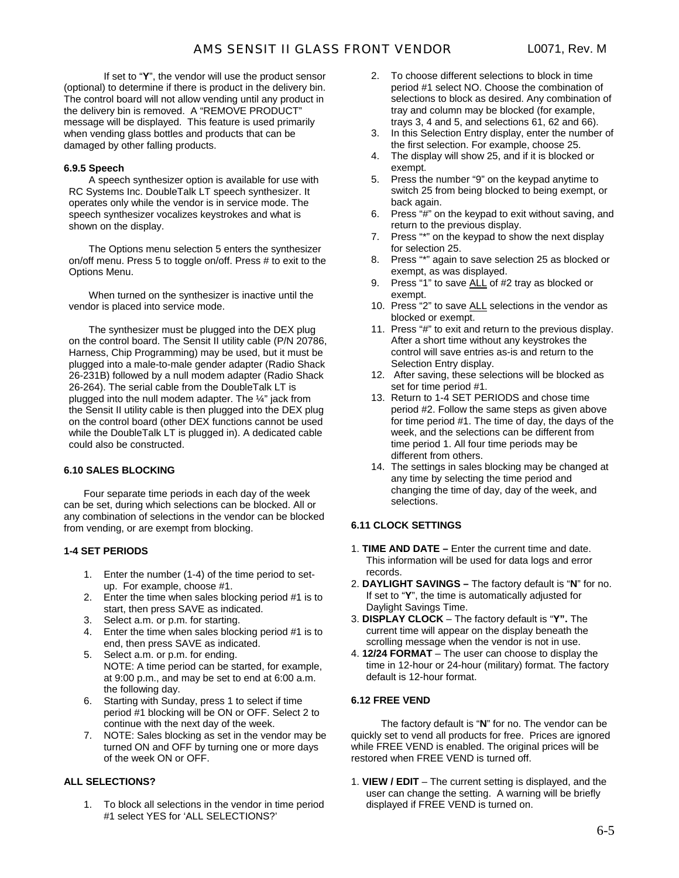If set to "**Y**", the vendor will use the product sensor (optional) to determine if there is product in the delivery bin. The control board will not allow vending until any product in the delivery bin is removed. A "REMOVE PRODUCT" message will be displayed. This feature is used primarily when vending glass bottles and products that can be damaged by other falling products.

#### **6.9.5 Speech**

A speech synthesizer option is available for use with RC Systems Inc. DoubleTalk LT speech synthesizer. It operates only while the vendor is in service mode. The speech synthesizer vocalizes keystrokes and what is shown on the display.

The Options menu selection 5 enters the synthesizer on/off menu. Press 5 to toggle on/off. Press # to exit to the Options Menu.

When turned on the synthesizer is inactive until the vendor is placed into service mode.

The synthesizer must be plugged into the DEX plug on the control board. The Sensit II utility cable (P/N 20786, Harness, Chip Programming) may be used, but it must be plugged into a male-to-male gender adapter (Radio Shack 26-231B) followed by a null modem adapter (Radio Shack 26-264). The serial cable from the DoubleTalk LT is plugged into the null modem adapter. The ¼" jack from the Sensit II utility cable is then plugged into the DEX plug on the control board (other DEX functions cannot be used while the DoubleTalk LT is plugged in). A dedicated cable could also be constructed.

#### **6.10 SALES BLOCKING**

Four separate time periods in each day of the week can be set, during which selections can be blocked. All or any combination of selections in the vendor can be blocked from vending, or are exempt from blocking.

#### **1-4 SET PERIODS**

- 1. Enter the number (1-4) of the time period to setup. For example, choose #1.
- 2. Enter the time when sales blocking period #1 is to start, then press SAVE as indicated.
- 3. Select a.m. or p.m. for starting.
- 4. Enter the time when sales blocking period #1 is to end, then press SAVE as indicated.
- 5. Select a.m. or p.m. for ending. NOTE: A time period can be started, for example, at 9:00 p.m., and may be set to end at 6:00 a.m. the following day.
- 6. Starting with Sunday, press 1 to select if time period #1 blocking will be ON or OFF. Select 2 to continue with the next day of the week.
- 7. NOTE: Sales blocking as set in the vendor may be turned ON and OFF by turning one or more days of the week ON or OFF.

#### **ALL SELECTIONS?**

1. To block all selections in the vendor in time period #1 select YES for 'ALL SELECTIONS?'

- 2. To choose different selections to block in time period #1 select NO. Choose the combination of selections to block as desired. Any combination of tray and column may be blocked (for example, trays 3, 4 and 5, and selections 61, 62 and 66).
- 3. In this Selection Entry display, enter the number of the first selection. For example, choose 25.
- 4. The display will show 25, and if it is blocked or exempt.
- 5. Press the number "9" on the keypad anytime to switch 25 from being blocked to being exempt, or back again.
- 6. Press "#" on the keypad to exit without saving, and return to the previous display.
- 7. Press "\*" on the keypad to show the next display for selection 25.
- 8. Press "\*" again to save selection 25 as blocked or exempt, as was displayed.
- 9. Press "1" to save ALL of #2 tray as blocked or exempt.
- 10. Press "2" to save ALL selections in the vendor as blocked or exempt.
- 11. Press "#" to exit and return to the previous display. After a short time without any keystrokes the control will save entries as-is and return to the Selection Entry display.
- 12. After saving, these selections will be blocked as set for time period #1.
- 13. Return to 1-4 SET PERIODS and chose time period #2. Follow the same steps as given above for time period #1. The time of day, the days of the week, and the selections can be different from time period 1. All four time periods may be different from others.
- 14. The settings in sales blocking may be changed at any time by selecting the time period and changing the time of day, day of the week, and selections.

#### **6.11 CLOCK SETTINGS**

- 1. **TIME AND DATE** Enter the current time and date. This information will be used for data logs and error records.
- 2. **DAYLIGHT SAVINGS** The factory default is "**N**" for no. If set to "**Y**", the time is automatically adjusted for Daylight Savings Time.
- 3. **DISPLAY CLOCK** The factory default is "**Y".** The current time will appear on the display beneath the scrolling message when the vendor is not in use.
- 4. **12/24 FORMAT** The user can choose to display the time in 12-hour or 24-hour (military) format. The factory default is 12-hour format.

#### **6.12 FREE VEND**

The factory default is "**N**" for no. The vendor can be quickly set to vend all products for free. Prices are ignored while FREE VEND is enabled. The original prices will be restored when FREE VEND is turned off.

1. **VIEW / EDIT** – The current setting is displayed, and the user can change the setting. A warning will be briefly displayed if FREE VEND is turned on.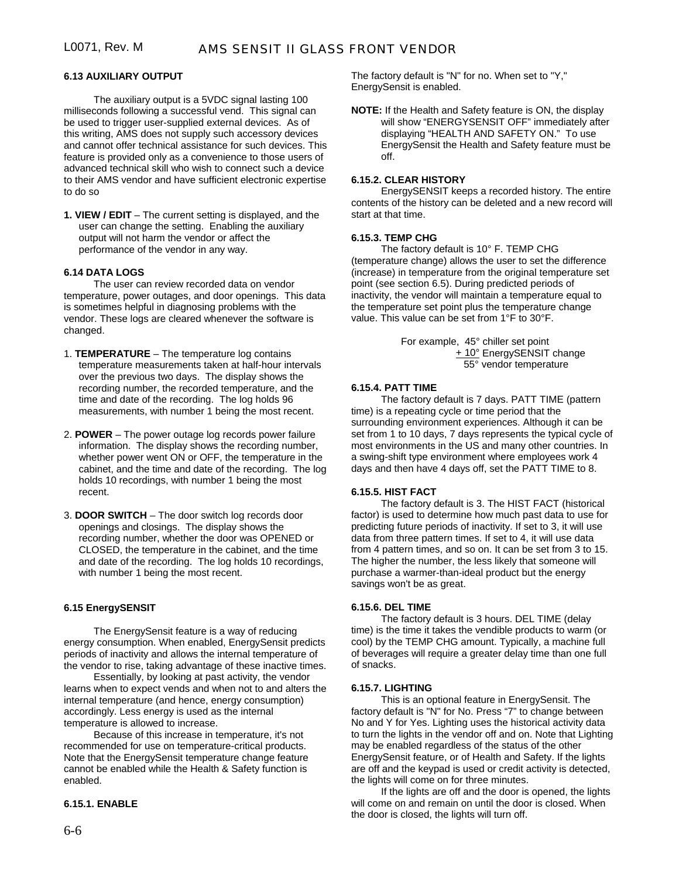#### **6.13 AUXILIARY OUTPUT**

The auxiliary output is a 5VDC signal lasting 100 milliseconds following a successful vend. This signal can be used to trigger user-supplied external devices. As of this writing, AMS does not supply such accessory devices and cannot offer technical assistance for such devices. This feature is provided only as a convenience to those users of advanced technical skill who wish to connect such a device to their AMS vendor and have sufficient electronic expertise to do so

**1. VIEW / EDIT** – The current setting is displayed, and the user can change the setting. Enabling the auxiliary output will not harm the vendor or affect the performance of the vendor in any way.

#### **6.14 DATA LOGS**

The user can review recorded data on vendor temperature, power outages, and door openings. This data is sometimes helpful in diagnosing problems with the vendor. These logs are cleared whenever the software is changed.

- 1. **TEMPERATURE** The temperature log contains temperature measurements taken at half-hour intervals over the previous two days. The display shows the recording number, the recorded temperature, and the time and date of the recording. The log holds 96 measurements, with number 1 being the most recent.
- 2. **POWER** The power outage log records power failure information. The display shows the recording number, whether power went ON or OFF, the temperature in the cabinet, and the time and date of the recording. The log holds 10 recordings, with number 1 being the most recent.
- 3. **DOOR SWITCH** The door switch log records door openings and closings. The display shows the recording number, whether the door was OPENED or CLOSED, the temperature in the cabinet, and the time and date of the recording. The log holds 10 recordings, with number 1 being the most recent.

#### **6.15 EnergySENSIT**

The EnergySensit feature is a way of reducing energy consumption. When enabled, EnergySensit predicts periods of inactivity and allows the internal temperature of the vendor to rise, taking advantage of these inactive times.

Essentially, by looking at past activity, the vendor learns when to expect vends and when not to and alters the internal temperature (and hence, energy consumption) accordingly. Less energy is used as the internal temperature is allowed to increase.

Because of this increase in temperature, it's not recommended for use on temperature-critical products. Note that the EnergySensit temperature change feature cannot be enabled while the Health & Safety function is enabled.

#### **6.15.1. ENABLE**

The factory default is "N" for no. When set to "Y," EnergySensit is enabled.

**NOTE:** If the Health and Safety feature is ON, the display will show "ENERGYSENSIT OFF" immediately after displaying "HEALTH AND SAFETY ON." To use EnergySensit the Health and Safety feature must be off.

#### **6.15.2. CLEAR HISTORY**

EnergySENSIT keeps a recorded history. The entire contents of the history can be deleted and a new record will start at that time.

#### **6.15.3. TEMP CHG**

The factory default is 10° F. TEMP CHG (temperature change) allows the user to set the difference (increase) in temperature from the original temperature set point (see section 6.5). During predicted periods of inactivity, the vendor will maintain a temperature equal to the temperature set point plus the temperature change value. This value can be set from 1°F to 30°F.

> For example, 45° chiller set point + 10° EnergySENSIT change 55° vendor temperature

#### **6.15.4. PATT TIME**

The factory default is 7 days. PATT TIME (pattern time) is a repeating cycle or time period that the surrounding environment experiences. Although it can be set from 1 to 10 days, 7 days represents the typical cycle of most environments in the US and many other countries. In a swing-shift type environment where employees work 4 days and then have 4 days off, set the PATT TIME to 8.

#### **6.15.5. HIST FACT**

The factory default is 3. The HIST FACT (historical factor) is used to determine how much past data to use for predicting future periods of inactivity. If set to 3, it will use data from three pattern times. If set to 4, it will use data from 4 pattern times, and so on. It can be set from 3 to 15. The higher the number, the less likely that someone will purchase a warmer-than-ideal product but the energy savings won't be as great.

#### **6.15.6. DEL TIME**

The factory default is 3 hours. DEL TIME (delay time) is the time it takes the vendible products to warm (or cool) by the TEMP CHG amount. Typically, a machine full of beverages will require a greater delay time than one full of snacks.

#### **6.15.7. LIGHTING**

This is an optional feature in EnergySensit. The factory default is "N" for No. Press "7" to change between No and Y for Yes. Lighting uses the historical activity data to turn the lights in the vendor off and on. Note that Lighting may be enabled regardless of the status of the other EnergySensit feature, or of Health and Safety. If the lights are off and the keypad is used or credit activity is detected, the lights will come on for three minutes.

If the lights are off and the door is opened, the lights will come on and remain on until the door is closed. When the door is closed, the lights will turn off.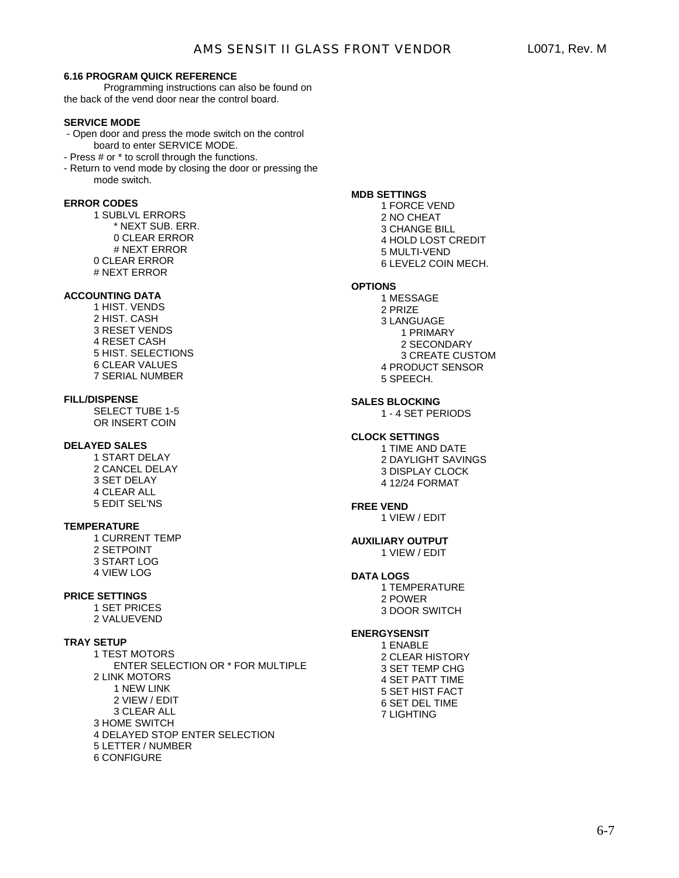#### **6.16 PROGRAM QUICK REFERENCE**

 Programming instructions can also be found on the back of the vend door near the control board.

#### **SERVICE MODE**

- Open door and press the mode switch on the control board to enter SERVICE MODE.
- Press # or \* to scroll through the functions.
- Return to vend mode by closing the door or pressing the mode switch.

#### **ERROR CODES**

1 SUBLVL ERRORS \* NEXT SUB. ERR. 0 CLEAR ERROR # NEXT ERROR 0 CLEAR ERROR # NEXT ERROR

#### **ACCOUNTING DATA**

1 HIST. VENDS 2 HIST. CASH 3 RESET VENDS 4 RESET CASH 5 HIST. SELECTIONS 6 CLEAR VALUES 7 SERIAL NUMBER

#### **FILL/DISPENSE**

SELECT TUBE 1-5 OR INSERT COIN

#### **DELAYED SALES**

1 START DELAY 2 CANCEL DELAY 3 SET DELAY 4 CLEAR ALL 5 EDIT SEL'NS

#### **TEMPERATURE**

1 CURRENT TEMP 2 SETPOINT 3 START LOG 4 VIEW LOG

#### **PRICE SETTINGS**

1 SET PRICES 2 VALUEVEND

#### **TRAY SETUP**

1 TEST MOTORS ENTER SELECTION OR \* FOR MULTIPLE 2 LINK MOTORS 1 NEW LINK 2 VIEW / EDIT 3 CLEAR ALL 3 HOME SWITCH 4 DELAYED STOP ENTER SELECTION 5 LETTER / NUMBER 6 CONFIGURE

#### **MDB SETTINGS**

1 FORCE VEND 2 NO CHEAT 3 CHANGE BILL 4 HOLD LOST CREDIT 5 MULTI-VEND 6 LEVEL2 COIN MECH.

#### **OPTIONS**

1 MESSAGE 2 PRIZE 3 LANGUAGE 1 PRIMARY 2 SECONDARY 3 CREATE CUSTOM 4 PRODUCT SENSOR 5 SPEECH.

#### **SALES BLOCKING**

1 - 4 SET PERIODS

#### **CLOCK SETTINGS**

1 TIME AND DATE 2 DAYLIGHT SAVINGS 3 DISPLAY CLOCK 4 12/24 FORMAT

#### **FREE VEND**

1 VIEW / EDIT

#### **AUXILIARY OUTPUT**

1 VIEW / EDIT

#### **DATA LOGS**

1 TEMPERATURE 2 POWER 3 DOOR SWITCH

#### **ENERGYSENSIT**

1 ENABLE 2 CLEAR HISTORY 3 SET TEMP CHG 4 SET PATT TIME 5 SET HIST FACT 6 SET DEL TIME 7 LIGHTING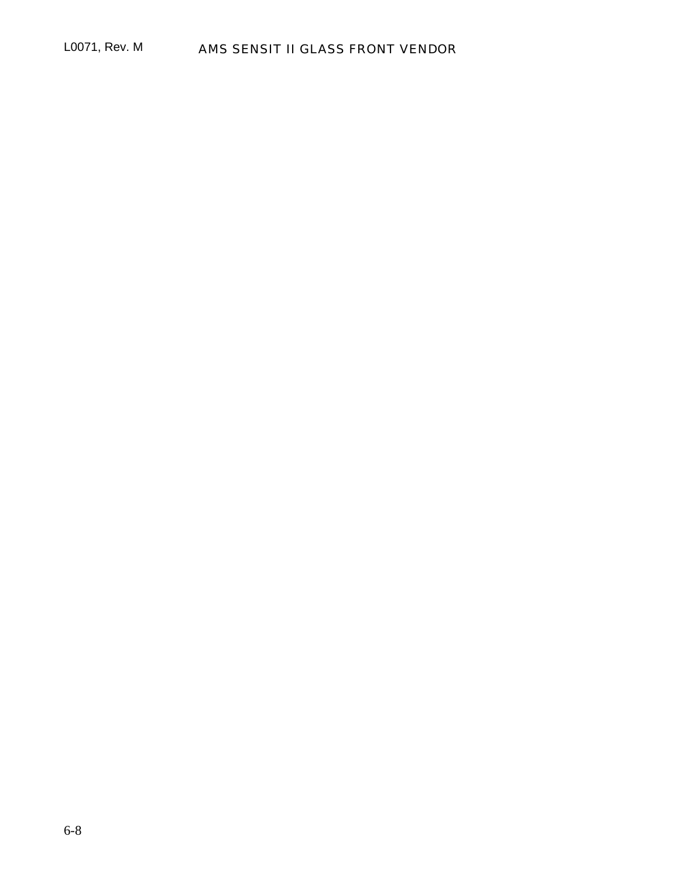## L0071, Rev. M **AMS SENSIT II GLASS FRONT VENDOR**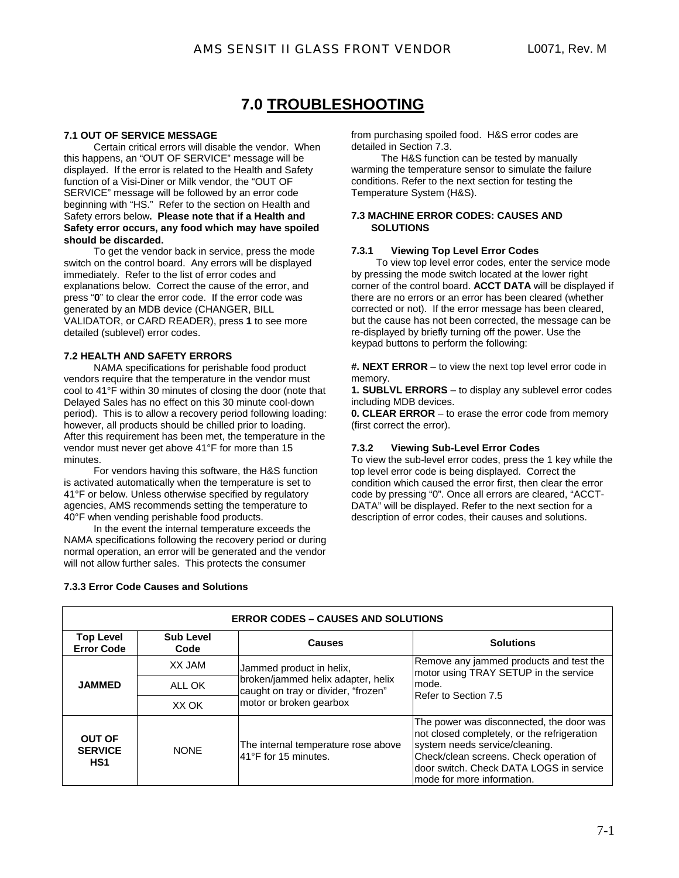## **7.0 TROUBLESHOOTING**

#### **7.1 OUT OF SERVICE MESSAGE**

Certain critical errors will disable the vendor. When this happens, an "OUT OF SERVICE" message will be displayed. If the error is related to the Health and Safety function of a Visi-Diner or Milk vendor, the "OUT OF SERVICE" message will be followed by an error code beginning with "HS." Refer to the section on Health and Safety errors below**. Please note that if a Health and Safety error occurs, any food which may have spoiled should be discarded.**

To get the vendor back in service, press the mode switch on the control board. Any errors will be displayed immediately. Refer to the list of error codes and explanations below. Correct the cause of the error, and press "**0**" to clear the error code. If the error code was generated by an MDB device (CHANGER, BILL VALIDATOR, or CARD READER), press **1** to see more detailed (sublevel) error codes.

#### **7.2 HEALTH AND SAFETY ERRORS**

NAMA specifications for perishable food product vendors require that the temperature in the vendor must cool to 41°F within 30 minutes of closing the door (note that Delayed Sales has no effect on this 30 minute cool-down period). This is to allow a recovery period following loading: however, all products should be chilled prior to loading. After this requirement has been met, the temperature in the vendor must never get above 41°F for more than 15 minutes.

For vendors having this software, the H&S function is activated automatically when the temperature is set to 41°F or below. Unless otherwise specified by regulatory agencies, AMS recommends setting the temperature to 40°F when vending perishable food products.

In the event the internal temperature exceeds the NAMA specifications following the recovery period or during normal operation, an error will be generated and the vendor will not allow further sales. This protects the consumer

from purchasing spoiled food. H&S error codes are detailed in Section 7.3.

The H&S function can be tested by manually warming the temperature sensor to simulate the failure conditions. Refer to the next section for testing the Temperature System (H&S).

#### **7.3 MACHINE ERROR CODES: CAUSES AND SOLUTIONS**

#### **7.3.1 Viewing Top Level Error Codes**

To view top level error codes, enter the service mode by pressing the mode switch located at the lower right corner of the control board. **ACCT DATA** will be displayed if there are no errors or an error has been cleared (whether corrected or not). If the error message has been cleared, but the cause has not been corrected, the message can be re-displayed by briefly turning off the power. Use the keypad buttons to perform the following:

**#. NEXT ERROR** – to view the next top level error code in memory.

**1. SUBLVL ERRORS** – to display any sublevel error codes including MDB devices.

**0. CLEAR ERROR** – to erase the error code from memory (first correct the error).

#### **7.3.2 Viewing Sub-Level Error Codes**

To view the sub-level error codes, press the 1 key while the top level error code is being displayed. Correct the condition which caused the error first, then clear the error code by pressing "0". Once all errors are cleared, "ACCT-DATA" will be displayed. Refer to the next section for a description of error codes, their causes and solutions.

| <b>ERROR CODES - CAUSES AND SOLUTIONS</b>          |                          |                                                                           |                                                                                                                                                                                                                                               |  |  |
|----------------------------------------------------|--------------------------|---------------------------------------------------------------------------|-----------------------------------------------------------------------------------------------------------------------------------------------------------------------------------------------------------------------------------------------|--|--|
| <b>Top Level</b><br><b>Error Code</b>              | <b>Sub Level</b><br>Code | <b>Causes</b>                                                             | <b>Solutions</b>                                                                                                                                                                                                                              |  |  |
|                                                    | <b>XX JAM</b>            | Jammed product in helix,                                                  | Remove any jammed products and test the<br>motor using TRAY SETUP in the service<br>mode.<br>Refer to Section 7.5                                                                                                                             |  |  |
| <b>JAMMED</b>                                      | ALL OK                   | broken/jammed helix adapter, helix<br>caught on tray or divider, "frozen" |                                                                                                                                                                                                                                               |  |  |
|                                                    | XX OK                    | motor or broken gearbox                                                   |                                                                                                                                                                                                                                               |  |  |
| <b>OUT OF</b><br><b>SERVICE</b><br>HS <sub>1</sub> | <b>NONE</b>              | The internal temperature rose above<br>41°F for 15 minutes.               | The power was disconnected, the door was<br>not closed completely, or the refrigeration<br>system needs service/cleaning.<br>Check/clean screens. Check operation of<br>door switch. Check DATA LOGS in service<br>mode for more information. |  |  |

#### **7.3.3 Error Code Causes and Solutions**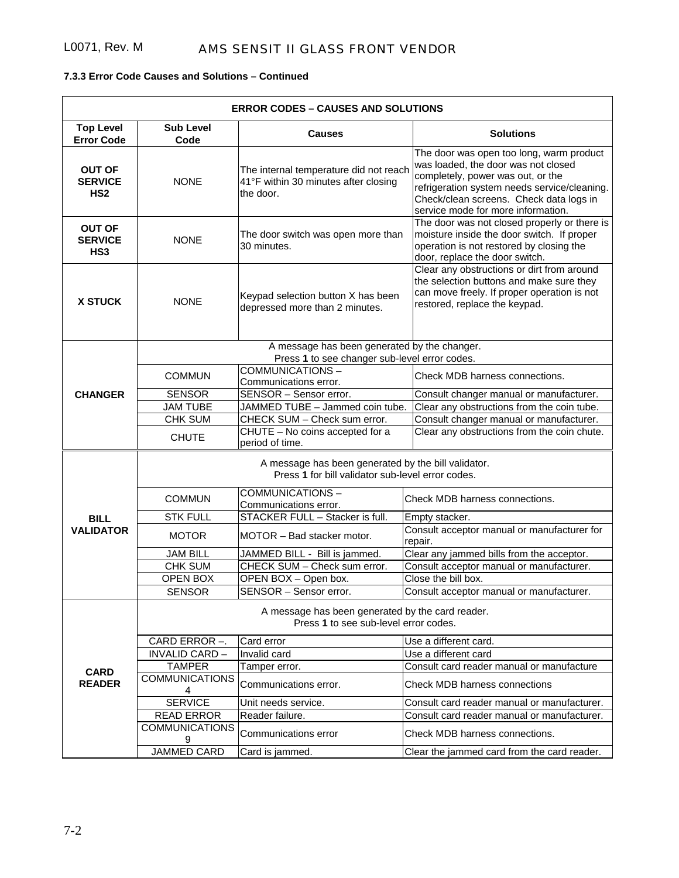## **7.3.3 Error Code Causes and Solutions – Continued**

| <b>ERROR CODES - CAUSES AND SOLUTIONS</b>          |                                                    |                                                                                                          |                                                                                                                                                                                                                                                       |  |  |  |
|----------------------------------------------------|----------------------------------------------------|----------------------------------------------------------------------------------------------------------|-------------------------------------------------------------------------------------------------------------------------------------------------------------------------------------------------------------------------------------------------------|--|--|--|
| <b>Top Level</b><br><b>Error Code</b>              | <b>Sub Level</b><br>Code                           | <b>Causes</b>                                                                                            | <b>Solutions</b>                                                                                                                                                                                                                                      |  |  |  |
| <b>OUT OF</b><br><b>SERVICE</b><br>HS2             | <b>NONE</b>                                        | The internal temperature did not reach<br>41°F within 30 minutes after closing<br>the door.              | The door was open too long, warm product<br>was loaded, the door was not closed<br>completely, power was out, or the<br>refrigeration system needs service/cleaning.<br>Check/clean screens. Check data logs in<br>service mode for more information. |  |  |  |
| <b>OUT OF</b><br><b>SERVICE</b><br>HS <sub>3</sub> | <b>NONE</b>                                        | The door switch was open more than<br>30 minutes.                                                        | The door was not closed properly or there is<br>moisture inside the door switch. If proper<br>operation is not restored by closing the<br>door, replace the door switch.                                                                              |  |  |  |
| <b>X STUCK</b>                                     | <b>NONE</b>                                        | Keypad selection button X has been<br>depressed more than 2 minutes.                                     | Clear any obstructions or dirt from around<br>the selection buttons and make sure they<br>can move freely. If proper operation is not<br>restored, replace the keypad.                                                                                |  |  |  |
|                                                    |                                                    | A message has been generated by the changer.                                                             |                                                                                                                                                                                                                                                       |  |  |  |
|                                                    | <b>COMMUN</b>                                      | Press 1 to see changer sub-level error codes.<br>COMMUNICATIONS-<br>Communications error.                | Check MDB harness connections.                                                                                                                                                                                                                        |  |  |  |
| <b>CHANGER</b>                                     | <b>SENSOR</b>                                      | SENSOR - Sensor error.                                                                                   | Consult changer manual or manufacturer.                                                                                                                                                                                                               |  |  |  |
|                                                    | <b>JAM TUBE</b>                                    | JAMMED TUBE - Jammed coin tube.                                                                          | Clear any obstructions from the coin tube.                                                                                                                                                                                                            |  |  |  |
|                                                    | CHK SUM                                            | CHECK SUM - Check sum error.                                                                             | Consult changer manual or manufacturer.                                                                                                                                                                                                               |  |  |  |
|                                                    | <b>CHUTE</b>                                       | CHUTE - No coins accepted for a<br>period of time.                                                       | Clear any obstructions from the coin chute.                                                                                                                                                                                                           |  |  |  |
|                                                    |                                                    | A message has been generated by the bill validator.<br>Press 1 for bill validator sub-level error codes. |                                                                                                                                                                                                                                                       |  |  |  |
|                                                    | <b>COMMUN</b>                                      | COMMUNICATIONS-<br>Communications error.                                                                 | Check MDB harness connections.                                                                                                                                                                                                                        |  |  |  |
| <b>BILL</b>                                        | <b>STK FULL</b><br>STACKER FULL - Stacker is full. |                                                                                                          | Empty stacker.                                                                                                                                                                                                                                        |  |  |  |
| <b>VALIDATOR</b>                                   | <b>MOTOR</b>                                       | MOTOR - Bad stacker motor.                                                                               | Consult acceptor manual or manufacturer for<br>repair.                                                                                                                                                                                                |  |  |  |
|                                                    | <b>JAM BILL</b>                                    | JAMMED BILL - Bill is jammed.                                                                            | Clear any jammed bills from the acceptor.                                                                                                                                                                                                             |  |  |  |
|                                                    | CHK SUM                                            | CHECK SUM - Check sum error.                                                                             | Consult acceptor manual or manufacturer.                                                                                                                                                                                                              |  |  |  |
|                                                    | OPEN BOX                                           | OPEN BOX - Open box.                                                                                     | Close the bill box.                                                                                                                                                                                                                                   |  |  |  |
|                                                    | <b>SENSOR</b>                                      | SENSOR - Sensor error.                                                                                   | Consult acceptor manual or manufacturer.                                                                                                                                                                                                              |  |  |  |
|                                                    |                                                    | A message has been generated by the card reader.<br>Press 1 to see sub-level error codes.                |                                                                                                                                                                                                                                                       |  |  |  |
|                                                    | CARD ERROR-.                                       | Card error                                                                                               | Use a different card.                                                                                                                                                                                                                                 |  |  |  |
|                                                    | INVALID CARD -                                     | Invalid card                                                                                             | Use a different card                                                                                                                                                                                                                                  |  |  |  |
| <b>CARD</b>                                        | <b>TAMPER</b>                                      | Tamper error.                                                                                            | Consult card reader manual or manufacture                                                                                                                                                                                                             |  |  |  |
| <b>READER</b>                                      | <b>COMMUNICATIONS</b><br>4                         | Communications error.                                                                                    | <b>Check MDB harness connections</b>                                                                                                                                                                                                                  |  |  |  |
|                                                    | <b>SERVICE</b>                                     | Unit needs service.                                                                                      | Consult card reader manual or manufacturer.                                                                                                                                                                                                           |  |  |  |
|                                                    | <b>READ ERROR</b>                                  | Reader failure.                                                                                          | Consult card reader manual or manufacturer.                                                                                                                                                                                                           |  |  |  |
|                                                    | <b>COMMUNICATIONS</b><br>9                         | Communications error                                                                                     | Check MDB harness connections.                                                                                                                                                                                                                        |  |  |  |
|                                                    | JAMMED CARD                                        | Card is jammed.                                                                                          | Clear the jammed card from the card reader.                                                                                                                                                                                                           |  |  |  |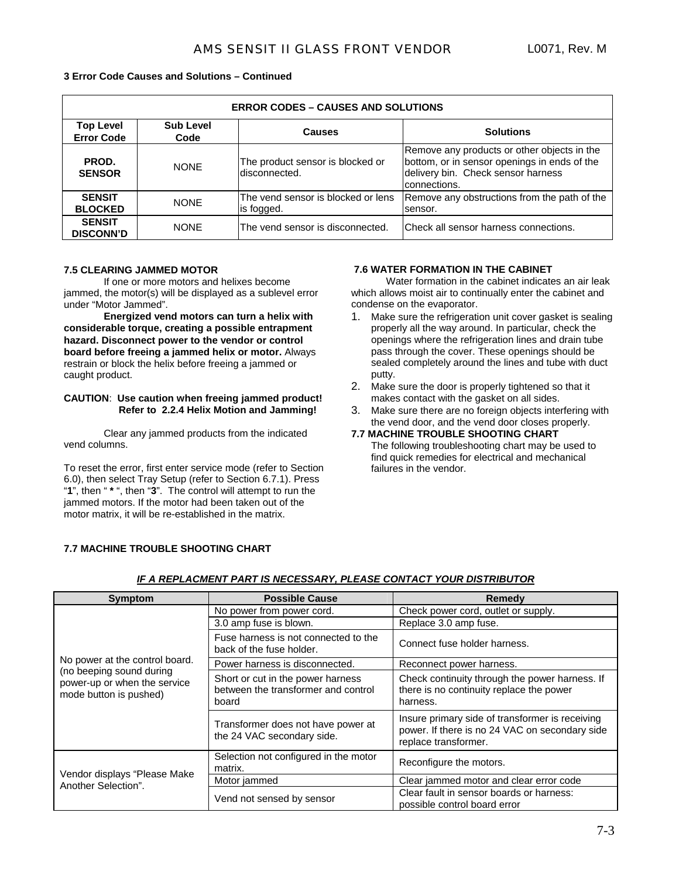#### **3 Error Code Causes and Solutions – Continued**

|                                                | <b>ERROR CODES – CAUSES AND SOLUTIONS</b>                        |                                                  |                                                                                                                                                   |  |  |  |  |
|------------------------------------------------|------------------------------------------------------------------|--------------------------------------------------|---------------------------------------------------------------------------------------------------------------------------------------------------|--|--|--|--|
| <b>Top Level</b><br><b>Error Code</b>          | <b>Sub Level</b><br>Code                                         | <b>Causes</b>                                    | <b>Solutions</b>                                                                                                                                  |  |  |  |  |
| PROD.<br><b>SENSOR</b>                         | The product sensor is blocked or<br><b>NONE</b><br>disconnected. |                                                  | Remove any products or other objects in the<br>bottom, or in sensor openings in ends of the<br>delivery bin. Check sensor harness<br>connections. |  |  |  |  |
| <b>SENSIT</b><br><b>NONE</b><br><b>BLOCKED</b> |                                                                  | The vend sensor is blocked or lens<br>is fogged. | Remove any obstructions from the path of the<br>sensor.                                                                                           |  |  |  |  |
| <b>SENSIT</b><br><b>DISCONN'D</b>              | <b>NONE</b>                                                      | The vend sensor is disconnected.                 | Check all sensor harness connections.                                                                                                             |  |  |  |  |

#### **7.5 CLEARING JAMMED MOTOR**

If one or more motors and helixes become jammed, the motor(s) will be displayed as a sublevel error under "Motor Jammed".

**Energized vend motors can turn a helix with considerable torque, creating a possible entrapment hazard. Disconnect power to the vendor or control board before freeing a jammed helix or motor.** Always restrain or block the helix before freeing a jammed or caught product.

#### **CAUTION**: **Use caution when freeing jammed product! Refer to 2.2.4 Helix Motion and Jamming!**

Clear any jammed products from the indicated vend columns.

To reset the error, first enter service mode (refer to Section 6.0), then select Tray Setup (refer to Section 6.7.1). Press "**1**", then " **\*** ", then "**3**". The control will attempt to run the jammed motors. If the motor had been taken out of the motor matrix, it will be re-established in the matrix.

#### **7.6 WATER FORMATION IN THE CABINET**

Water formation in the cabinet indicates an air leak which allows moist air to continually enter the cabinet and condense on the evaporator.

- 1. Make sure the refrigeration unit cover gasket is sealing properly all the way around. In particular, check the openings where the refrigeration lines and drain tube pass through the cover. These openings should be sealed completely around the lines and tube with duct putty.
- 2. Make sure the door is properly tightened so that it makes contact with the gasket on all sides.
- 3. Make sure there are no foreign objects interfering with the vend door, and the vend door closes properly.

### **7.7 MACHINE TROUBLE SHOOTING CHART**

The following troubleshooting chart may be used to find quick remedies for electrical and mechanical failures in the vendor.

#### **7.7 MACHINE TROUBLE SHOOTING CHART**

| <b>Symptom</b>                                                                     | <b>Possible Cause</b>                                                             | Remedy                                                                                                                    |
|------------------------------------------------------------------------------------|-----------------------------------------------------------------------------------|---------------------------------------------------------------------------------------------------------------------------|
|                                                                                    | No power from power cord.                                                         | Check power cord, outlet or supply.                                                                                       |
|                                                                                    | 3.0 amp fuse is blown.                                                            | Replace 3.0 amp fuse.                                                                                                     |
|                                                                                    | Fuse harness is not connected to the<br>back of the fuse holder.                  | Connect fuse holder harness.                                                                                              |
| No power at the control board.                                                     | Power harness is disconnected.                                                    | Reconnect power harness.                                                                                                  |
| (no beeping sound during<br>power-up or when the service<br>mode button is pushed) | Short or cut in the power harness<br>between the transformer and control<br>board | Check continuity through the power harness. If<br>there is no continuity replace the power<br>harness.                    |
|                                                                                    | Transformer does not have power at<br>the 24 VAC secondary side.                  | Insure primary side of transformer is receiving<br>power. If there is no 24 VAC on secondary side<br>replace transformer. |
|                                                                                    | Selection not configured in the motor<br>matrix.                                  | Reconfigure the motors.                                                                                                   |
| Vendor displays "Please Make<br>Another Selection".                                | Motor jammed                                                                      | Clear jammed motor and clear error code                                                                                   |
|                                                                                    | Vend not sensed by sensor                                                         | Clear fault in sensor boards or harness:<br>possible control board error                                                  |

#### *IF A REPLACMENT PART IS NECESSARY, PLEASE CONTACT YOUR DISTRIBUTOR*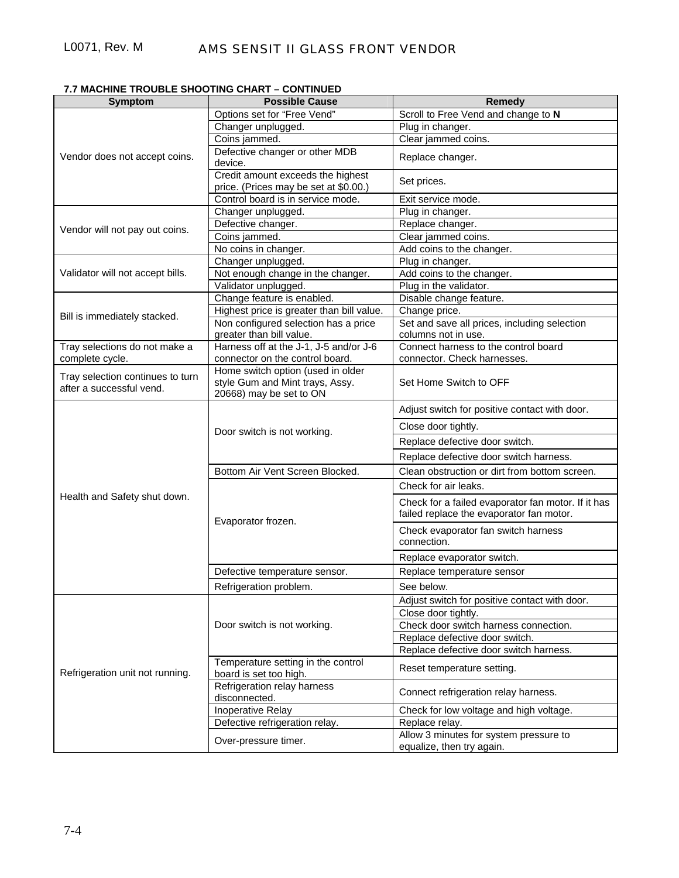## **7.7 MACHINE TROUBLE SHOOTING CHART – CONTINUED**

| <b>Symptom</b>                                                                                                       | <b>Possible Cause</b>                                                                                                                                                                                                                                                                                                                                                                  | Remedy                                                                                                                                                                                                                                                                                                                                                                        |  |  |  |  |
|----------------------------------------------------------------------------------------------------------------------|----------------------------------------------------------------------------------------------------------------------------------------------------------------------------------------------------------------------------------------------------------------------------------------------------------------------------------------------------------------------------------------|-------------------------------------------------------------------------------------------------------------------------------------------------------------------------------------------------------------------------------------------------------------------------------------------------------------------------------------------------------------------------------|--|--|--|--|
|                                                                                                                      | Options set for "Free Vend"                                                                                                                                                                                                                                                                                                                                                            | Scroll to Free Vend and change to N                                                                                                                                                                                                                                                                                                                                           |  |  |  |  |
|                                                                                                                      | Changer unplugged.                                                                                                                                                                                                                                                                                                                                                                     | Plug in changer.                                                                                                                                                                                                                                                                                                                                                              |  |  |  |  |
|                                                                                                                      | Coins jammed.                                                                                                                                                                                                                                                                                                                                                                          | Clear jammed coins.                                                                                                                                                                                                                                                                                                                                                           |  |  |  |  |
| Vendor does not accept coins.                                                                                        | Defective changer or other MDB<br>device.                                                                                                                                                                                                                                                                                                                                              | Replace changer.                                                                                                                                                                                                                                                                                                                                                              |  |  |  |  |
|                                                                                                                      | Credit amount exceeds the highest<br>price. (Prices may be set at \$0.00.)                                                                                                                                                                                                                                                                                                             | Set prices.                                                                                                                                                                                                                                                                                                                                                                   |  |  |  |  |
|                                                                                                                      | Control board is in service mode.                                                                                                                                                                                                                                                                                                                                                      | Exit service mode.                                                                                                                                                                                                                                                                                                                                                            |  |  |  |  |
|                                                                                                                      | Changer unplugged.                                                                                                                                                                                                                                                                                                                                                                     | Plug in changer.                                                                                                                                                                                                                                                                                                                                                              |  |  |  |  |
| Vendor will not pay out coins.                                                                                       | Defective changer.                                                                                                                                                                                                                                                                                                                                                                     | Replace changer.                                                                                                                                                                                                                                                                                                                                                              |  |  |  |  |
|                                                                                                                      | Coins jammed.                                                                                                                                                                                                                                                                                                                                                                          | Clear jammed coins.                                                                                                                                                                                                                                                                                                                                                           |  |  |  |  |
|                                                                                                                      | No coins in changer.                                                                                                                                                                                                                                                                                                                                                                   | Add coins to the changer.                                                                                                                                                                                                                                                                                                                                                     |  |  |  |  |
|                                                                                                                      | Changer unplugged.                                                                                                                                                                                                                                                                                                                                                                     | Plug in changer.                                                                                                                                                                                                                                                                                                                                                              |  |  |  |  |
|                                                                                                                      |                                                                                                                                                                                                                                                                                                                                                                                        |                                                                                                                                                                                                                                                                                                                                                                               |  |  |  |  |
|                                                                                                                      |                                                                                                                                                                                                                                                                                                                                                                                        |                                                                                                                                                                                                                                                                                                                                                                               |  |  |  |  |
|                                                                                                                      |                                                                                                                                                                                                                                                                                                                                                                                        |                                                                                                                                                                                                                                                                                                                                                                               |  |  |  |  |
|                                                                                                                      |                                                                                                                                                                                                                                                                                                                                                                                        |                                                                                                                                                                                                                                                                                                                                                                               |  |  |  |  |
|                                                                                                                      | greater than bill value.                                                                                                                                                                                                                                                                                                                                                               | columns not in use.                                                                                                                                                                                                                                                                                                                                                           |  |  |  |  |
|                                                                                                                      |                                                                                                                                                                                                                                                                                                                                                                                        |                                                                                                                                                                                                                                                                                                                                                                               |  |  |  |  |
|                                                                                                                      |                                                                                                                                                                                                                                                                                                                                                                                        |                                                                                                                                                                                                                                                                                                                                                                               |  |  |  |  |
| Tray selection continues to turn<br>after a successful vend.                                                         | style Gum and Mint trays, Assy.<br>20668) may be set to ON                                                                                                                                                                                                                                                                                                                             | Set Home Switch to OFF                                                                                                                                                                                                                                                                                                                                                        |  |  |  |  |
|                                                                                                                      |                                                                                                                                                                                                                                                                                                                                                                                        |                                                                                                                                                                                                                                                                                                                                                                               |  |  |  |  |
|                                                                                                                      |                                                                                                                                                                                                                                                                                                                                                                                        | Close door tightly.                                                                                                                                                                                                                                                                                                                                                           |  |  |  |  |
|                                                                                                                      |                                                                                                                                                                                                                                                                                                                                                                                        | Replace defective door switch.                                                                                                                                                                                                                                                                                                                                                |  |  |  |  |
|                                                                                                                      |                                                                                                                                                                                                                                                                                                                                                                                        | Replace defective door switch harness.                                                                                                                                                                                                                                                                                                                                        |  |  |  |  |
|                                                                                                                      |                                                                                                                                                                                                                                                                                                                                                                                        | Clean obstruction or dirt from bottom screen.                                                                                                                                                                                                                                                                                                                                 |  |  |  |  |
|                                                                                                                      |                                                                                                                                                                                                                                                                                                                                                                                        |                                                                                                                                                                                                                                                                                                                                                                               |  |  |  |  |
| Health and Safety shut down.                                                                                         |                                                                                                                                                                                                                                                                                                                                                                                        | Check for a failed evaporator fan motor. If it has<br>failed replace the evaporator fan motor.                                                                                                                                                                                                                                                                                |  |  |  |  |
|                                                                                                                      |                                                                                                                                                                                                                                                                                                                                                                                        | Check evaporator fan switch harness<br>connection.                                                                                                                                                                                                                                                                                                                            |  |  |  |  |
|                                                                                                                      |                                                                                                                                                                                                                                                                                                                                                                                        | Replace evaporator switch.                                                                                                                                                                                                                                                                                                                                                    |  |  |  |  |
|                                                                                                                      | Defective temperature sensor.                                                                                                                                                                                                                                                                                                                                                          | Replace temperature sensor                                                                                                                                                                                                                                                                                                                                                    |  |  |  |  |
|                                                                                                                      | Refrigeration problem.                                                                                                                                                                                                                                                                                                                                                                 | See below.                                                                                                                                                                                                                                                                                                                                                                    |  |  |  |  |
|                                                                                                                      |                                                                                                                                                                                                                                                                                                                                                                                        |                                                                                                                                                                                                                                                                                                                                                                               |  |  |  |  |
|                                                                                                                      |                                                                                                                                                                                                                                                                                                                                                                                        | Close door tightly.                                                                                                                                                                                                                                                                                                                                                           |  |  |  |  |
|                                                                                                                      | Door switch is not working.                                                                                                                                                                                                                                                                                                                                                            | Check door switch harness connection.                                                                                                                                                                                                                                                                                                                                         |  |  |  |  |
|                                                                                                                      |                                                                                                                                                                                                                                                                                                                                                                                        | Replace defective door switch.                                                                                                                                                                                                                                                                                                                                                |  |  |  |  |
|                                                                                                                      |                                                                                                                                                                                                                                                                                                                                                                                        | Replace defective door switch harness.                                                                                                                                                                                                                                                                                                                                        |  |  |  |  |
| Refrigeration unit not running.                                                                                      | Temperature setting in the control<br>board is set too high.                                                                                                                                                                                                                                                                                                                           | Reset temperature setting.                                                                                                                                                                                                                                                                                                                                                    |  |  |  |  |
|                                                                                                                      | Refrigeration relay harness<br>disconnected.                                                                                                                                                                                                                                                                                                                                           | Connect refrigeration relay harness.                                                                                                                                                                                                                                                                                                                                          |  |  |  |  |
|                                                                                                                      | Inoperative Relay                                                                                                                                                                                                                                                                                                                                                                      | Check for low voltage and high voltage.                                                                                                                                                                                                                                                                                                                                       |  |  |  |  |
|                                                                                                                      | Defective refrigeration relay.                                                                                                                                                                                                                                                                                                                                                         | Replace relay.                                                                                                                                                                                                                                                                                                                                                                |  |  |  |  |
|                                                                                                                      | Over-pressure timer.                                                                                                                                                                                                                                                                                                                                                                   | Allow 3 minutes for system pressure to                                                                                                                                                                                                                                                                                                                                        |  |  |  |  |
| Validator will not accept bills.<br>Bill is immediately stacked.<br>Tray selections do not make a<br>complete cycle. | Not enough change in the changer.<br>Validator unplugged.<br>Change feature is enabled.<br>Highest price is greater than bill value.<br>Non configured selection has a price<br>Harness off at the J-1, J-5 and/or J-6<br>connector on the control board.<br>Home switch option (used in older<br>Door switch is not working.<br>Bottom Air Vent Screen Blocked.<br>Evaporator frozen. | Add coins to the changer.<br>Plug in the validator.<br>Disable change feature.<br>Change price.<br>Set and save all prices, including selection<br>Connect harness to the control board<br>connector. Check harnesses.<br>Adjust switch for positive contact with door.<br>Check for air leaks.<br>Adjust switch for positive contact with door.<br>equalize, then try again. |  |  |  |  |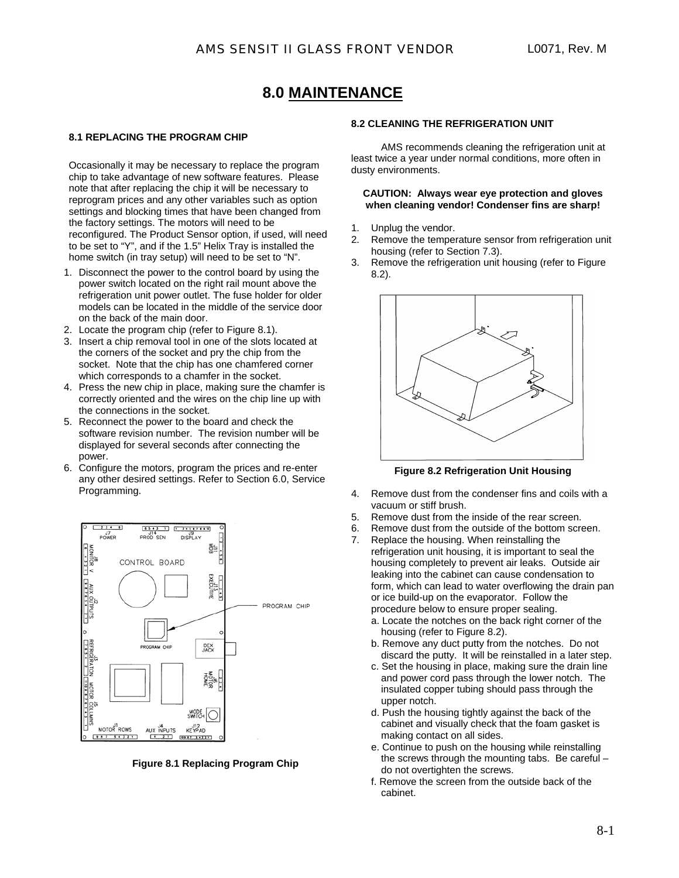## **8.0 MAINTENANCE**

#### **8.1 REPLACING THE PROGRAM CHIP**

Occasionally it may be necessary to replace the program chip to take advantage of new software features. Please note that after replacing the chip it will be necessary to reprogram prices and any other variables such as option settings and blocking times that have been changed from the factory settings. The motors will need to be reconfigured. The Product Sensor option, if used, will need to be set to "Y", and if the 1.5" Helix Tray is installed the home switch (in tray setup) will need to be set to "N".

- 1. Disconnect the power to the control board by using the power switch located on the right rail mount above the refrigeration unit power outlet. The fuse holder for older models can be located in the middle of the service door on the back of the main door.
- 2. Locate the program chip (refer to Figure 8.1).
- 3. Insert a chip removal tool in one of the slots located at the corners of the socket and pry the chip from the socket. Note that the chip has one chamfered corner which corresponds to a chamfer in the socket.
- 4. Press the new chip in place, making sure the chamfer is correctly oriented and the wires on the chip line up with the connections in the socket.
- 5. Reconnect the power to the board and check the software revision number. The revision number will be displayed for several seconds after connecting the power.
- 6. Configure the motors, program the prices and re-enter any other desired settings. Refer to Section 6.0, Service Programming.



**Figure 8.1 Replacing Program Chip** 

#### **8.2 CLEANING THE REFRIGERATION UNIT**

AMS recommends cleaning the refrigeration unit at least twice a year under normal conditions, more often in dusty environments.

#### **CAUTION: Always wear eye protection and gloves when cleaning vendor! Condenser fins are sharp!**

- 1. Unplug the vendor.
- 2. Remove the temperature sensor from refrigeration unit housing (refer to Section 7.3).
- 3. Remove the refrigeration unit housing (refer to Figure 8.2).



**Figure 8.2 Refrigeration Unit Housing** 

- 4. Remove dust from the condenser fins and coils with a vacuum or stiff brush.
- 5. Remove dust from the inside of the rear screen.
- 6. Remove dust from the outside of the bottom screen.
- 7. Replace the housing. When reinstalling the refrigeration unit housing, it is important to seal the housing completely to prevent air leaks. Outside air leaking into the cabinet can cause condensation to form, which can lead to water overflowing the drain pan or ice build-up on the evaporator. Follow the procedure below to ensure proper sealing.
	- a. Locate the notches on the back right corner of the housing (refer to Figure 8.2).
	- b. Remove any duct putty from the notches. Do not discard the putty. It will be reinstalled in a later step.
	- c. Set the housing in place, making sure the drain line and power cord pass through the lower notch. The insulated copper tubing should pass through the upper notch.
	- d. Push the housing tightly against the back of the cabinet and visually check that the foam gasket is making contact on all sides.
	- e. Continue to push on the housing while reinstalling the screws through the mounting tabs. Be careful – do not overtighten the screws.
	- f. Remove the screen from the outside back of the cabinet.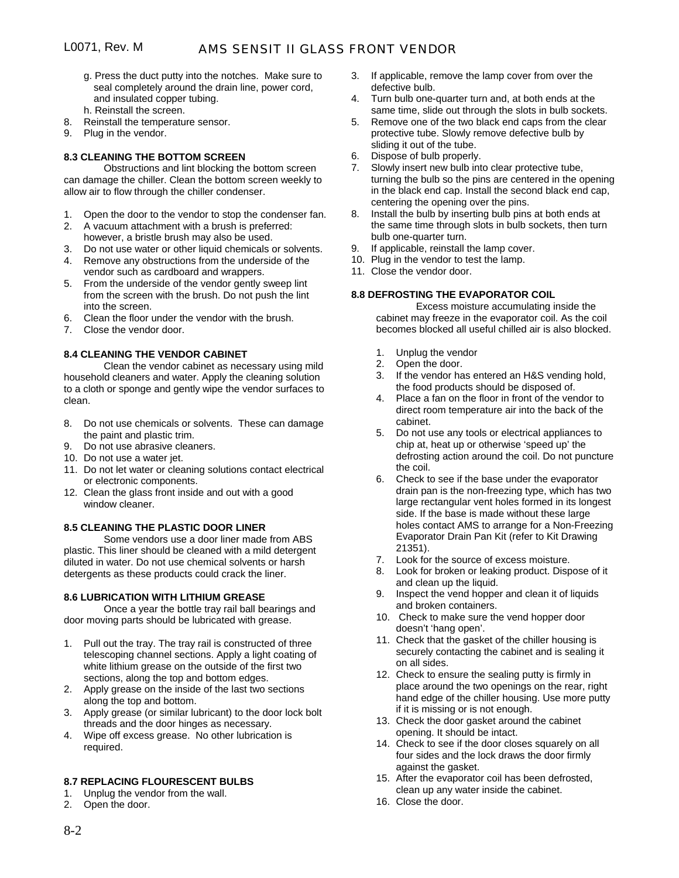- g. Press the duct putty into the notches. Make sure to seal completely around the drain line, power cord, and insulated copper tubing. h. Reinstall the screen.
- 8. Reinstall the temperature sensor.
- 9. Plug in the vendor.

#### **8.3 CLEANING THE BOTTOM SCREEN**

Obstructions and lint blocking the bottom screen can damage the chiller. Clean the bottom screen weekly to allow air to flow through the chiller condenser.

- 1. Open the door to the vendor to stop the condenser fan.
- 2. A vacuum attachment with a brush is preferred: however, a bristle brush may also be used.
- 3. Do not use water or other liquid chemicals or solvents.
- 4. Remove any obstructions from the underside of the vendor such as cardboard and wrappers.
- 5. From the underside of the vendor gently sweep lint from the screen with the brush. Do not push the lint into the screen.
- 6. Clean the floor under the vendor with the brush.
- 7. Close the vendor door.

#### **8.4 CLEANING THE VENDOR CABINET**

Clean the vendor cabinet as necessary using mild household cleaners and water. Apply the cleaning solution to a cloth or sponge and gently wipe the vendor surfaces to clean.

- 8. Do not use chemicals or solvents. These can damage the paint and plastic trim.
- 9. Do not use abrasive cleaners.
- 10. Do not use a water jet.
- 11. Do not let water or cleaning solutions contact electrical or electronic components.
- 12. Clean the glass front inside and out with a good window cleaner.

#### **8.5 CLEANING THE PLASTIC DOOR LINER**

Some vendors use a door liner made from ABS plastic. This liner should be cleaned with a mild detergent diluted in water. Do not use chemical solvents or harsh detergents as these products could crack the liner.

#### **8.6 LUBRICATION WITH LITHIUM GREASE**

Once a year the bottle tray rail ball bearings and door moving parts should be lubricated with grease.

- 1. Pull out the tray. The tray rail is constructed of three telescoping channel sections. Apply a light coating of white lithium grease on the outside of the first two sections, along the top and bottom edges.
- 2. Apply grease on the inside of the last two sections along the top and bottom.
- 3. Apply grease (or similar lubricant) to the door lock bolt threads and the door hinges as necessary.
- 4. Wipe off excess grease. No other lubrication is required.

#### **8.7 REPLACING FLOURESCENT BULBS**

- 1. Unplug the vendor from the wall.
- 2. Open the door.
- 3. If applicable, remove the lamp cover from over the defective bulb.
- 4. Turn bulb one-quarter turn and, at both ends at the same time, slide out through the slots in bulb sockets.
- 5. Remove one of the two black end caps from the clear protective tube. Slowly remove defective bulb by sliding it out of the tube.
- 6. Dispose of bulb properly.
- 7. Slowly insert new bulb into clear protective tube, turning the bulb so the pins are centered in the opening in the black end cap. Install the second black end cap, centering the opening over the pins.
- 8. Install the bulb by inserting bulb pins at both ends at the same time through slots in bulb sockets, then turn bulb one-quarter turn.
- 9. If applicable, reinstall the lamp cover.
- 10. Plug in the vendor to test the lamp.
- 11. Close the vendor door.

#### **8.8 DEFROSTING THE EVAPORATOR COIL**

Excess moisture accumulating inside the cabinet may freeze in the evaporator coil. As the coil becomes blocked all useful chilled air is also blocked.

- 1. Unplug the vendor<br>2. Open the door.
- 2. Open the door.<br>3. If the vendor ha
- If the vendor has entered an H&S vending hold, the food products should be disposed of.
- 4. Place a fan on the floor in front of the vendor to direct room temperature air into the back of the cabinet.
- 5. Do not use any tools or electrical appliances to chip at, heat up or otherwise 'speed up' the defrosting action around the coil. Do not puncture the coil.
- 6. Check to see if the base under the evaporator drain pan is the non-freezing type, which has two large rectangular vent holes formed in its longest side. If the base is made without these large holes contact AMS to arrange for a Non-Freezing Evaporator Drain Pan Kit (refer to Kit Drawing 21351).
- 7. Look for the source of excess moisture.
- 8. Look for broken or leaking product. Dispose of it and clean up the liquid.
- 9. Inspect the vend hopper and clean it of liquids and broken containers.
- 10. Check to make sure the vend hopper door doesn't 'hang open'.
- 11. Check that the gasket of the chiller housing is securely contacting the cabinet and is sealing it on all sides.
- 12. Check to ensure the sealing putty is firmly in place around the two openings on the rear, right hand edge of the chiller housing. Use more putty if it is missing or is not enough.
- 13. Check the door gasket around the cabinet opening. It should be intact.
- 14. Check to see if the door closes squarely on all four sides and the lock draws the door firmly against the gasket.
- 15. After the evaporator coil has been defrosted, clean up any water inside the cabinet.
- 16. Close the door.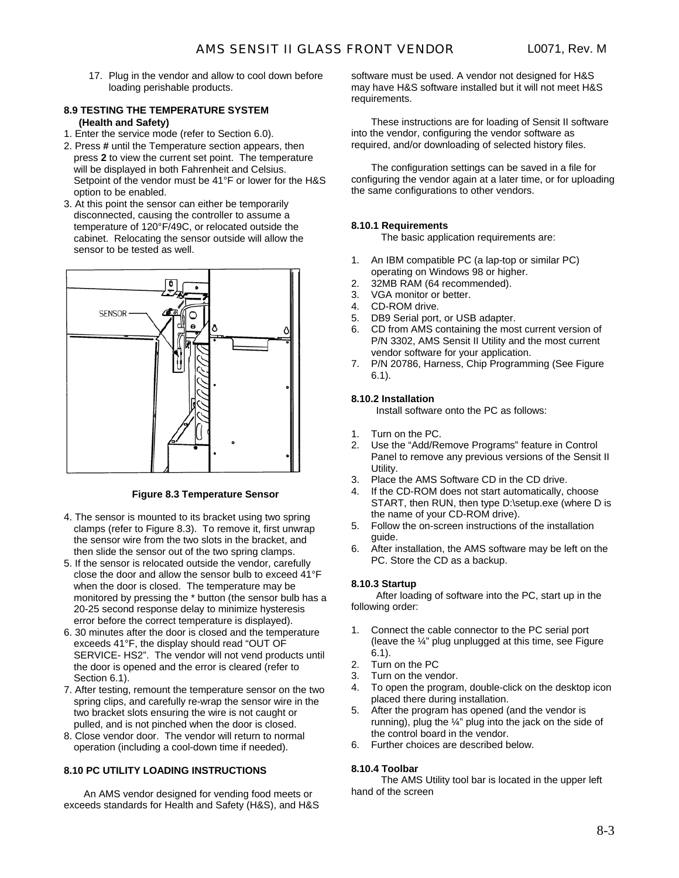17. Plug in the vendor and allow to cool down before loading perishable products.

#### **8.9 TESTING THE TEMPERATURE SYSTEM (Health and Safety)**

- 1. Enter the service mode (refer to Section 6.0).
- 2. Press **#** until the Temperature section appears, then press **2** to view the current set point. The temperature will be displayed in both Fahrenheit and Celsius. Setpoint of the vendor must be 41°F or lower for the H&S option to be enabled.
- 3. At this point the sensor can either be temporarily disconnected, causing the controller to assume a temperature of 120°F/49C, or relocated outside the cabinet. Relocating the sensor outside will allow the sensor to be tested as well.



**Figure 8.3 Temperature Sensor** 

- 4. The sensor is mounted to its bracket using two spring clamps (refer to Figure 8.3). To remove it, first unwrap the sensor wire from the two slots in the bracket, and then slide the sensor out of the two spring clamps.
- 5. If the sensor is relocated outside the vendor, carefully close the door and allow the sensor bulb to exceed 41°F when the door is closed. The temperature may be monitored by pressing the \* button (the sensor bulb has a 20-25 second response delay to minimize hysteresis error before the correct temperature is displayed).
- 6. 30 minutes after the door is closed and the temperature exceeds 41°F, the display should read "OUT OF SERVICE- HS2". The vendor will not vend products until the door is opened and the error is cleared (refer to Section 6.1).
- 7. After testing, remount the temperature sensor on the two spring clips, and carefully re-wrap the sensor wire in the two bracket slots ensuring the wire is not caught or pulled, and is not pinched when the door is closed.
- 8. Close vendor door. The vendor will return to normal operation (including a cool-down time if needed).

#### **8.10 PC UTILITY LOADING INSTRUCTIONS**

An AMS vendor designed for vending food meets or exceeds standards for Health and Safety (H&S), and H&S software must be used. A vendor not designed for H&S may have H&S software installed but it will not meet H&S requirements.

These instructions are for loading of Sensit II software into the vendor, configuring the vendor software as required, and/or downloading of selected history files.

The configuration settings can be saved in a file for configuring the vendor again at a later time, or for uploading the same configurations to other vendors.

#### **8.10.1 Requirements**

The basic application requirements are:

- 1. An IBM compatible PC (a lap-top or similar PC) operating on Windows 98 or higher.
- 2. 32MB RAM (64 recommended).
- 3. VGA monitor or better.
- 4. CD-ROM drive.
- 5. DB9 Serial port, or USB adapter.
- 6. CD from AMS containing the most current version of P/N 3302, AMS Sensit II Utility and the most current vendor software for your application.
- 7. P/N 20786, Harness, Chip Programming (See Figure 6.1).

#### **8.10.2 Installation**

Install software onto the PC as follows:

- 1. Turn on the PC.
- 2. Use the "Add/Remove Programs" feature in Control Panel to remove any previous versions of the Sensit II Utility.
- 3. Place the AMS Software CD in the CD drive.
- 4. If the CD-ROM does not start automatically, choose START, then RUN, then type D:\setup.exe (where D is the name of your CD-ROM drive).
- 5. Follow the on-screen instructions of the installation guide.
- 6. After installation, the AMS software may be left on the PC. Store the CD as a backup.

#### **8.10.3 Startup**

After loading of software into the PC, start up in the following order:

- 1. Connect the cable connector to the PC serial port (leave the ¼" plug unplugged at this time, see Figure 6.1).
- 2. Turn on the PC
- 3. Turn on the vendor.
- 4. To open the program, double-click on the desktop icon placed there during installation.
- 5. After the program has opened (and the vendor is running), plug the ¼" plug into the jack on the side of the control board in the vendor.
- 6. Further choices are described below.

#### **8.10.4 Toolbar**

The AMS Utility tool bar is located in the upper left hand of the screen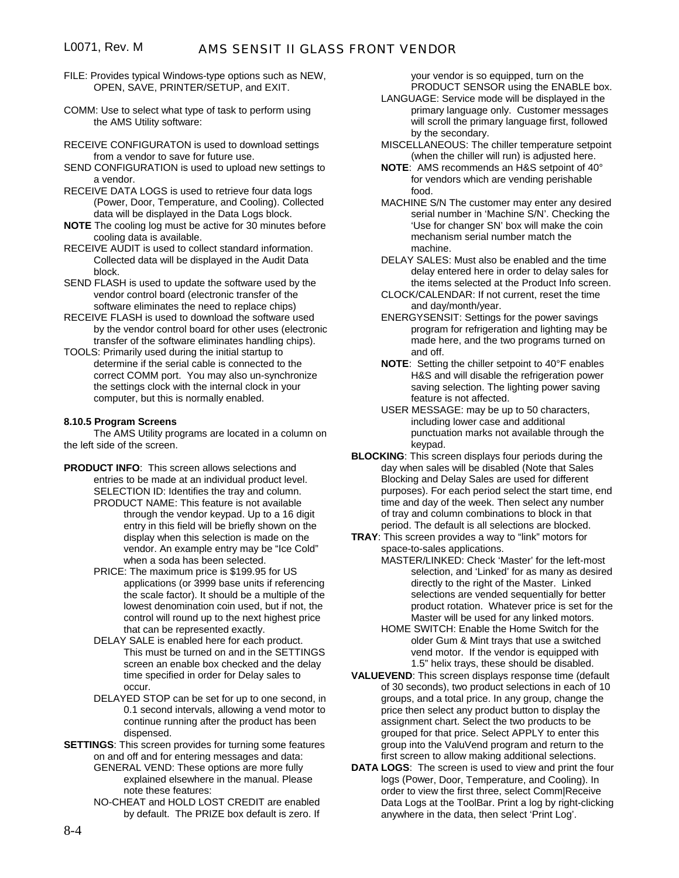- FILE: Provides typical Windows-type options such as NEW, OPEN, SAVE, PRINTER/SETUP, and EXIT.
- COMM: Use to select what type of task to perform using the AMS Utility software:
- RECEIVE CONFIGURATON is used to download settings from a vendor to save for future use.
- SEND CONFIGURATION is used to upload new settings to a vendor.
- RECEIVE DATA LOGS is used to retrieve four data logs (Power, Door, Temperature, and Cooling). Collected data will be displayed in the Data Logs block.
- **NOTE** The cooling log must be active for 30 minutes before cooling data is available.
- RECEIVE AUDIT is used to collect standard information. Collected data will be displayed in the Audit Data block.
- SEND FLASH is used to update the software used by the vendor control board (electronic transfer of the software eliminates the need to replace chips)
- RECEIVE FLASH is used to download the software used by the vendor control board for other uses (electronic transfer of the software eliminates handling chips).
- TOOLS: Primarily used during the initial startup to determine if the serial cable is connected to the correct COMM port. You may also un-synchronize the settings clock with the internal clock in your computer, but this is normally enabled.

#### **8.10.5 Program Screens**

The AMS Utility programs are located in a column on the left side of the screen.

- **PRODUCT INFO**: This screen allows selections and entries to be made at an individual product level. SELECTION ID: Identifies the tray and column. PRODUCT NAME: This feature is not available through the vendor keypad. Up to a 16 digit entry in this field will be briefly shown on the display when this selection is made on the vendor. An example entry may be "Ice Cold"
	- when a soda has been selected. PRICE: The maximum price is \$199.95 for US applications (or 3999 base units if referencing the scale factor). It should be a multiple of the lowest denomination coin used, but if not, the control will round up to the next highest price that can be represented exactly.
	- DELAY SALE is enabled here for each product. This must be turned on and in the SETTINGS screen an enable box checked and the delay time specified in order for Delay sales to occur.
	- DELAYED STOP can be set for up to one second, in 0.1 second intervals, allowing a vend motor to continue running after the product has been dispensed.
- **SETTINGS**: This screen provides for turning some features on and off and for entering messages and data:
	- GENERAL VEND: These options are more fully explained elsewhere in the manual. Please note these features:
	- NO-CHEAT and HOLD LOST CREDIT are enabled by default. The PRIZE box default is zero. If

your vendor is so equipped, turn on the PRODUCT SENSOR using the ENABLE box.

- LANGUAGE: Service mode will be displayed in the primary language only. Customer messages will scroll the primary language first, followed by the secondary.
- MISCELLANEOUS: The chiller temperature setpoint (when the chiller will run) is adjusted here.
- **NOTE**: AMS recommends an H&S setpoint of 40° for vendors which are vending perishable food.
- MACHINE S/N The customer may enter any desired serial number in 'Machine S/N'. Checking the 'Use for changer SN' box will make the coin mechanism serial number match the machine.
- DELAY SALES: Must also be enabled and the time delay entered here in order to delay sales for the items selected at the Product Info screen.
- CLOCK/CALENDAR: If not current, reset the time and day/month/year.
- ENERGYSENSIT: Settings for the power savings program for refrigeration and lighting may be made here, and the two programs turned on and off.
- **NOTE**: Setting the chiller setpoint to 40°F enables H&S and will disable the refrigeration power saving selection. The lighting power saving feature is not affected.
- USER MESSAGE: may be up to 50 characters, including lower case and additional punctuation marks not available through the keypad.
- **BLOCKING**: This screen displays four periods during the day when sales will be disabled (Note that Sales Blocking and Delay Sales are used for different purposes). For each period select the start time, end time and day of the week. Then select any number of tray and column combinations to block in that period. The default is all selections are blocked.
- **TRAY**: This screen provides a way to "link" motors for space-to-sales applications.
	- MASTER/LINKED: Check 'Master' for the left-most selection, and 'Linked' for as many as desired directly to the right of the Master. Linked selections are vended sequentially for better product rotation. Whatever price is set for the Master will be used for any linked motors.
		- HOME SWITCH: Enable the Home Switch for the older Gum & Mint trays that use a switched vend motor. If the vendor is equipped with 1.5" helix trays, these should be disabled.
- **VALUEVEND**: This screen displays response time (default of 30 seconds), two product selections in each of 10 groups, and a total price. In any group, change the price then select any product button to display the assignment chart. Select the two products to be grouped for that price. Select APPLY to enter this group into the ValuVend program and return to the first screen to allow making additional selections.
- **DATA LOGS**: The screen is used to view and print the four logs (Power, Door, Temperature, and Cooling). In order to view the first three, select Comm|Receive Data Logs at the ToolBar. Print a log by right-clicking anywhere in the data, then select 'Print Log'.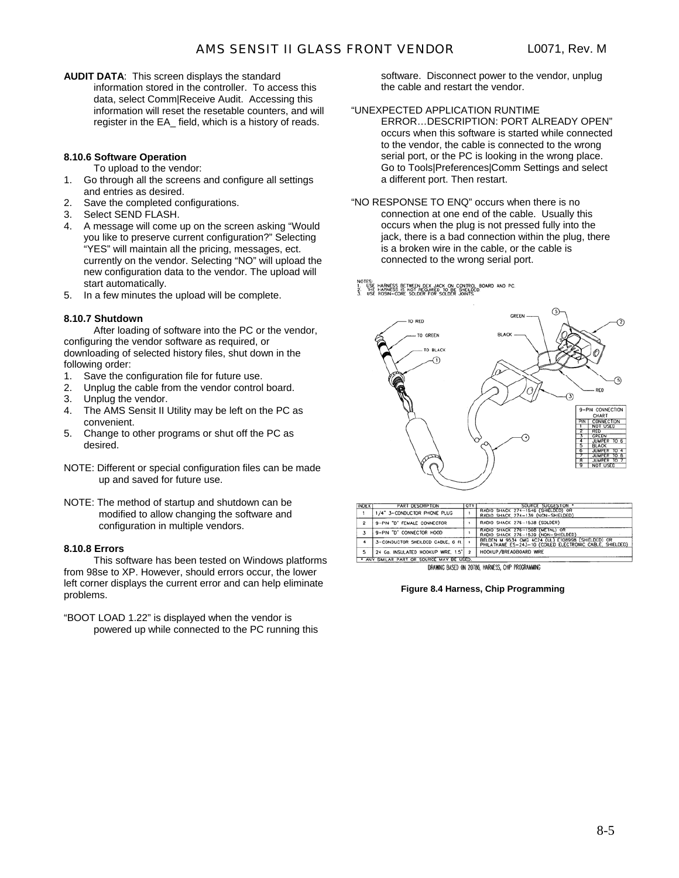**AUDIT DATA**: This screen displays the standard information stored in the controller. To access this data, select Comm|Receive Audit. Accessing this information will reset the resetable counters, and will register in the EA\_ field, which is a history of reads.

#### **8.10.6 Software Operation**

To upload to the vendor:

- 1. Go through all the screens and configure all settings and entries as desired.
- 2. Save the completed configurations.
- 3. Select SEND FLASH.
- 4. A message will come up on the screen asking "Would you like to preserve current configuration?" Selecting "YES" will maintain all the pricing, messages, ect. currently on the vendor. Selecting "NO" will upload the new configuration data to the vendor. The upload will start automatically.
- 5. In a few minutes the upload will be complete.

#### **8.10.7 Shutdown**

After loading of software into the PC or the vendor, configuring the vendor software as required, or downloading of selected history files, shut down in the following order:

- 1. Save the configuration file for future use.
- 2. Unplug the cable from the vendor control board.
- 3. Unplug the vendor.
- 4. The AMS Sensit II Utility may be left on the PC as convenient.
- 5. Change to other programs or shut off the PC as desired.
- NOTE: Different or special configuration files can be made up and saved for future use.
- NOTE: The method of startup and shutdown can be modified to allow changing the software and configuration in multiple vendors.

#### **8.10.8 Errors**

This software has been tested on Windows platforms from 98se to XP. However, should errors occur, the lower left corner displays the current error and can help eliminate problems.

"BOOT LOAD 1.22" is displayed when the vendor is powered up while connected to the PC running this software. Disconnect power to the vendor, unplug the cable and restart the vendor.

#### "UNEXPECTED APPLICATION RUNTIME

ERROR…DESCRIPTION: PORT ALREADY OPEN" occurs when this software is started while connected to the vendor, the cable is connected to the wrong serial port, or the PC is looking in the wrong place. Go to Tools|Preferences|Comm Settings and select a different port. Then restart.

"NO RESPONSE TO ENQ" occurs when there is no connection at one end of the cable. Usually this occurs when the plug is not pressed fully into the jack, there is a bad connection within the plug, there is a broken wire in the cable, or the cable is connected to the wrong serial port.

### TWEEN DEX JACK ON CONTROL BOARD AND PC.<br>NOT REQUIRED TO BE SHEILDED.<br>SOLDER FOR SOLDER JOINTS



| <b>INDEX</b>                                      | PART DESCRIPTION                   | OTY                     | SOURCE SUGGESTION .                                                                                           |  |  |
|---------------------------------------------------|------------------------------------|-------------------------|---------------------------------------------------------------------------------------------------------------|--|--|
|                                                   | 1/4" 3-CONDUCTOR PHONE PLUG        |                         | RADIO SHACK 274-1546 (SHIELDED) OR<br>RADIO SHACK 274-139 (NON-SHIELDED)                                      |  |  |
| $\overline{\mathbf{2}}$                           | 9-PIN "D" FEMALE CONNECTOR         |                         | RADIO SHACK 276-1538 (SOLDER)                                                                                 |  |  |
| $\mathbf{3}$                                      | 9-PIN "D" CONNECTOR HOOD           |                         | RADIO SHACK 276-1508 (METAL) OR<br>RADIO SHACK 276-1539 (NON-SHIELDED)                                        |  |  |
| 4                                                 | 3-CONDUCTOR SHEILDED CABLE, 6 ft.  |                         | BELDEN M 9534 CMG 4C24 (UL) E108998 (SHIELDED) OR<br>PHILATHANE ES-243-10 (COILED ELECTRONIC CABLE, SHIELDED) |  |  |
| 5                                                 | 24 Go. INSULATED HOOKUP WIRE, 1.5" | $\overline{\mathbf{z}}$ | HOOKUP/BREADBOARD WIRE                                                                                        |  |  |
| . ANY SIMILAR PART OR SOURCE MAY BE USED.         |                                    |                         |                                                                                                               |  |  |
| DRAWING BASED ON 20786, HARNESS, CHIP PROGRAMMING |                                    |                         |                                                                                                               |  |  |

#### **Figure 8.4 Harness, Chip Programming**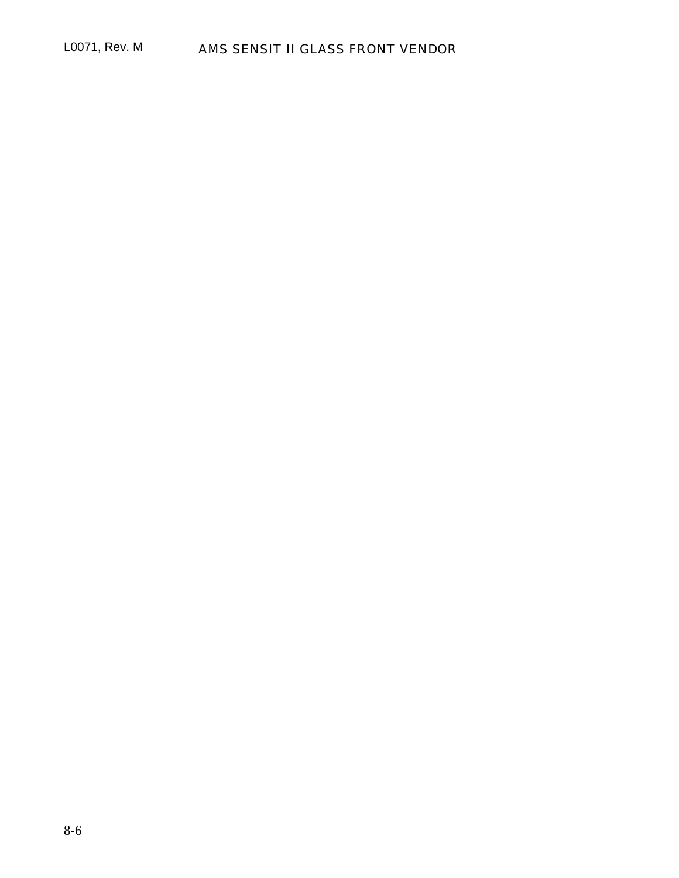## L0071, Rev. M **AMS SENSIT II GLASS FRONT VENDOR**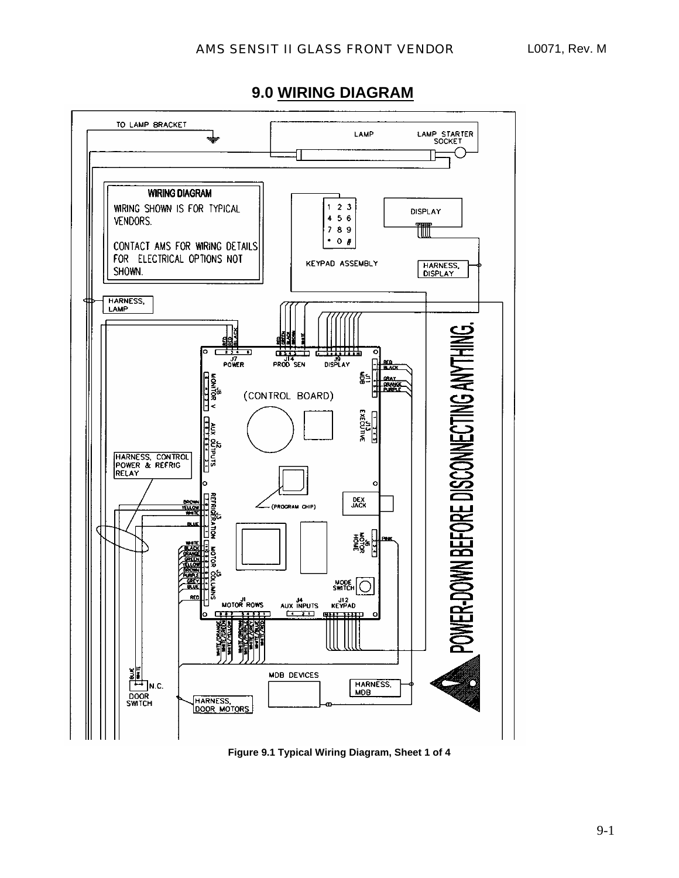## **9.0 WIRING DIAGRAM**



**Figure 9.1 Typical Wiring Diagram, Sheet 1 of 4**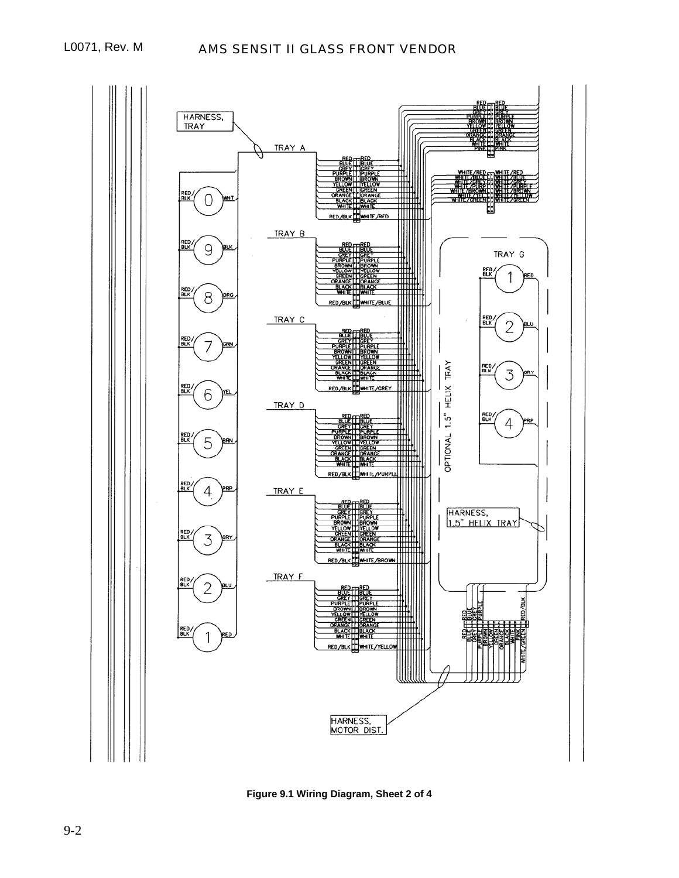

**Figure 9.1 Wiring Diagram, Sheet 2 of 4**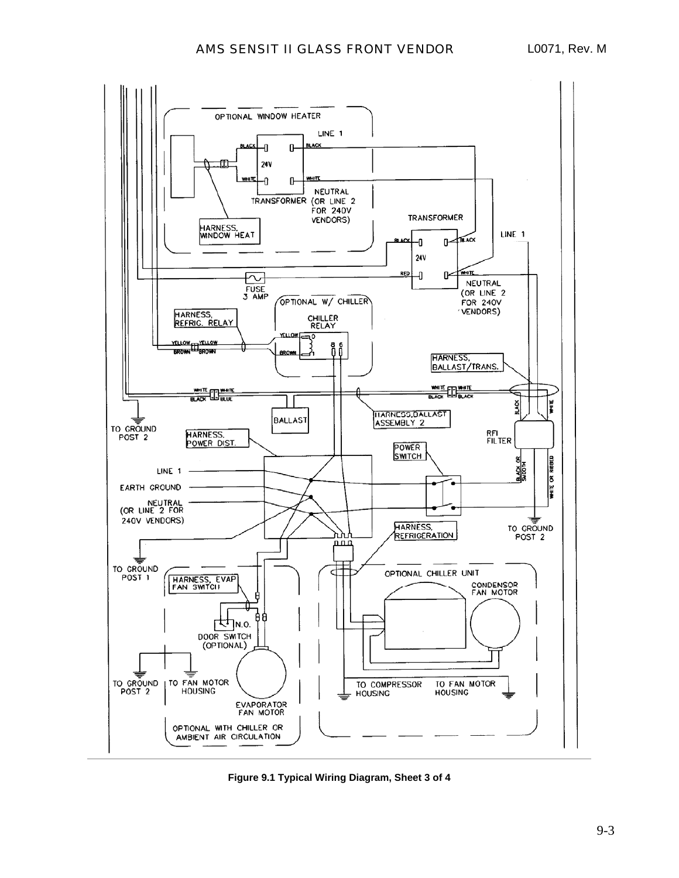

**Figure 9.1 Typical Wiring Diagram, Sheet 3 of 4**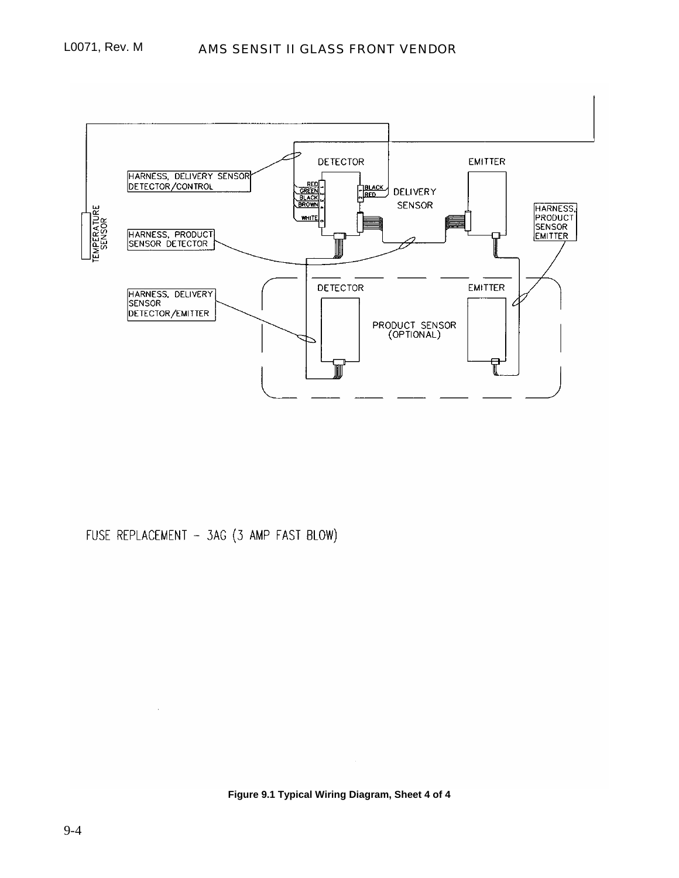

FUSE REPLACEMENT - 3AG (3 AMP FAST BLOW)

**Figure 9.1 Typical Wiring Diagram, Sheet 4 of 4**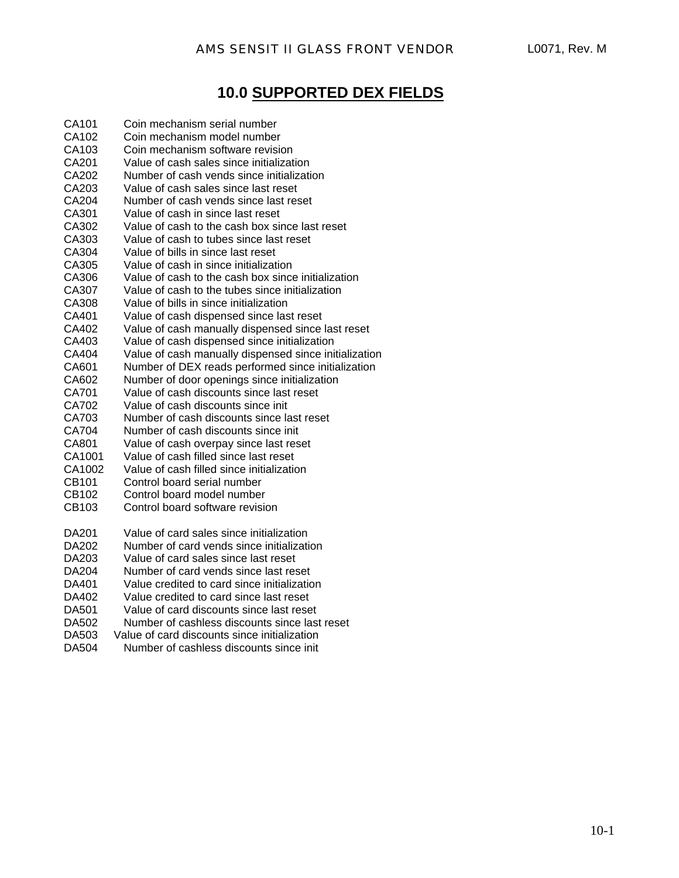## **10.0 SUPPORTED DEX FIELDS**

| CA101  | Coin mechanism serial number                          |
|--------|-------------------------------------------------------|
| CA102  | Coin mechanism model number                           |
| CA103  | Coin mechanism software revision                      |
| CA201  | Value of cash sales since initialization              |
| CA202  | Number of cash vends since initialization             |
| CA203  | Value of cash sales since last reset                  |
| CA204  | Number of cash vends since last reset                 |
| CA301  | Value of cash in since last reset                     |
| CA302  | Value of cash to the cash box since last reset        |
| CA303  | Value of cash to tubes since last reset               |
| CA304  | Value of bills in since last reset                    |
| CA305  | Value of cash in since initialization                 |
| CA306  | Value of cash to the cash box since initialization    |
| CA307  | Value of cash to the tubes since initialization       |
| CA308  | Value of bills in since initialization                |
| CA401  | Value of cash dispensed since last reset              |
| CA402  | Value of cash manually dispensed since last reset     |
| CA403  | Value of cash dispensed since initialization          |
| CA404  | Value of cash manually dispensed since initialization |
| CA601  | Number of DEX reads performed since initialization    |
| CA602  | Number of door openings since initialization          |
| CA701  | Value of cash discounts since last reset              |
| CA702  | Value of cash discounts since init                    |
| CA703  | Number of cash discounts since last reset             |
| CA704  | Number of cash discounts since init                   |
| CA801  | Value of cash overpay since last reset                |
| CA1001 | Value of cash filled since last reset                 |
| CA1002 | Value of cash filled since initialization             |
| CB101  | Control board serial number                           |
| CB102  | Control board model number                            |
| CB103  | Control board software revision                       |
| DA201  | Value of card sales since initialization              |
| DA202  | Number of card vends since initialization             |
| DA203  | Value of card sales since last reset                  |
| DA204  | Number of card vends since last reset                 |
| DA401  | Value credited to card since initialization           |
| DA402  | Value credited to card since last reset               |
| DA501  | Value of card discounts since last reset              |
| DA502  | Number of cashless discounts since last reset         |
| DA503  | Value of card discounts since initialization          |
| DA504  | Number of cashless discounts since init               |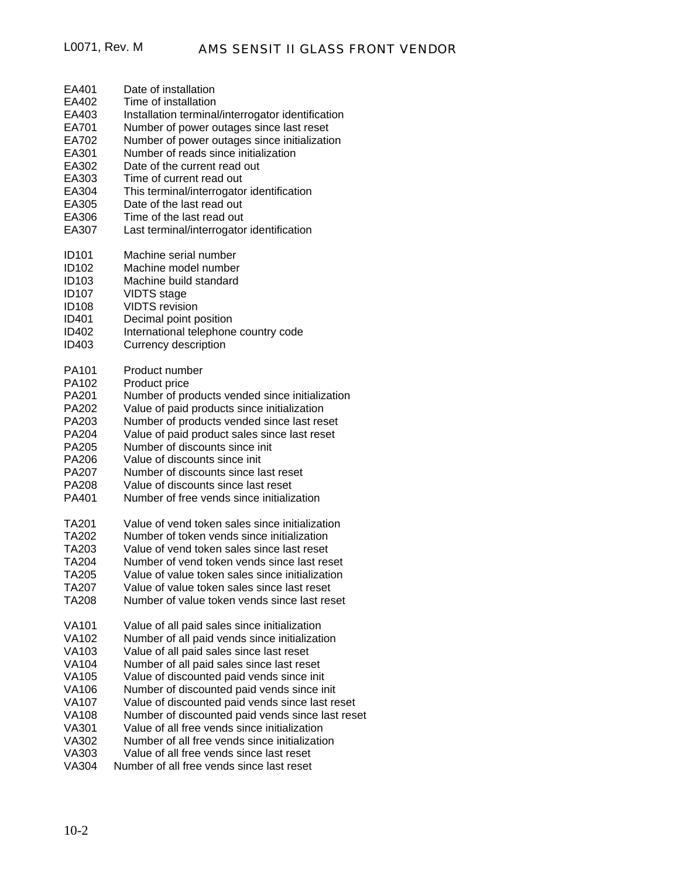| EA401        | Date of installation                              |
|--------------|---------------------------------------------------|
| EA402        | Time of installation                              |
| EA403        | Installation terminal/interrogator identification |
| EA701        | Number of power outages since last reset          |
| EA702        | Number of power outages since initialization      |
| EA301        | Number of reads since initialization              |
| EA302        | Date of the current read out                      |
| EA303        | Time of current read out                          |
| EA304        | This terminal/interrogator identification         |
| EA305        | Date of the last read out                         |
| EA306        | Time of the last read out                         |
| EA307        | Last terminal/interrogator identification         |
| <b>ID101</b> | Machine serial number                             |
| ID102        | Machine model number                              |
| ID103        | Machine build standard                            |
| <b>ID107</b> | <b>VIDTS</b> stage                                |
| <b>ID108</b> | <b>VIDTS</b> revision                             |
| ID401        | Decimal point position                            |
| ID402        | International telephone country code              |
| ID403        | Currency description                              |
| PA101        | Product number                                    |
| PA102        | Product price                                     |
| PA201        | Number of products vended since initialization    |
| PA202        | Value of paid products since initialization       |
| PA203        | Number of products vended since last reset        |
| PA204        | Value of paid product sales since last reset      |
| PA205        | Number of discounts since init                    |
| PA206        | Value of discounts since init                     |
| PA207        | Number of discounts since last reset              |
| PA208        | Value of discounts since last reset               |
| PA401        | Number of free vends since initialization         |
| TA201        | Value of vend token sales since initialization    |
| TA202        | Number of token vends since initialization        |
| TA203        | Value of vend token sales since last reset        |
| <b>TA204</b> | Number of vend token vends since last reset       |
| <b>TA205</b> | Value of value token sales since initialization   |
| TA207        | Value of value token sales since last reset       |
| TA208        | Number of value token vends since last reset      |
| VA101        | Value of all paid sales since initialization      |
| VA102        | Number of all paid vends since initialization     |
| VA103        | Value of all paid sales since last reset          |
| <b>VA104</b> | Number of all paid sales since last reset         |
| <b>VA105</b> | Value of discounted paid vends since init         |
| <b>VA106</b> | Number of discounted paid vends since init        |
| VA107        | Value of discounted paid vends since last reset   |
| VA108        | Number of discounted paid vends since last reset  |
| VA301        | Value of all free vends since initialization      |
| VA302        | Number of all free vends since initialization     |
| VA303        | Value of all free vends since last reset          |
| VA304        | Number of all free vends since last reset         |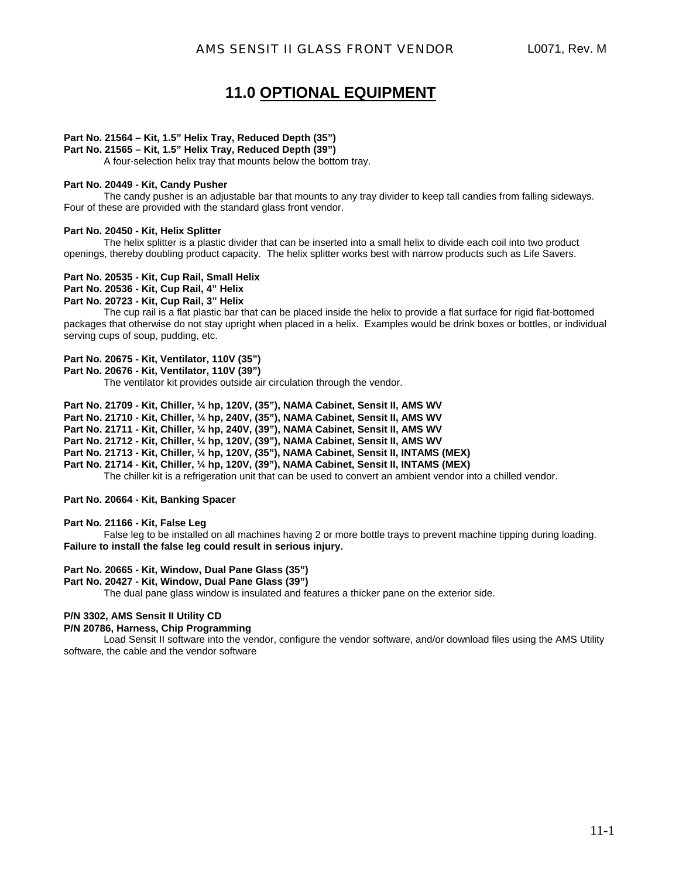## **11.0 OPTIONAL EQUIPMENT**

#### **Part No. 21564 – Kit, 1.5" Helix Tray, Reduced Depth (35")**

**Part No. 21565 – Kit, 1.5" Helix Tray, Reduced Depth (39")** 

A four-selection helix tray that mounts below the bottom tray.

#### **Part No. 20449 - Kit, Candy Pusher**

 The candy pusher is an adjustable bar that mounts to any tray divider to keep tall candies from falling sideways. Four of these are provided with the standard glass front vendor.

#### **Part No. 20450 - Kit, Helix Splitter**

 The helix splitter is a plastic divider that can be inserted into a small helix to divide each coil into two product openings, thereby doubling product capacity. The helix splitter works best with narrow products such as Life Savers.

#### **Part No. 20535 - Kit, Cup Rail, Small Helix**

**Part No. 20536 - Kit, Cup Rail, 4" Helix** 

#### **Part No. 20723 - Kit, Cup Rail, 3" Helix**

 The cup rail is a flat plastic bar that can be placed inside the helix to provide a flat surface for rigid flat-bottomed packages that otherwise do not stay upright when placed in a helix. Examples would be drink boxes or bottles, or individual serving cups of soup, pudding, etc.

#### **Part No. 20675 - Kit, Ventilator, 110V (35")**

**Part No. 20676 - Kit, Ventilator, 110V (39")** 

The ventilator kit provides outside air circulation through the vendor.

**Part No. 21709 - Kit, Chiller, ¼ hp, 120V, (35"), NAMA Cabinet, Sensit II, AMS WV** 

**Part No. 21710 - Kit, Chiller, ¼ hp, 240V, (35"), NAMA Cabinet, Sensit II, AMS WV** 

**Part No. 21711 - Kit, Chiller, ¼ hp, 240V, (39"), NAMA Cabinet, Sensit II, AMS WV** 

**Part No. 21712 - Kit, Chiller, ¼ hp, 120V, (39"), NAMA Cabinet, Sensit II, AMS WV** 

**Part No. 21713 - Kit, Chiller, ¼ hp, 120V, (35"), NAMA Cabinet, Sensit II, INTAMS (MEX)** 

**Part No. 21714 - Kit, Chiller, ¼ hp, 120V, (39"), NAMA Cabinet, Sensit II, INTAMS (MEX)** 

The chiller kit is a refrigeration unit that can be used to convert an ambient vendor into a chilled vendor.

#### **Part No. 20664 - Kit, Banking Spacer**

#### **Part No. 21166 - Kit, False Leg**

 False leg to be installed on all machines having 2 or more bottle trays to prevent machine tipping during loading. **Failure to install the false leg could result in serious injury.**

#### **Part No. 20665 - Kit, Window, Dual Pane Glass (35")**

**Part No. 20427 - Kit, Window, Dual Pane Glass (39")** 

The dual pane glass window is insulated and features a thicker pane on the exterior side.

#### **P/N 3302, AMS Sensit II Utility CD**

#### **P/N 20786, Harness, Chip Programming**

Load Sensit II software into the vendor, configure the vendor software, and/or download files using the AMS Utility software, the cable and the vendor software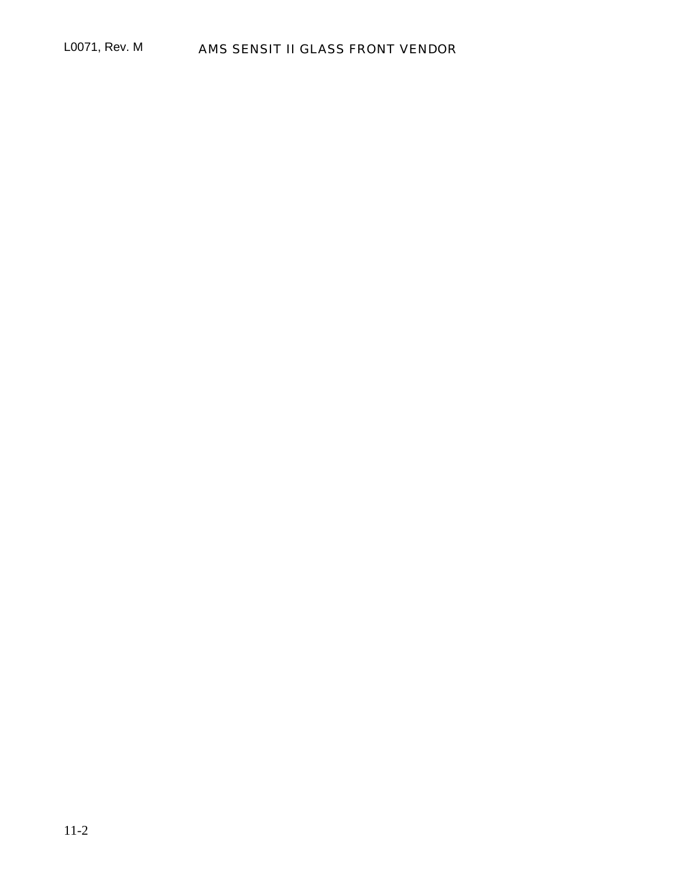## L0071, Rev. M **AMS SENSIT II GLASS FRONT VENDOR**